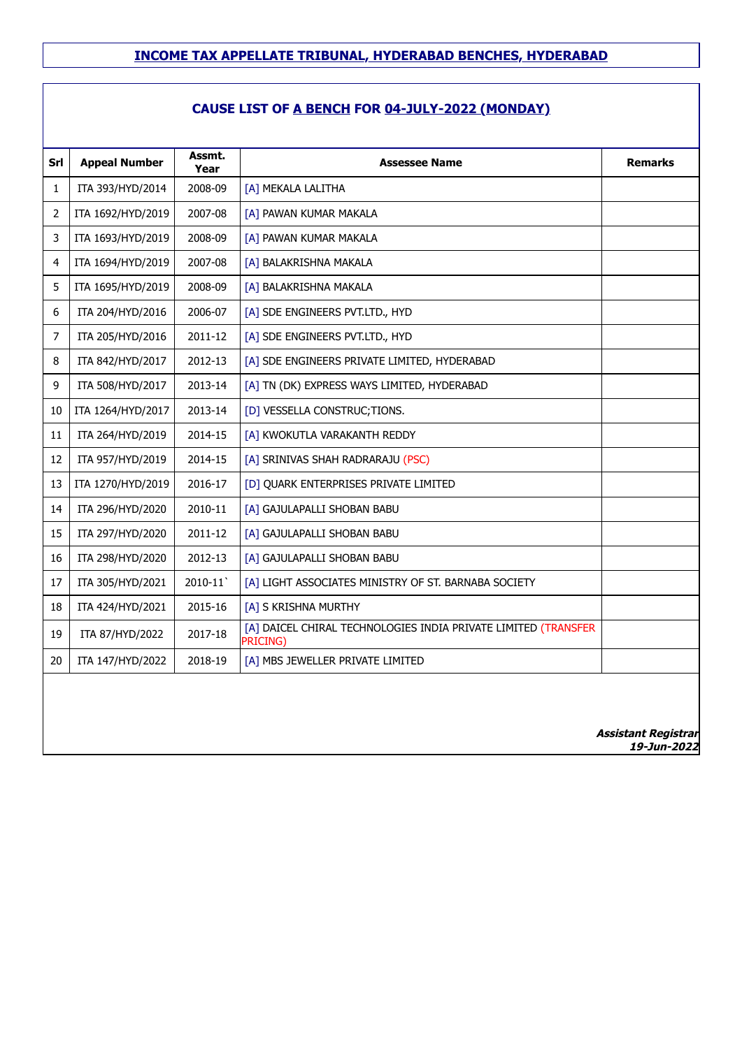## **CAUSE LIST OF A BENCH FOR 04-JULY-2022 (MONDAY)**

| $\mathbf{1}$   |                   |         |                                                                            | <b>Remarks</b> |
|----------------|-------------------|---------|----------------------------------------------------------------------------|----------------|
|                | ITA 393/HYD/2014  | 2008-09 | [A] MEKALA LALITHA                                                         |                |
| $\overline{2}$ | ITA 1692/HYD/2019 | 2007-08 | [A] PAWAN KUMAR MAKALA                                                     |                |
| 3              | ITA 1693/HYD/2019 | 2008-09 | [A] PAWAN KUMAR MAKALA                                                     |                |
| $\overline{4}$ | ITA 1694/HYD/2019 | 2007-08 | [A] BALAKRISHNA MAKALA                                                     |                |
| 5              | ITA 1695/HYD/2019 | 2008-09 | [A] BALAKRISHNA MAKALA                                                     |                |
| 6              | ITA 204/HYD/2016  | 2006-07 | [A] SDE ENGINEERS PVT.LTD., HYD                                            |                |
| 7              | ITA 205/HYD/2016  | 2011-12 | [A] SDE ENGINEERS PVT.LTD., HYD                                            |                |
| 8              | ITA 842/HYD/2017  | 2012-13 | [A] SDE ENGINEERS PRIVATE LIMITED, HYDERABAD                               |                |
| 9              | ITA 508/HYD/2017  | 2013-14 | [A] TN (DK) EXPRESS WAYS LIMITED, HYDERABAD                                |                |
| 10             | ITA 1264/HYD/2017 | 2013-14 | [D] VESSELLA CONSTRUC; TIONS.                                              |                |
| 11             | ITA 264/HYD/2019  | 2014-15 | [A] KWOKUTLA VARAKANTH REDDY                                               |                |
| 12             | ITA 957/HYD/2019  | 2014-15 | [A] SRINIVAS SHAH RADRARAJU (PSC)                                          |                |
| 13             | ITA 1270/HYD/2019 | 2016-17 | [D] QUARK ENTERPRISES PRIVATE LIMITED                                      |                |
| 14             | ITA 296/HYD/2020  | 2010-11 | [A] GAJULAPALLI SHOBAN BABU                                                |                |
| 15             | ITA 297/HYD/2020  | 2011-12 | [A] GAJULAPALLI SHOBAN BABU                                                |                |
| 16             | ITA 298/HYD/2020  | 2012-13 | [A] GAJULAPALLI SHOBAN BABU                                                |                |
| 17             | ITA 305/HYD/2021  | 2010-11 | [A] LIGHT ASSOCIATES MINISTRY OF ST. BARNABA SOCIETY                       |                |
| 18             | ITA 424/HYD/2021  | 2015-16 | [A] S KRISHNA MURTHY                                                       |                |
| 19             | ITA 87/HYD/2022   | 2017-18 | [A] DAICEL CHIRAL TECHNOLOGIES INDIA PRIVATE LIMITED (TRANSFER<br>PRICING) |                |
| 20             | ITA 147/HYD/2022  | 2018-19 | [A] MBS JEWELLER PRIVATE LIMITED                                           |                |

**19-Jun-2022**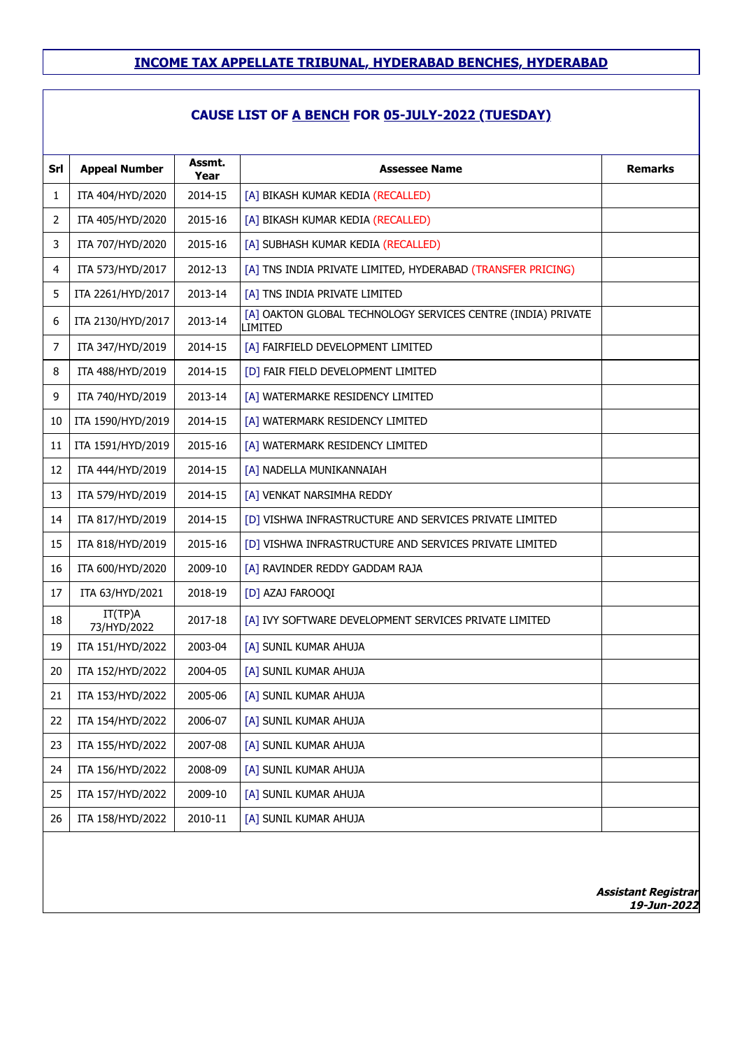| Srl | <b>Appeal Number</b>   | Assmt.<br>Year | <b>Assessee Name</b>                                                    | <b>Remarks</b>                            |
|-----|------------------------|----------------|-------------------------------------------------------------------------|-------------------------------------------|
| 1   | ITA 404/HYD/2020       | 2014-15        | [A] BIKASH KUMAR KEDIA (RECALLED)                                       |                                           |
| 2   | ITA 405/HYD/2020       | 2015-16        | [A] BIKASH KUMAR KEDIA (RECALLED)                                       |                                           |
| 3   | ITA 707/HYD/2020       | 2015-16        | [A] SUBHASH KUMAR KEDIA (RECALLED)                                      |                                           |
| 4   | ITA 573/HYD/2017       | 2012-13        | [A] TNS INDIA PRIVATE LIMITED, HYDERABAD (TRANSFER PRICING)             |                                           |
| 5   | ITA 2261/HYD/2017      | 2013-14        | [A] TNS INDIA PRIVATE LIMITED                                           |                                           |
| 6   | ITA 2130/HYD/2017      | 2013-14        | [A] OAKTON GLOBAL TECHNOLOGY SERVICES CENTRE (INDIA) PRIVATE<br>LIMITED |                                           |
| 7   | ITA 347/HYD/2019       | 2014-15        | [A] FAIRFIELD DEVELOPMENT LIMITED                                       |                                           |
| 8   | ITA 488/HYD/2019       | 2014-15        | [D] FAIR FIELD DEVELOPMENT LIMITED                                      |                                           |
| 9   | ITA 740/HYD/2019       | 2013-14        | [A] WATERMARKE RESIDENCY LIMITED                                        |                                           |
| 10  | ITA 1590/HYD/2019      | 2014-15        | [A] WATERMARK RESIDENCY LIMITED                                         |                                           |
| 11  | ITA 1591/HYD/2019      | 2015-16        | [A] WATERMARK RESIDENCY LIMITED                                         |                                           |
| 12  | ITA 444/HYD/2019       | 2014-15        | [A] NADELLA MUNIKANNAIAH                                                |                                           |
| 13  | ITA 579/HYD/2019       | 2014-15        | [A] VENKAT NARSIMHA REDDY                                               |                                           |
| 14  | ITA 817/HYD/2019       | 2014-15        | [D] VISHWA INFRASTRUCTURE AND SERVICES PRIVATE LIMITED                  |                                           |
| 15  | ITA 818/HYD/2019       | 2015-16        | [D] VISHWA INFRASTRUCTURE AND SERVICES PRIVATE LIMITED                  |                                           |
| 16  | ITA 600/HYD/2020       | 2009-10        | [A] RAVINDER REDDY GADDAM RAJA                                          |                                           |
| 17  | ITA 63/HYD/2021        | 2018-19        | [D] AZAJ FAROOQI                                                        |                                           |
| 18  | IT(TP)A<br>73/HYD/2022 | 2017-18        | [A] IVY SOFTWARE DEVELOPMENT SERVICES PRIVATE LIMITED                   |                                           |
| 19  | ITA 151/HYD/2022       | 2003-04        | [A] SUNIL KUMAR AHUJA                                                   |                                           |
| 20  | ITA 152/HYD/2022       | 2004-05        | [A] SUNIL KUMAR AHUJA                                                   |                                           |
| 21  | ITA 153/HYD/2022       | 2005-06        | [A] SUNIL KUMAR AHUJA                                                   |                                           |
| 22  | ITA 154/HYD/2022       | 2006-07        | [A] SUNIL KUMAR AHUJA                                                   |                                           |
| 23  | ITA 155/HYD/2022       | 2007-08        | [A] SUNIL KUMAR AHUJA                                                   |                                           |
| 24  | ITA 156/HYD/2022       | 2008-09        | [A] SUNIL KUMAR AHUJA                                                   |                                           |
| 25  | ITA 157/HYD/2022       | 2009-10        | [A] SUNIL KUMAR AHUJA                                                   |                                           |
| 26  | ITA 158/HYD/2022       | 2010-11        | [A] SUNIL KUMAR AHUJA                                                   |                                           |
|     |                        |                |                                                                         | <b>Assistant Registrar</b><br>19-Jun-2022 |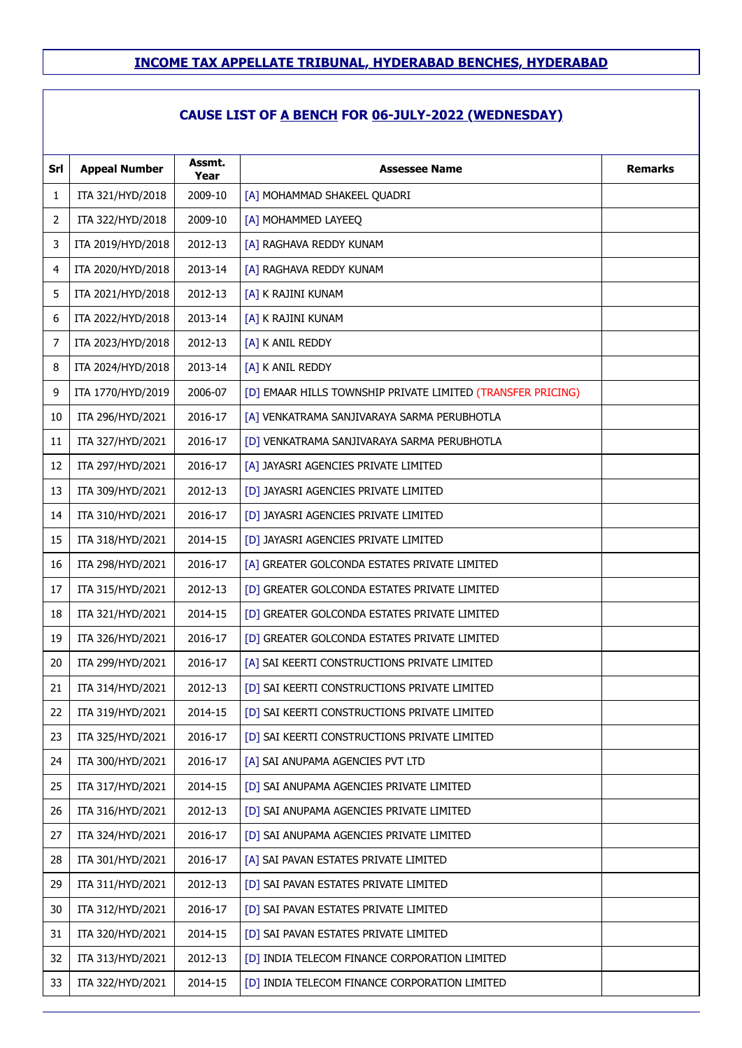## **CAUSE LIST OF A BENCH FOR 06-JULY-2022 (WEDNESDAY)**

| Srl | <b>Appeal Number</b> | Assmt.<br>Year | <b>Assessee Name</b>                                        | <b>Remarks</b> |
|-----|----------------------|----------------|-------------------------------------------------------------|----------------|
| 1   | ITA 321/HYD/2018     | 2009-10        | [A] MOHAMMAD SHAKEEL QUADRI                                 |                |
| 2   | ITA 322/HYD/2018     | 2009-10        | [A] MOHAMMED LAYEEQ                                         |                |
| 3   | ITA 2019/HYD/2018    | 2012-13        | [A] RAGHAVA REDDY KUNAM                                     |                |
| 4   | ITA 2020/HYD/2018    | 2013-14        | [A] RAGHAVA REDDY KUNAM                                     |                |
| 5   | ITA 2021/HYD/2018    | 2012-13        | [A] K RAJINI KUNAM                                          |                |
| 6   | ITA 2022/HYD/2018    | 2013-14        | [A] K RAJINI KUNAM                                          |                |
| 7   | ITA 2023/HYD/2018    | 2012-13        | [A] K ANIL REDDY                                            |                |
| 8   | ITA 2024/HYD/2018    | 2013-14        | [A] K ANIL REDDY                                            |                |
| 9   | ITA 1770/HYD/2019    | 2006-07        | [D] EMAAR HILLS TOWNSHIP PRIVATE LIMITED (TRANSFER PRICING) |                |
| 10  | ITA 296/HYD/2021     | 2016-17        | [A] VENKATRAMA SANJIVARAYA SARMA PERUBHOTLA                 |                |
| 11  | ITA 327/HYD/2021     | 2016-17        | [D] VENKATRAMA SANJIVARAYA SARMA PERUBHOTLA                 |                |
| 12  | ITA 297/HYD/2021     | 2016-17        | [A] JAYASRI AGENCIES PRIVATE LIMITED                        |                |
| 13  | ITA 309/HYD/2021     | 2012-13        | [D] JAYASRI AGENCIES PRIVATE LIMITED                        |                |
| 14  | ITA 310/HYD/2021     | 2016-17        | [D] JAYASRI AGENCIES PRIVATE LIMITED                        |                |
| 15  | ITA 318/HYD/2021     | 2014-15        | [D] JAYASRI AGENCIES PRIVATE LIMITED                        |                |
| 16  | ITA 298/HYD/2021     | 2016-17        | [A] GREATER GOLCONDA ESTATES PRIVATE LIMITED                |                |
| 17  | ITA 315/HYD/2021     | 2012-13        | [D] GREATER GOLCONDA ESTATES PRIVATE LIMITED                |                |
| 18  | ITA 321/HYD/2021     | 2014-15        | [D] GREATER GOLCONDA ESTATES PRIVATE LIMITED                |                |
| 19  | ITA 326/HYD/2021     | 2016-17        | [D] GREATER GOLCONDA ESTATES PRIVATE LIMITED                |                |
| 20  | ITA 299/HYD/2021     | 2016-17        | [A] SAI KEERTI CONSTRUCTIONS PRIVATE LIMITED                |                |
| 21  | ITA 314/HYD/2021     | 2012-13        | [D] SAI KEERTI CONSTRUCTIONS PRIVATE LIMITED                |                |
| 22  | ITA 319/HYD/2021     | 2014-15        | [D] SAI KEERTI CONSTRUCTIONS PRIVATE LIMITED                |                |
| 23  | ITA 325/HYD/2021     | 2016-17        | [D] SAI KEERTI CONSTRUCTIONS PRIVATE LIMITED                |                |
| 24  | ITA 300/HYD/2021     | 2016-17        | [A] SAI ANUPAMA AGENCIES PVT LTD                            |                |
| 25  | ITA 317/HYD/2021     | 2014-15        | [D] SAI ANUPAMA AGENCIES PRIVATE LIMITED                    |                |
| 26  | ITA 316/HYD/2021     | 2012-13        | [D] SAI ANUPAMA AGENCIES PRIVATE LIMITED                    |                |
| 27  | ITA 324/HYD/2021     | 2016-17        | [D] SAI ANUPAMA AGENCIES PRIVATE LIMITED                    |                |
| 28  | ITA 301/HYD/2021     | 2016-17        | [A] SAI PAVAN ESTATES PRIVATE LIMITED                       |                |
| 29  | ITA 311/HYD/2021     | 2012-13        | [D] SAI PAVAN ESTATES PRIVATE LIMITED                       |                |
| 30  | ITA 312/HYD/2021     | 2016-17        | [D] SAI PAVAN ESTATES PRIVATE LIMITED                       |                |
| 31  | ITA 320/HYD/2021     | 2014-15        | [D] SAI PAVAN ESTATES PRIVATE LIMITED                       |                |
| 32  | ITA 313/HYD/2021     | 2012-13        | [D] INDIA TELECOM FINANCE CORPORATION LIMITED               |                |
| 33  | ITA 322/HYD/2021     | 2014-15        | [D] INDIA TELECOM FINANCE CORPORATION LIMITED               |                |
|     |                      |                |                                                             |                |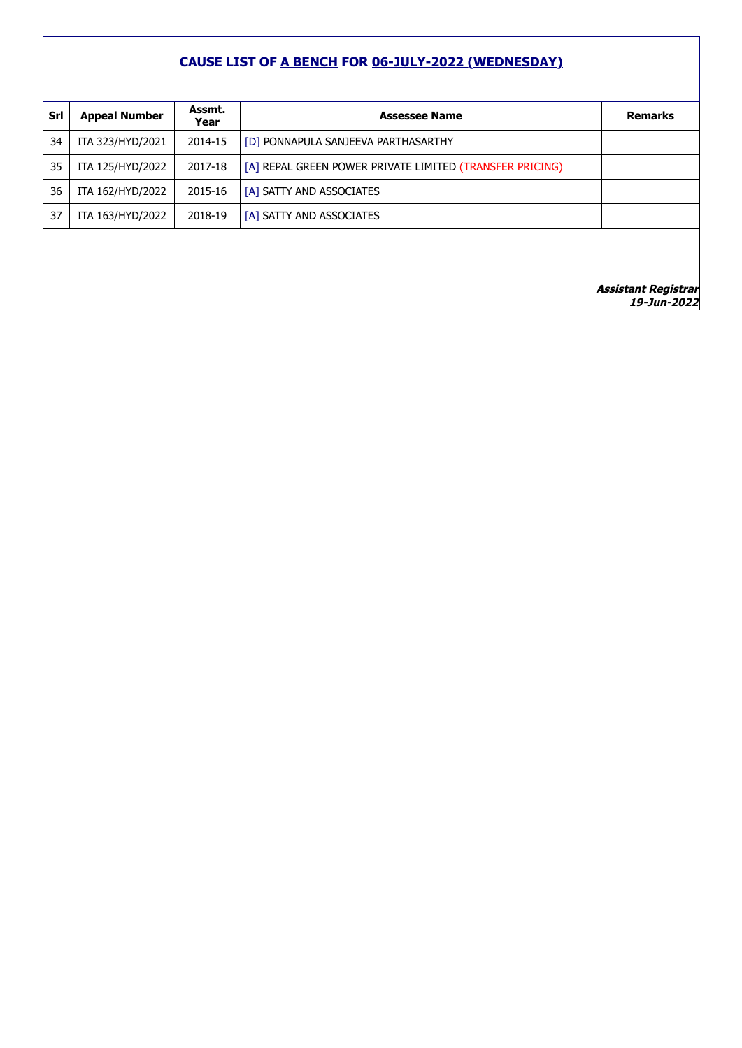## **CAUSE LIST OF A BENCH FOR 06-JULY-2022 (WEDNESDAY)**

| Srl | <b>Appeal Number</b> | Assmt.<br>Year | <b>Assessee Name</b>                                     | <b>Remarks</b>                            |
|-----|----------------------|----------------|----------------------------------------------------------|-------------------------------------------|
| 34  | ITA 323/HYD/2021     | 2014-15        | [D] PONNAPULA SANJEEVA PARTHASARTHY                      |                                           |
| 35  | ITA 125/HYD/2022     | 2017-18        | [A] REPAL GREEN POWER PRIVATE LIMITED (TRANSFER PRICING) |                                           |
| 36  | ITA 162/HYD/2022     | 2015-16        | [A] SATTY AND ASSOCIATES                                 |                                           |
| 37  | ITA 163/HYD/2022     | 2018-19        | [A] SATTY AND ASSOCIATES                                 |                                           |
|     |                      |                |                                                          |                                           |
|     |                      |                |                                                          |                                           |
|     |                      |                |                                                          | <b>Assistant Registrar</b><br>19-Jun-2022 |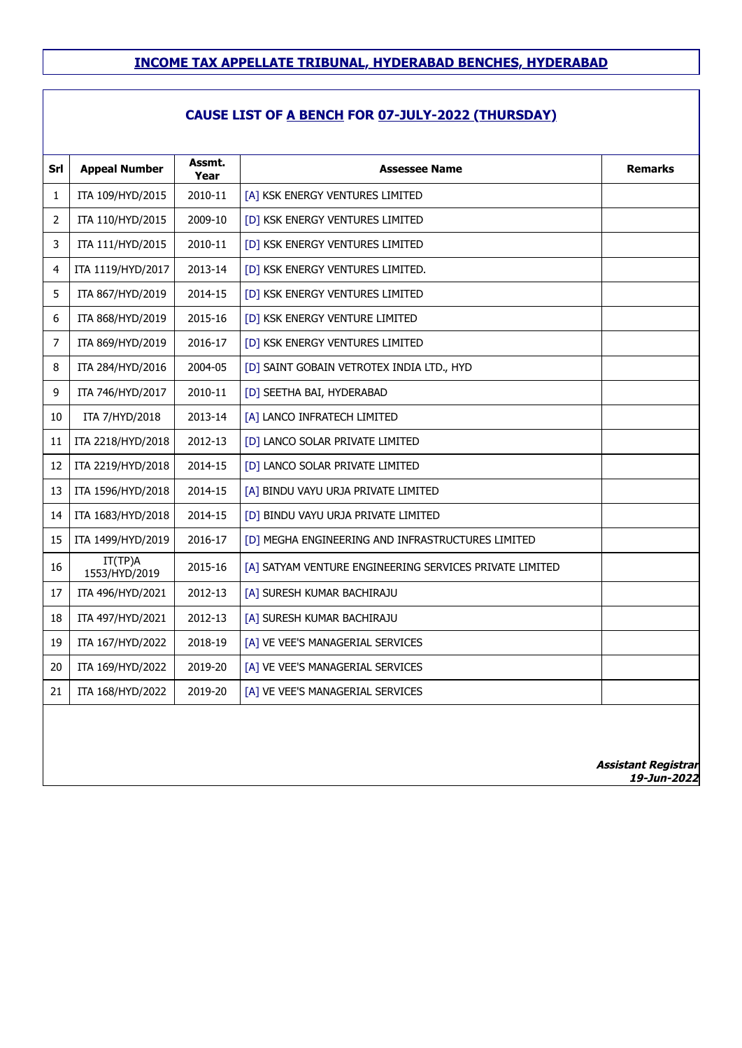## **CAUSE LIST OF A BENCH FOR 07-JULY-2022 (THURSDAY)**

| Srl            | <b>Appeal Number</b>     | Assmt.<br>Year | <b>Assessee Name</b>                                    | <b>Remarks</b> |
|----------------|--------------------------|----------------|---------------------------------------------------------|----------------|
| $\mathbf{1}$   | ITA 109/HYD/2015         | 2010-11        | [A] KSK ENERGY VENTURES LIMITED                         |                |
| $\overline{2}$ | ITA 110/HYD/2015         | 2009-10        | [D] KSK ENERGY VENTURES LIMITED                         |                |
| 3              | ITA 111/HYD/2015         | 2010-11        | [D] KSK ENERGY VENTURES LIMITED                         |                |
| 4              | ITA 1119/HYD/2017        | 2013-14        | [D] KSK ENERGY VENTURES LIMITED.                        |                |
| 5              | ITA 867/HYD/2019         | 2014-15        | [D] KSK ENERGY VENTURES LIMITED                         |                |
| 6              | ITA 868/HYD/2019         | 2015-16        | [D] KSK ENERGY VENTURE LIMITED                          |                |
| $\overline{7}$ | ITA 869/HYD/2019         | 2016-17        | [D] KSK ENERGY VENTURES LIMITED                         |                |
| 8              | ITA 284/HYD/2016         | 2004-05        | [D] SAINT GOBAIN VETROTEX INDIA LTD., HYD               |                |
| 9              | ITA 746/HYD/2017         | 2010-11        | [D] SEETHA BAI, HYDERABAD                               |                |
| 10             | ITA 7/HYD/2018           | 2013-14        | [A] LANCO INFRATECH LIMITED                             |                |
| 11             | ITA 2218/HYD/2018        | 2012-13        | [D] LANCO SOLAR PRIVATE LIMITED                         |                |
| 12             | ITA 2219/HYD/2018        | 2014-15        | [D] LANCO SOLAR PRIVATE LIMITED                         |                |
| 13             | ITA 1596/HYD/2018        | 2014-15        | [A] BINDU VAYU URJA PRIVATE LIMITED                     |                |
| 14             | ITA 1683/HYD/2018        | 2014-15        | [D] BINDU VAYU URJA PRIVATE LIMITED                     |                |
| 15             | ITA 1499/HYD/2019        | 2016-17        | [D] MEGHA ENGINEERING AND INFRASTRUCTURES LIMITED       |                |
| 16             | IT(TP)A<br>1553/HYD/2019 | 2015-16        | [A] SATYAM VENTURE ENGINEERING SERVICES PRIVATE LIMITED |                |
| 17             | ITA 496/HYD/2021         | 2012-13        | [A] SURESH KUMAR BACHIRAJU                              |                |
| 18             | ITA 497/HYD/2021         | 2012-13        | [A] SURESH KUMAR BACHIRAJU                              |                |
| 19             | ITA 167/HYD/2022         | 2018-19        | [A] VE VEE'S MANAGERIAL SERVICES                        |                |
| 20             | ITA 169/HYD/2022         | 2019-20        | [A] VE VEE'S MANAGERIAL SERVICES                        |                |
| 21             | ITA 168/HYD/2022         | 2019-20        | [A] VE VEE'S MANAGERIAL SERVICES                        |                |
|                |                          |                |                                                         |                |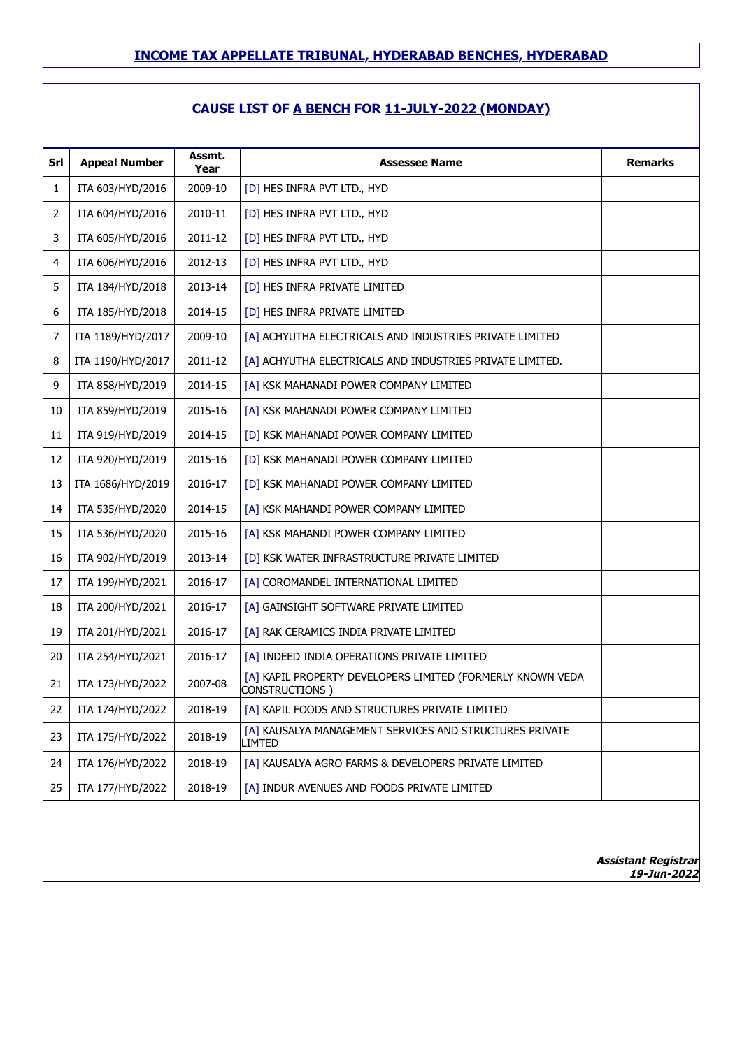## **CAUSE LIST OF A BENCH FOR 11-JULY-2022 (MONDAY)**

| Srl            | <b>Appeal Number</b> | Assmt.<br>Year | <b>Assessee Name</b>                                                         | <b>Remarks</b> |
|----------------|----------------------|----------------|------------------------------------------------------------------------------|----------------|
| 1              | ITA 603/HYD/2016     | 2009-10        | [D] HES INFRA PVT LTD., HYD                                                  |                |
| $\overline{2}$ | ITA 604/HYD/2016     | 2010-11        | [D] HES INFRA PVT LTD., HYD                                                  |                |
| 3              | ITA 605/HYD/2016     | 2011-12        | [D] HES INFRA PVT LTD., HYD                                                  |                |
| 4              | ITA 606/HYD/2016     | 2012-13        | [D] HES INFRA PVT LTD., HYD                                                  |                |
| 5              | ITA 184/HYD/2018     | 2013-14        | [D] HES INFRA PRIVATE LIMITED                                                |                |
| 6              | ITA 185/HYD/2018     | 2014-15        | [D] HES INFRA PRIVATE LIMITED                                                |                |
| 7              | ITA 1189/HYD/2017    | 2009-10        | [A] ACHYUTHA ELECTRICALS AND INDUSTRIES PRIVATE LIMITED                      |                |
| 8              | ITA 1190/HYD/2017    | 2011-12        | [A] ACHYUTHA ELECTRICALS AND INDUSTRIES PRIVATE LIMITED.                     |                |
| 9              | ITA 858/HYD/2019     | 2014-15        | [A] KSK MAHANADI POWER COMPANY LIMITED                                       |                |
| 10             | ITA 859/HYD/2019     | 2015-16        | [A] KSK MAHANADI POWER COMPANY LIMITED                                       |                |
| 11             | ITA 919/HYD/2019     | 2014-15        | [D] KSK MAHANADI POWER COMPANY LIMITED                                       |                |
| 12             | ITA 920/HYD/2019     | 2015-16        | [D] KSK MAHANADI POWER COMPANY LIMITED                                       |                |
| 13             | ITA 1686/HYD/2019    | 2016-17        | [D] KSK MAHANADI POWER COMPANY LIMITED                                       |                |
| 14             | ITA 535/HYD/2020     | 2014-15        | [A] KSK MAHANDI POWER COMPANY LIMITED                                        |                |
| 15             | ITA 536/HYD/2020     | 2015-16        | [A] KSK MAHANDI POWER COMPANY LIMITED                                        |                |
| 16             | ITA 902/HYD/2019     | 2013-14        | [D] KSK WATER INFRASTRUCTURE PRIVATE LIMITED                                 |                |
| 17             | ITA 199/HYD/2021     | 2016-17        | [A] COROMANDEL INTERNATIONAL LIMITED                                         |                |
| 18             | ITA 200/HYD/2021     | 2016-17        | [A] GAINSIGHT SOFTWARE PRIVATE LIMITED                                       |                |
| 19             | ITA 201/HYD/2021     | 2016-17        | [A] RAK CERAMICS INDIA PRIVATE LIMITED                                       |                |
| 20             | ITA 254/HYD/2021     | 2016-17        | [A] INDEED INDIA OPERATIONS PRIVATE LIMITED                                  |                |
| 21             | ITA 173/HYD/2022     | 2007-08        | [A] KAPIL PROPERTY DEVELOPERS LIMITED (FORMERLY KNOWN VEDA<br>CONSTRUCTIONS) |                |
| 22             | ITA 174/HYD/2022     | 2018-19        | [A] KAPIL FOODS AND STRUCTURES PRIVATE LIMITED                               |                |
| 23             | ITA 175/HYD/2022     | 2018-19        | [A] KAUSALYA MANAGEMENT SERVICES AND STRUCTURES PRIVATE<br>LIMTED            |                |
| 24             | ITA 176/HYD/2022     | 2018-19        | [A] KAUSALYA AGRO FARMS & DEVELOPERS PRIVATE LIMITED                         |                |
| 25             | ITA 177/HYD/2022     | 2018-19        | [A] INDUR AVENUES AND FOODS PRIVATE LIMITED                                  |                |
|                |                      |                |                                                                              |                |
|                |                      |                |                                                                              |                |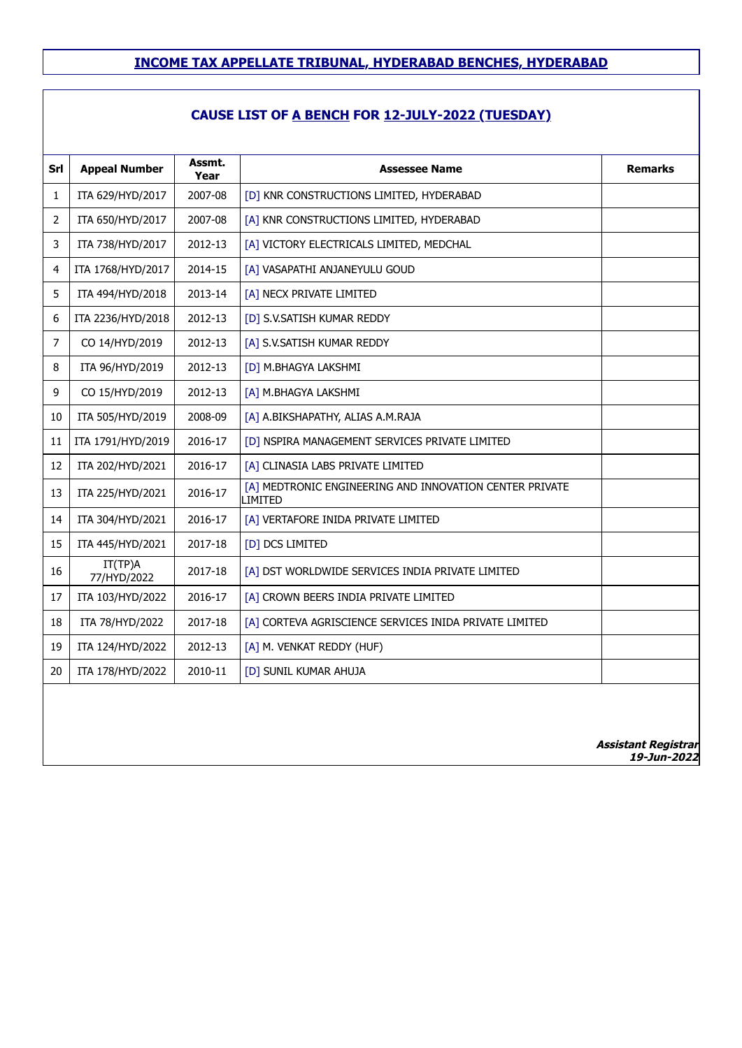## **CAUSE LIST OF A BENCH FOR 12-JULY-2022 (TUESDAY)**

| Srl            | <b>Appeal Number</b>   | Assmt.  | <b>Assessee Name</b>                                               | <b>Remarks</b> |
|----------------|------------------------|---------|--------------------------------------------------------------------|----------------|
|                |                        | Year    |                                                                    |                |
| $\mathbf{1}$   | ITA 629/HYD/2017       | 2007-08 | [D] KNR CONSTRUCTIONS LIMITED, HYDERABAD                           |                |
| $2^{\circ}$    | ITA 650/HYD/2017       | 2007-08 | [A] KNR CONSTRUCTIONS LIMITED, HYDERABAD                           |                |
| 3              | ITA 738/HYD/2017       | 2012-13 | [A] VICTORY ELECTRICALS LIMITED, MEDCHAL                           |                |
| 4              | ITA 1768/HYD/2017      | 2014-15 | [A] VASAPATHI ANJANEYULU GOUD                                      |                |
| 5              | ITA 494/HYD/2018       | 2013-14 | [A] NECX PRIVATE LIMITED                                           |                |
| 6              | ITA 2236/HYD/2018      | 2012-13 | [D] S.V.SATISH KUMAR REDDY                                         |                |
| $\overline{7}$ | CO 14/HYD/2019         | 2012-13 | [A] S.V.SATISH KUMAR REDDY                                         |                |
| 8              | ITA 96/HYD/2019        | 2012-13 | [D] M.BHAGYA LAKSHMI                                               |                |
| 9              | CO 15/HYD/2019         | 2012-13 | [A] M.BHAGYA LAKSHMI                                               |                |
| 10             | ITA 505/HYD/2019       | 2008-09 | [A] A.BIKSHAPATHY, ALIAS A.M.RAJA                                  |                |
| 11             | ITA 1791/HYD/2019      | 2016-17 | [D] NSPIRA MANAGEMENT SERVICES PRIVATE LIMITED                     |                |
| 12             | ITA 202/HYD/2021       | 2016-17 | [A] CLINASIA LABS PRIVATE LIMITED                                  |                |
| 13             | ITA 225/HYD/2021       | 2016-17 | [A] MEDTRONIC ENGINEERING AND INNOVATION CENTER PRIVATE<br>LIMITED |                |
| 14             | ITA 304/HYD/2021       | 2016-17 | [A] VERTAFORE INIDA PRIVATE LIMITED                                |                |
| 15             | ITA 445/HYD/2021       | 2017-18 | [D] DCS LIMITED                                                    |                |
| 16             | IT(TP)A<br>77/HYD/2022 | 2017-18 | [A] DST WORLDWIDE SERVICES INDIA PRIVATE LIMITED                   |                |
| 17             | ITA 103/HYD/2022       | 2016-17 | [A] CROWN BEERS INDIA PRIVATE LIMITED                              |                |
| 18             | ITA 78/HYD/2022        | 2017-18 | [A] CORTEVA AGRISCIENCE SERVICES INIDA PRIVATE LIMITED             |                |
| 19             | ITA 124/HYD/2022       | 2012-13 | [A] M. VENKAT REDDY (HUF)                                          |                |
| 20             | ITA 178/HYD/2022       | 2010-11 | [D] SUNIL KUMAR AHUJA                                              |                |
|                |                        |         |                                                                    |                |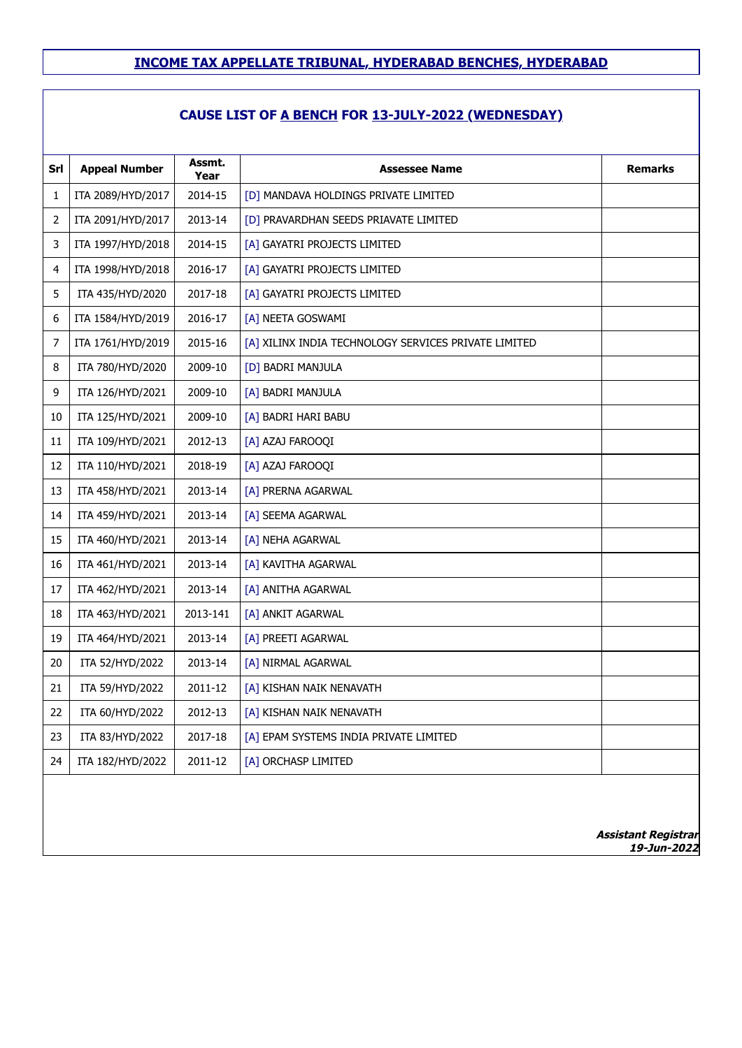## **CAUSE LIST OF A BENCH FOR 13-JULY-2022 (WEDNESDAY)**

| Srl            | <b>Appeal Number</b> | Assmt.<br>Year | <b>Assessee Name</b>                                 | <b>Remarks</b>                            |
|----------------|----------------------|----------------|------------------------------------------------------|-------------------------------------------|
| 1              | ITA 2089/HYD/2017    | 2014-15        | [D] MANDAVA HOLDINGS PRIVATE LIMITED                 |                                           |
| 2              | ITA 2091/HYD/2017    | 2013-14        | [D] PRAVARDHAN SEEDS PRIAVATE LIMITED                |                                           |
| 3              | ITA 1997/HYD/2018    | 2014-15        | [A] GAYATRI PROJECTS LIMITED                         |                                           |
| 4              | ITA 1998/HYD/2018    | 2016-17        | [A] GAYATRI PROJECTS LIMITED                         |                                           |
| 5              | ITA 435/HYD/2020     | 2017-18        | [A] GAYATRI PROJECTS LIMITED                         |                                           |
| 6              | ITA 1584/HYD/2019    | 2016-17        | [A] NEETA GOSWAMI                                    |                                           |
| $\overline{7}$ | ITA 1761/HYD/2019    | 2015-16        | [A] XILINX INDIA TECHNOLOGY SERVICES PRIVATE LIMITED |                                           |
| 8              | ITA 780/HYD/2020     | 2009-10        | [D] BADRI MANJULA                                    |                                           |
| 9              | ITA 126/HYD/2021     | 2009-10        | [A] BADRI MANJULA                                    |                                           |
| 10             | ITA 125/HYD/2021     | 2009-10        | [A] BADRI HARI BABU                                  |                                           |
| 11             | ITA 109/HYD/2021     | 2012-13        | [A] AZAJ FAROOQI                                     |                                           |
| 12             | ITA 110/HYD/2021     | 2018-19        | [A] AZAJ FAROOQI                                     |                                           |
| 13             | ITA 458/HYD/2021     | 2013-14        | [A] PRERNA AGARWAL                                   |                                           |
| 14             | ITA 459/HYD/2021     | 2013-14        | [A] SEEMA AGARWAL                                    |                                           |
| 15             | ITA 460/HYD/2021     | 2013-14        | [A] NEHA AGARWAL                                     |                                           |
| 16             | ITA 461/HYD/2021     | 2013-14        | [A] KAVITHA AGARWAL                                  |                                           |
| 17             | ITA 462/HYD/2021     | 2013-14        | [A] ANITHA AGARWAL                                   |                                           |
| 18             | ITA 463/HYD/2021     | 2013-141       | [A] ANKIT AGARWAL                                    |                                           |
| 19             | ITA 464/HYD/2021     | 2013-14        | [A] PREETI AGARWAL                                   |                                           |
| 20             | ITA 52/HYD/2022      | 2013-14        | [A] NIRMAL AGARWAL                                   |                                           |
| 21             | ITA 59/HYD/2022      | 2011-12        | [A] KISHAN NAIK NENAVATH                             |                                           |
| 22             | ITA 60/HYD/2022      | 2012-13        | [A] KISHAN NAIK NENAVATH                             |                                           |
| 23             | ITA 83/HYD/2022      | 2017-18        | [A] EPAM SYSTEMS INDIA PRIVATE LIMITED               |                                           |
| 24             | ITA 182/HYD/2022     | 2011-12        | [A] ORCHASP LIMITED                                  |                                           |
|                |                      |                |                                                      | <b>Assistant Registrar</b><br>19-Jun-2022 |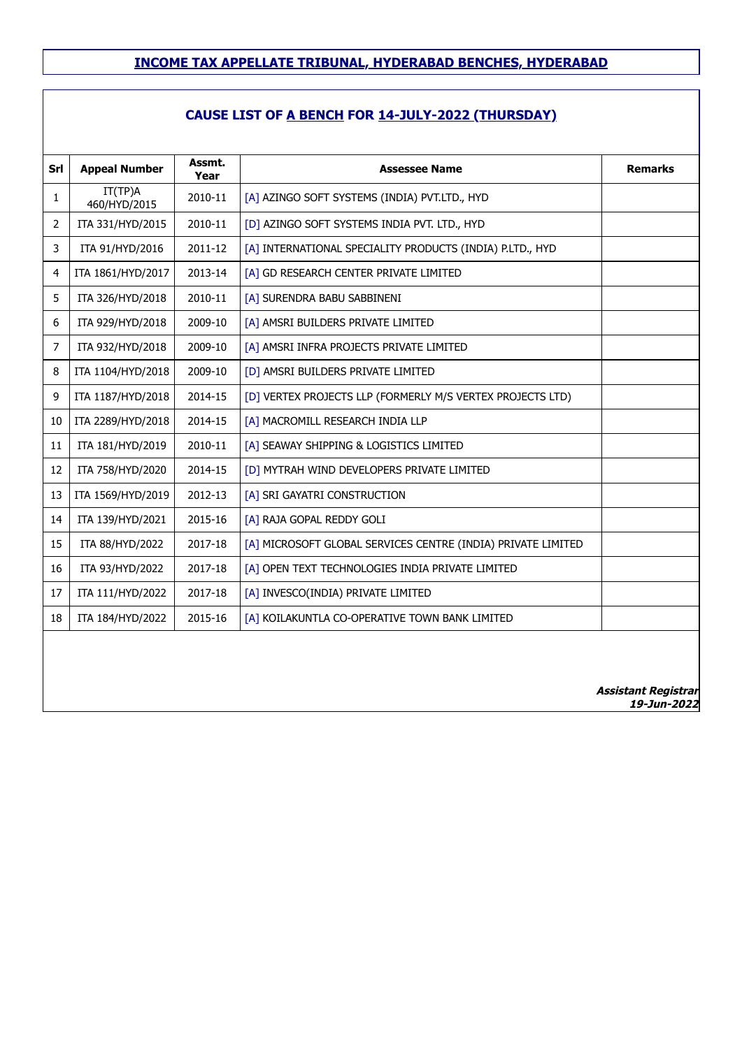| Srl            | <b>Appeal Number</b>    | Assmt.<br>Year | <b>Assessee Name</b>                                         | <b>Remarks</b>                            |
|----------------|-------------------------|----------------|--------------------------------------------------------------|-------------------------------------------|
| 1              | IT(TP)A<br>460/HYD/2015 | 2010-11        | [A] AZINGO SOFT SYSTEMS (INDIA) PVT.LTD., HYD                |                                           |
| $\overline{2}$ | ITA 331/HYD/2015        | 2010-11        | [D] AZINGO SOFT SYSTEMS INDIA PVT. LTD., HYD                 |                                           |
| 3              | ITA 91/HYD/2016         | 2011-12        | [A] INTERNATIONAL SPECIALITY PRODUCTS (INDIA) P.LTD., HYD    |                                           |
| 4              | ITA 1861/HYD/2017       | 2013-14        | [A] GD RESEARCH CENTER PRIVATE LIMITED                       |                                           |
| 5              | ITA 326/HYD/2018        | 2010-11        | [A] SURENDRA BABU SABBINENI                                  |                                           |
| 6              | ITA 929/HYD/2018        | 2009-10        | [A] AMSRI BUILDERS PRIVATE LIMITED                           |                                           |
| $\overline{7}$ | ITA 932/HYD/2018        | 2009-10        | [A] AMSRI INFRA PROJECTS PRIVATE LIMITED                     |                                           |
| 8              | ITA 1104/HYD/2018       | 2009-10        | [D] AMSRI BUILDERS PRIVATE LIMITED                           |                                           |
| 9              | ITA 1187/HYD/2018       | 2014-15        | [D] VERTEX PROJECTS LLP (FORMERLY M/S VERTEX PROJECTS LTD)   |                                           |
| 10             | ITA 2289/HYD/2018       | 2014-15        | [A] MACROMILL RESEARCH INDIA LLP                             |                                           |
| 11             | ITA 181/HYD/2019        | 2010-11        | [A] SEAWAY SHIPPING & LOGISTICS LIMITED                      |                                           |
| 12             | ITA 758/HYD/2020        | 2014-15        | [D] MYTRAH WIND DEVELOPERS PRIVATE LIMITED                   |                                           |
| 13             | ITA 1569/HYD/2019       | 2012-13        | [A] SRI GAYATRI CONSTRUCTION                                 |                                           |
| 14             | ITA 139/HYD/2021        | 2015-16        | [A] RAJA GOPAL REDDY GOLI                                    |                                           |
| 15             | ITA 88/HYD/2022         | 2017-18        | [A] MICROSOFT GLOBAL SERVICES CENTRE (INDIA) PRIVATE LIMITED |                                           |
| 16             | ITA 93/HYD/2022         | 2017-18        | [A] OPEN TEXT TECHNOLOGIES INDIA PRIVATE LIMITED             |                                           |
| 17             | ITA 111/HYD/2022        | 2017-18        | [A] INVESCO(INDIA) PRIVATE LIMITED                           |                                           |
| 18             | ITA 184/HYD/2022        | 2015-16        | [A] KOILAKUNTLA CO-OPERATIVE TOWN BANK LIMITED               |                                           |
|                |                         |                |                                                              |                                           |
|                |                         |                |                                                              |                                           |
|                |                         |                |                                                              | <b>Assistant Registrar</b><br>19-Jun-2022 |
|                |                         |                |                                                              |                                           |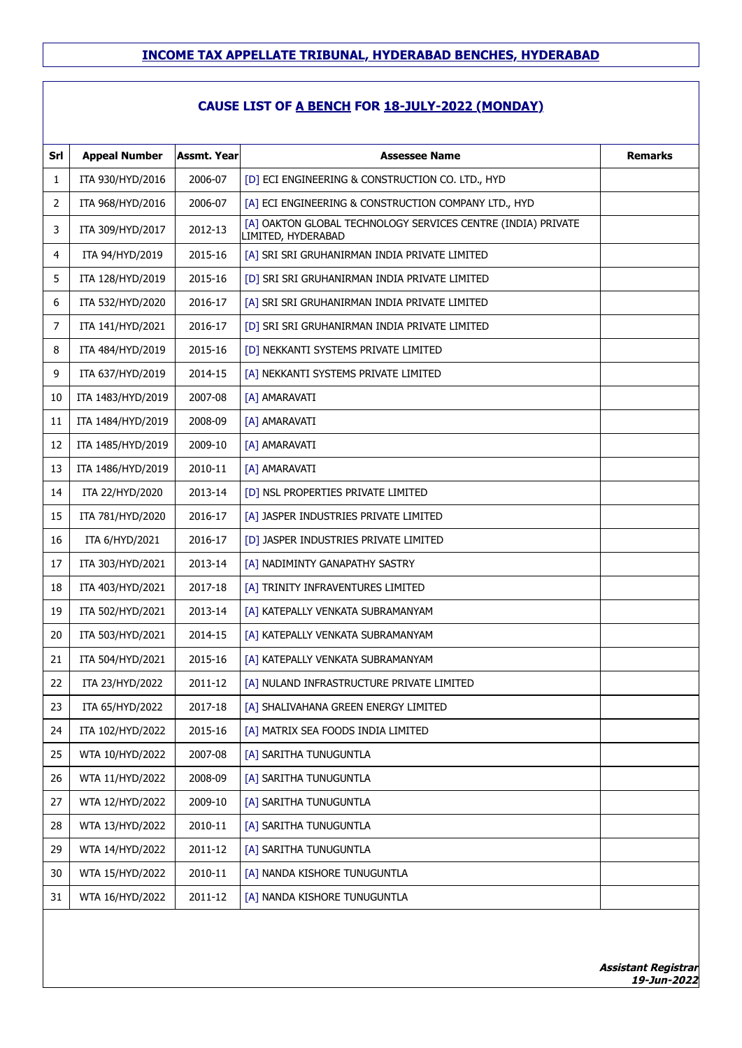#### **CAUSE LIST OF A BENCH FOR 18-JULY-2022 (MONDAY)**

| Srl | <b>Appeal Number</b> | <b>Assmt. Year</b> | <b>Assessee Name</b>                                                               | <b>Remarks</b> |
|-----|----------------------|--------------------|------------------------------------------------------------------------------------|----------------|
| 1   | ITA 930/HYD/2016     | 2006-07            | [D] ECI ENGINEERING & CONSTRUCTION CO. LTD., HYD                                   |                |
| 2   | ITA 968/HYD/2016     | 2006-07            | [A] ECI ENGINEERING & CONSTRUCTION COMPANY LTD., HYD                               |                |
| 3   | ITA 309/HYD/2017     | 2012-13            | [A] OAKTON GLOBAL TECHNOLOGY SERVICES CENTRE (INDIA) PRIVATE<br>LIMITED, HYDERABAD |                |
| 4   | ITA 94/HYD/2019      | 2015-16            | [A] SRI SRI GRUHANIRMAN INDIA PRIVATE LIMITED                                      |                |
| 5   | ITA 128/HYD/2019     | 2015-16            | [D] SRI SRI GRUHANIRMAN INDIA PRIVATE LIMITED                                      |                |
| 6   | ITA 532/HYD/2020     | 2016-17            | [A] SRI SRI GRUHANIRMAN INDIA PRIVATE LIMITED                                      |                |
| 7   | ITA 141/HYD/2021     | 2016-17            | [D] SRI SRI GRUHANIRMAN INDIA PRIVATE LIMITED                                      |                |
| 8   | ITA 484/HYD/2019     | 2015-16            | [D] NEKKANTI SYSTEMS PRIVATE LIMITED                                               |                |
| 9   | ITA 637/HYD/2019     | 2014-15            | [A] NEKKANTI SYSTEMS PRIVATE LIMITED                                               |                |
| 10  | ITA 1483/HYD/2019    | 2007-08            | [A] AMARAVATI                                                                      |                |
| 11  | ITA 1484/HYD/2019    | 2008-09            | [A] AMARAVATI                                                                      |                |
| 12  | ITA 1485/HYD/2019    | 2009-10            | [A] AMARAVATI                                                                      |                |
| 13  | ITA 1486/HYD/2019    | 2010-11            | [A] AMARAVATI                                                                      |                |
| 14  | ITA 22/HYD/2020      | 2013-14            | [D] NSL PROPERTIES PRIVATE LIMITED                                                 |                |
| 15  | ITA 781/HYD/2020     | 2016-17            | [A] JASPER INDUSTRIES PRIVATE LIMITED                                              |                |
| 16  | ITA 6/HYD/2021       | 2016-17            | [D] JASPER INDUSTRIES PRIVATE LIMITED                                              |                |
| 17  | ITA 303/HYD/2021     | 2013-14            | [A] NADIMINTY GANAPATHY SASTRY                                                     |                |
| 18  | ITA 403/HYD/2021     | 2017-18            | [A] TRINITY INFRAVENTURES LIMITED                                                  |                |
| 19  | ITA 502/HYD/2021     | 2013-14            | [A] KATEPALLY VENKATA SUBRAMANYAM                                                  |                |
| 20  | ITA 503/HYD/2021     | 2014-15            | [A] KATEPALLY VENKATA SUBRAMANYAM                                                  |                |
| 21  | ITA 504/HYD/2021     | 2015-16            | [A] KATEPALLY VENKATA SUBRAMANYAM                                                  |                |
| 22  | ITA 23/HYD/2022      | 2011-12            | [A] NULAND INFRASTRUCTURE PRIVATE LIMITED                                          |                |
| 23  | ITA 65/HYD/2022      | 2017-18            | [A] SHALIVAHANA GREEN ENERGY LIMITED                                               |                |
| 24  | ITA 102/HYD/2022     | 2015-16            | [A] MATRIX SEA FOODS INDIA LIMITED                                                 |                |
| 25  | WTA 10/HYD/2022      | 2007-08            | [A] SARITHA TUNUGUNTLA                                                             |                |
| 26  | WTA 11/HYD/2022      | 2008-09            | [A] SARITHA TUNUGUNTLA                                                             |                |
| 27  | WTA 12/HYD/2022      | 2009-10            | [A] SARITHA TUNUGUNTLA                                                             |                |
| 28  | WTA 13/HYD/2022      | 2010-11            | [A] SARITHA TUNUGUNTLA                                                             |                |
| 29  | WTA 14/HYD/2022      | 2011-12            | [A] SARITHA TUNUGUNTLA                                                             |                |
| 30  | WTA 15/HYD/2022      | 2010-11            | [A] NANDA KISHORE TUNUGUNTLA                                                       |                |
| 31  | WTA 16/HYD/2022      | 2011-12            | [A] NANDA KISHORE TUNUGUNTLA                                                       |                |
|     |                      |                    |                                                                                    |                |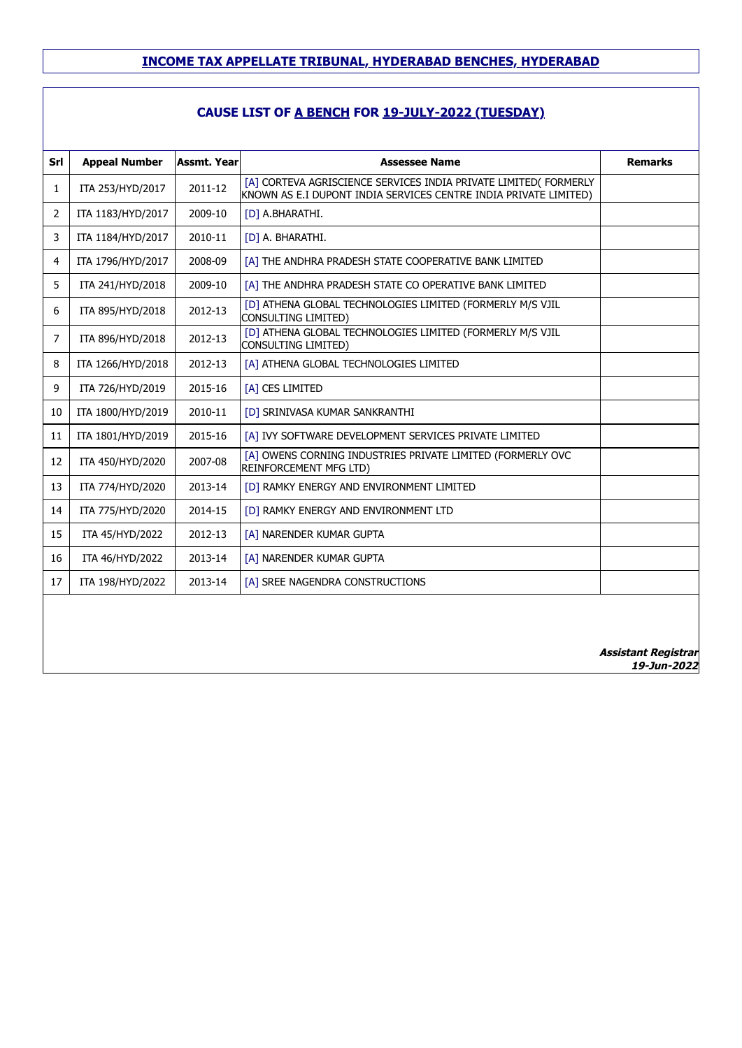| Srl            | <b>Appeal Number</b> | <b>Assmt. Year</b> | <b>Assessee Name</b>                                                                                                                 | <b>Remarks</b>                            |
|----------------|----------------------|--------------------|--------------------------------------------------------------------------------------------------------------------------------------|-------------------------------------------|
| $\mathbf{1}$   | ITA 253/HYD/2017     | 2011-12            | [A] CORTEVA AGRISCIENCE SERVICES INDIA PRIVATE LIMITED( FORMERLY<br>KNOWN AS E.I DUPONT INDIA SERVICES CENTRE INDIA PRIVATE LIMITED) |                                           |
| $\overline{2}$ | ITA 1183/HYD/2017    | 2009-10            | [D] A.BHARATHI.                                                                                                                      |                                           |
| 3              | ITA 1184/HYD/2017    | 2010-11            | [D] A. BHARATHI.                                                                                                                     |                                           |
| 4              | ITA 1796/HYD/2017    | 2008-09            | [A] THE ANDHRA PRADESH STATE COOPERATIVE BANK LIMITED                                                                                |                                           |
| 5              | ITA 241/HYD/2018     | 2009-10            | [A] THE ANDHRA PRADESH STATE CO OPERATIVE BANK LIMITED                                                                               |                                           |
| 6              | ITA 895/HYD/2018     | 2012-13            | [D] ATHENA GLOBAL TECHNOLOGIES LIMITED (FORMERLY M/S VJIL<br>CONSULTING LIMITED)                                                     |                                           |
| $\overline{7}$ | ITA 896/HYD/2018     | 2012-13            | [D] ATHENA GLOBAL TECHNOLOGIES LIMITED (FORMERLY M/S VJIL<br>CONSULTING LIMITED)                                                     |                                           |
| 8              | ITA 1266/HYD/2018    | 2012-13            | [A] ATHENA GLOBAL TECHNOLOGIES LIMITED                                                                                               |                                           |
| 9              | ITA 726/HYD/2019     | 2015-16            | [A] CES LIMITED                                                                                                                      |                                           |
| 10             | ITA 1800/HYD/2019    | 2010-11            | <b>[D] SRINIVASA KUMAR SANKRANTHI</b>                                                                                                |                                           |
| 11             | ITA 1801/HYD/2019    | 2015-16            | [A] IVY SOFTWARE DEVELOPMENT SERVICES PRIVATE LIMITED                                                                                |                                           |
| 12             | ITA 450/HYD/2020     | 2007-08            | [A] OWENS CORNING INDUSTRIES PRIVATE LIMITED (FORMERLY OVC<br><b>REINFORCEMENT MFG LTD)</b>                                          |                                           |
| 13             | ITA 774/HYD/2020     | 2013-14            | [D] RAMKY ENERGY AND ENVIRONMENT LIMITED                                                                                             |                                           |
| 14             | ITA 775/HYD/2020     | 2014-15            | [D] RAMKY ENERGY AND ENVIRONMENT LTD                                                                                                 |                                           |
| 15             | ITA 45/HYD/2022      | 2012-13            | [A] NARENDER KUMAR GUPTA                                                                                                             |                                           |
| 16             | ITA 46/HYD/2022      | 2013-14            | [A] NARENDER KUMAR GUPTA                                                                                                             |                                           |
| 17             | ITA 198/HYD/2022     | 2013-14            | [A] SREE NAGENDRA CONSTRUCTIONS                                                                                                      |                                           |
|                |                      |                    |                                                                                                                                      |                                           |
|                |                      |                    |                                                                                                                                      |                                           |
|                |                      |                    |                                                                                                                                      | <b>Assistant Registrar</b><br>19-Jun-2022 |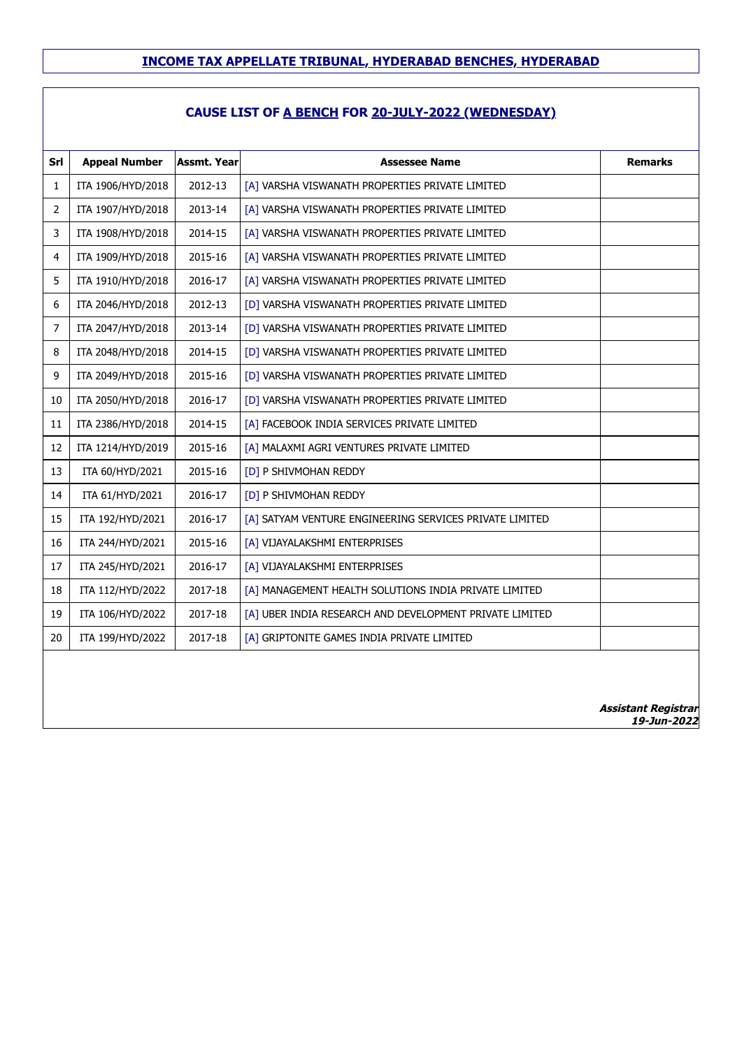## **CAUSE LIST OF A BENCH FOR 20-JULY-2022 (WEDNESDAY)**

| Srl            | <b>Appeal Number</b> | <b>Assmt. Year</b> | <b>Assessee Name</b>                                    | <b>Remarks</b> |
|----------------|----------------------|--------------------|---------------------------------------------------------|----------------|
| 1              | ITA 1906/HYD/2018    | 2012-13            | [A] VARSHA VISWANATH PROPERTIES PRIVATE LIMITED         |                |
| $\overline{2}$ | ITA 1907/HYD/2018    | 2013-14            | [A] VARSHA VISWANATH PROPERTIES PRIVATE LIMITED         |                |
| 3              | ITA 1908/HYD/2018    | 2014-15            | [A] VARSHA VISWANATH PROPERTIES PRIVATE LIMITED         |                |
| 4              | ITA 1909/HYD/2018    | 2015-16            | [A] VARSHA VISWANATH PROPERTIES PRIVATE LIMITED         |                |
| 5              | ITA 1910/HYD/2018    | 2016-17            | [A] VARSHA VISWANATH PROPERTIES PRIVATE LIMITED         |                |
| 6              | ITA 2046/HYD/2018    | 2012-13            | [D] VARSHA VISWANATH PROPERTIES PRIVATE LIMITED         |                |
| 7              | ITA 2047/HYD/2018    | 2013-14            | [D] VARSHA VISWANATH PROPERTIES PRIVATE LIMITED         |                |
| 8              | ITA 2048/HYD/2018    | 2014-15            | [D] VARSHA VISWANATH PROPERTIES PRIVATE LIMITED         |                |
| 9              | ITA 2049/HYD/2018    | 2015-16            | [D] VARSHA VISWANATH PROPERTIES PRIVATE LIMITED         |                |
| 10             | ITA 2050/HYD/2018    | 2016-17            | [D] VARSHA VISWANATH PROPERTIES PRIVATE LIMITED         |                |
| 11             | ITA 2386/HYD/2018    | 2014-15            | [A] FACEBOOK INDIA SERVICES PRIVATE LIMITED             |                |
| 12             | ITA 1214/HYD/2019    | 2015-16            | [A] MALAXMI AGRI VENTURES PRIVATE LIMITED               |                |
| 13             | ITA 60/HYD/2021      | 2015-16            | [D] P SHIVMOHAN REDDY                                   |                |
| 14             | ITA 61/HYD/2021      | 2016-17            | [D] P SHIVMOHAN REDDY                                   |                |
| 15             | ITA 192/HYD/2021     | 2016-17            | [A] SATYAM VENTURE ENGINEERING SERVICES PRIVATE LIMITED |                |
| 16             | ITA 244/HYD/2021     | 2015-16            | [A] VIJAYALAKSHMI ENTERPRISES                           |                |
| 17             | ITA 245/HYD/2021     | 2016-17            | [A] VIJAYALAKSHMI ENTERPRISES                           |                |
| 18             | ITA 112/HYD/2022     | 2017-18            | [A] MANAGEMENT HEALTH SOLUTIONS INDIA PRIVATE LIMITED   |                |
| 19             | ITA 106/HYD/2022     | 2017-18            | [A] UBER INDIA RESEARCH AND DEVELOPMENT PRIVATE LIMITED |                |
| 20             | ITA 199/HYD/2022     | 2017-18            | [A] GRIPTONITE GAMES INDIA PRIVATE LIMITED              |                |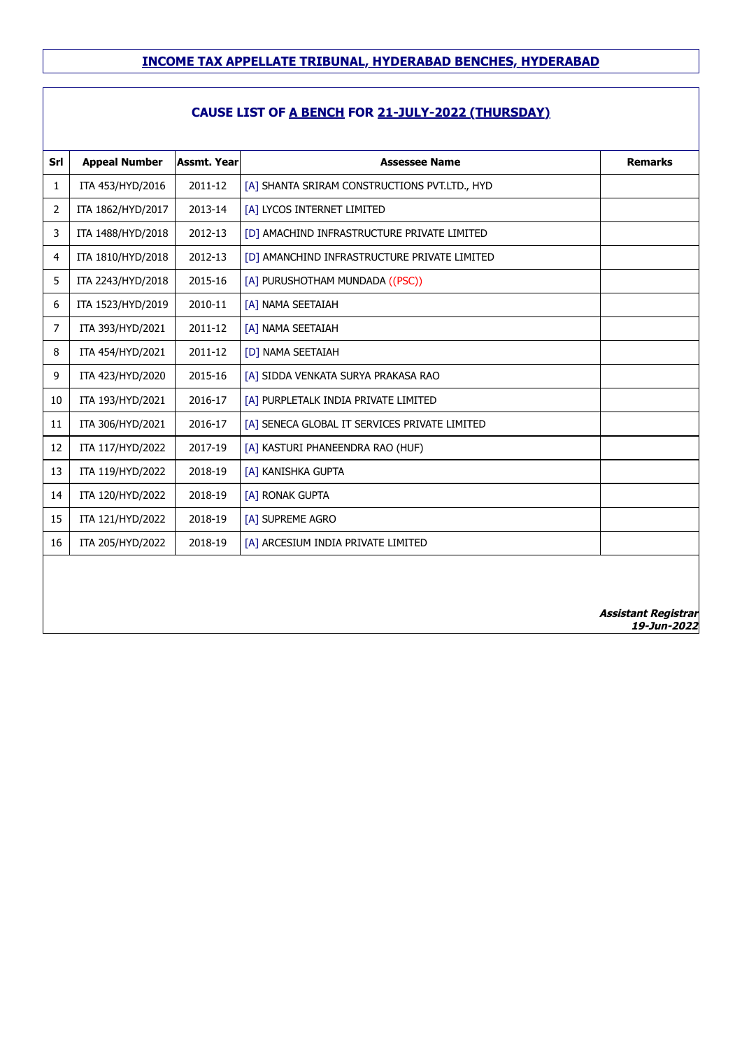| Srl            | <b>Appeal Number</b> | <b>Assmt. Year</b> | <b>Assessee Name</b>                          | <b>Remarks</b>                            |
|----------------|----------------------|--------------------|-----------------------------------------------|-------------------------------------------|
| $\mathbf{1}$   | ITA 453/HYD/2016     | 2011-12            | [A] SHANTA SRIRAM CONSTRUCTIONS PVT.LTD., HYD |                                           |
| $\overline{2}$ | ITA 1862/HYD/2017    | 2013-14            | [A] LYCOS INTERNET LIMITED                    |                                           |
| 3              | ITA 1488/HYD/2018    | 2012-13            | [D] AMACHIND INFRASTRUCTURE PRIVATE LIMITED   |                                           |
| 4              | ITA 1810/HYD/2018    | 2012-13            | [D] AMANCHIND INFRASTRUCTURE PRIVATE LIMITED  |                                           |
| 5              | ITA 2243/HYD/2018    | 2015-16            | [A] PURUSHOTHAM MUNDADA ((PSC))               |                                           |
| 6              | ITA 1523/HYD/2019    | 2010-11            | [A] NAMA SEETAIAH                             |                                           |
| $\overline{7}$ | ITA 393/HYD/2021     | 2011-12            | [A] NAMA SEETAIAH                             |                                           |
| 8              | ITA 454/HYD/2021     | 2011-12            | [D] NAMA SEETAIAH                             |                                           |
| 9              | ITA 423/HYD/2020     | 2015-16            | [A] SIDDA VENKATA SURYA PRAKASA RAO           |                                           |
| 10             | ITA 193/HYD/2021     | 2016-17            | [A] PURPLETALK INDIA PRIVATE LIMITED          |                                           |
| 11             | ITA 306/HYD/2021     | 2016-17            | [A] SENECA GLOBAL IT SERVICES PRIVATE LIMITED |                                           |
| 12             | ITA 117/HYD/2022     | 2017-19            | [A] KASTURI PHANEENDRA RAO (HUF)              |                                           |
| 13             | ITA 119/HYD/2022     | 2018-19            | [A] KANISHKA GUPTA                            |                                           |
| 14             | ITA 120/HYD/2022     | 2018-19            | [A] RONAK GUPTA                               |                                           |
| 15             | ITA 121/HYD/2022     | 2018-19            | [A] SUPREME AGRO                              |                                           |
| 16             | ITA 205/HYD/2022     | 2018-19            | [A] ARCESIUM INDIA PRIVATE LIMITED            |                                           |
|                |                      |                    |                                               |                                           |
|                |                      |                    |                                               |                                           |
|                |                      |                    |                                               |                                           |
|                |                      |                    |                                               | <b>Assistant Registrar</b><br>19-Jun-2022 |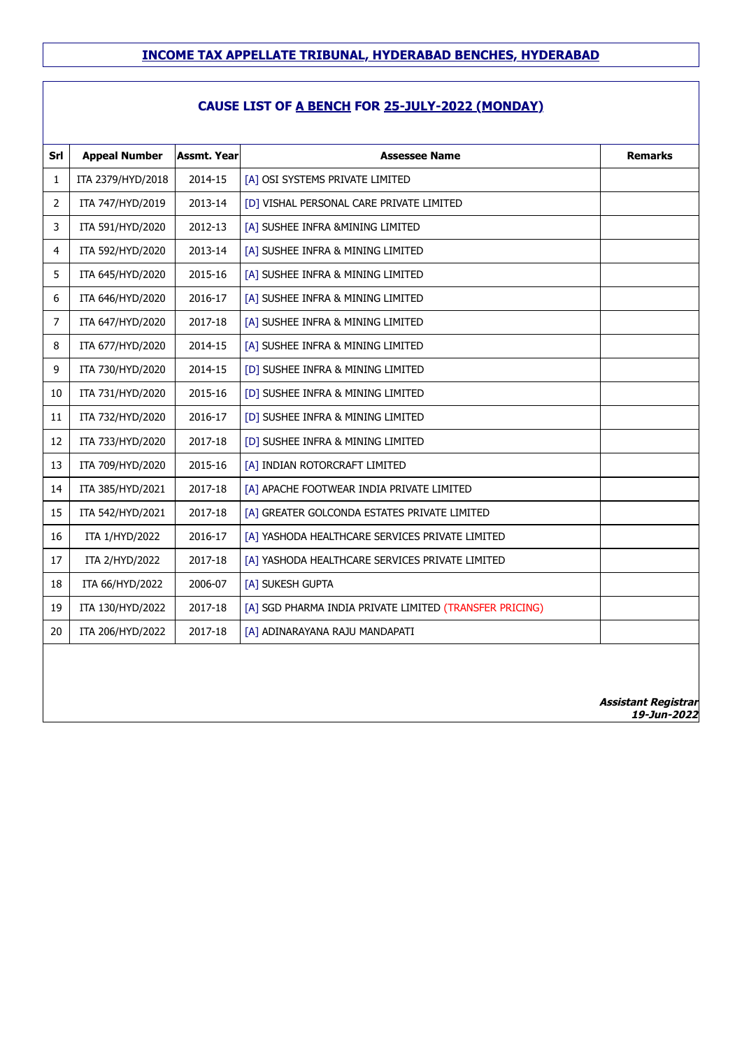## **CAUSE LIST OF A BENCH FOR 25-JULY-2022 (MONDAY)**

| Srl | <b>Appeal Number</b> | <b>Assmt. Year</b> | <b>Assessee Name</b>                                    | <b>Remarks</b>                            |
|-----|----------------------|--------------------|---------------------------------------------------------|-------------------------------------------|
| 1   | ITA 2379/HYD/2018    | 2014-15            | [A] OSI SYSTEMS PRIVATE LIMITED                         |                                           |
| 2   | ITA 747/HYD/2019     | 2013-14            | [D] VISHAL PERSONAL CARE PRIVATE LIMITED                |                                           |
| 3   | ITA 591/HYD/2020     | 2012-13            | [A] SUSHEE INFRA &MINING LIMITED                        |                                           |
| 4   | ITA 592/HYD/2020     | 2013-14            | [A] SUSHEE INFRA & MINING LIMITED                       |                                           |
| 5   | ITA 645/HYD/2020     | 2015-16            | [A] SUSHEE INFRA & MINING LIMITED                       |                                           |
| 6   | ITA 646/HYD/2020     | 2016-17            | [A] SUSHEE INFRA & MINING LIMITED                       |                                           |
| 7   | ITA 647/HYD/2020     | 2017-18            | [A] SUSHEE INFRA & MINING LIMITED                       |                                           |
| 8   | ITA 677/HYD/2020     | 2014-15            | [A] SUSHEE INFRA & MINING LIMITED                       |                                           |
| 9   | ITA 730/HYD/2020     | 2014-15            | [D] SUSHEE INFRA & MINING LIMITED                       |                                           |
| 10  | ITA 731/HYD/2020     | 2015-16            | [D] SUSHEE INFRA & MINING LIMITED                       |                                           |
| 11  | ITA 732/HYD/2020     | 2016-17            | [D] SUSHEE INFRA & MINING LIMITED                       |                                           |
| 12  | ITA 733/HYD/2020     | 2017-18            | [D] SUSHEE INFRA & MINING LIMITED                       |                                           |
| 13  | ITA 709/HYD/2020     | 2015-16            | [A] INDIAN ROTORCRAFT LIMITED                           |                                           |
| 14  | ITA 385/HYD/2021     | 2017-18            | [A] APACHE FOOTWEAR INDIA PRIVATE LIMITED               |                                           |
| 15  | ITA 542/HYD/2021     | 2017-18            | [A] GREATER GOLCONDA ESTATES PRIVATE LIMITED            |                                           |
| 16  | ITA 1/HYD/2022       | 2016-17            | [A] YASHODA HEALTHCARE SERVICES PRIVATE LIMITED         |                                           |
| 17  | ITA 2/HYD/2022       | 2017-18            | [A] YASHODA HEALTHCARE SERVICES PRIVATE LIMITED         |                                           |
| 18  | ITA 66/HYD/2022      | 2006-07            | [A] SUKESH GUPTA                                        |                                           |
| 19  | ITA 130/HYD/2022     | 2017-18            | [A] SGD PHARMA INDIA PRIVATE LIMITED (TRANSFER PRICING) |                                           |
| 20  | ITA 206/HYD/2022     | 2017-18            | [A] ADINARAYANA RAJU MANDAPATI                          |                                           |
|     |                      |                    |                                                         |                                           |
|     |                      |                    |                                                         |                                           |
|     |                      |                    |                                                         | <b>Assistant Registrar</b><br>19-Jun-2022 |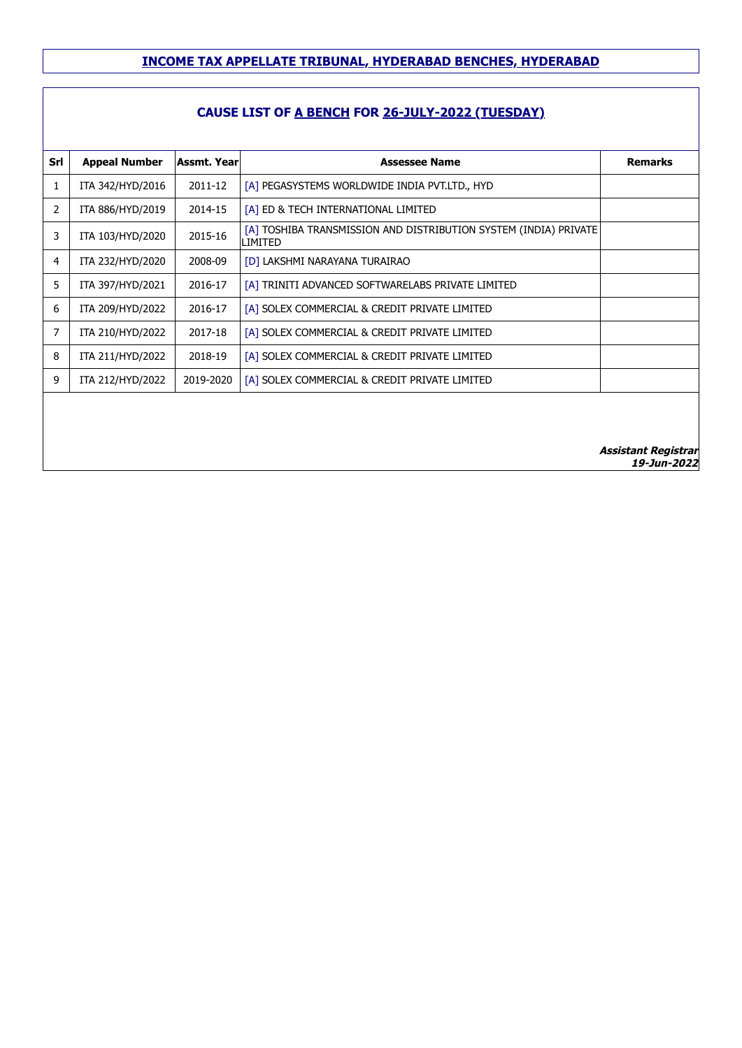| Srl | <b>Appeal Number</b> | Assmt. Yearl | <b>Assessee Name</b>                                                        | <b>Remarks</b>                            |
|-----|----------------------|--------------|-----------------------------------------------------------------------------|-------------------------------------------|
| 1   | ITA 342/HYD/2016     | 2011-12      | [A] PEGASYSTEMS WORLDWIDE INDIA PVT.LTD., HYD                               |                                           |
| 2   | ITA 886/HYD/2019     | 2014-15      | [A] ED & TECH INTERNATIONAL LIMITED                                         |                                           |
| 3   | ITA 103/HYD/2020     | 2015-16      | [A] TOSHIBA TRANSMISSION AND DISTRIBUTION SYSTEM (INDIA) PRIVATE<br>LIMITED |                                           |
| 4   | ITA 232/HYD/2020     | 2008-09      | [D] LAKSHMI NARAYANA TURAIRAO                                               |                                           |
| 5   | ITA 397/HYD/2021     | 2016-17      | [A] TRINITI ADVANCED SOFTWARELABS PRIVATE LIMITED                           |                                           |
| 6   | ITA 209/HYD/2022     | 2016-17      | [A] SOLEX COMMERCIAL & CREDIT PRIVATE LIMITED                               |                                           |
| 7   | ITA 210/HYD/2022     | 2017-18      | [A] SOLEX COMMERCIAL & CREDIT PRIVATE LIMITED                               |                                           |
| 8   | ITA 211/HYD/2022     | 2018-19      | [A] SOLEX COMMERCIAL & CREDIT PRIVATE LIMITED                               |                                           |
| 9   | ITA 212/HYD/2022     | 2019-2020    | [A] SOLEX COMMERCIAL & CREDIT PRIVATE LIMITED                               |                                           |
|     |                      |              |                                                                             |                                           |
|     |                      |              |                                                                             |                                           |
|     |                      |              |                                                                             | <b>Assistant Registrar</b><br>19-Jun-2022 |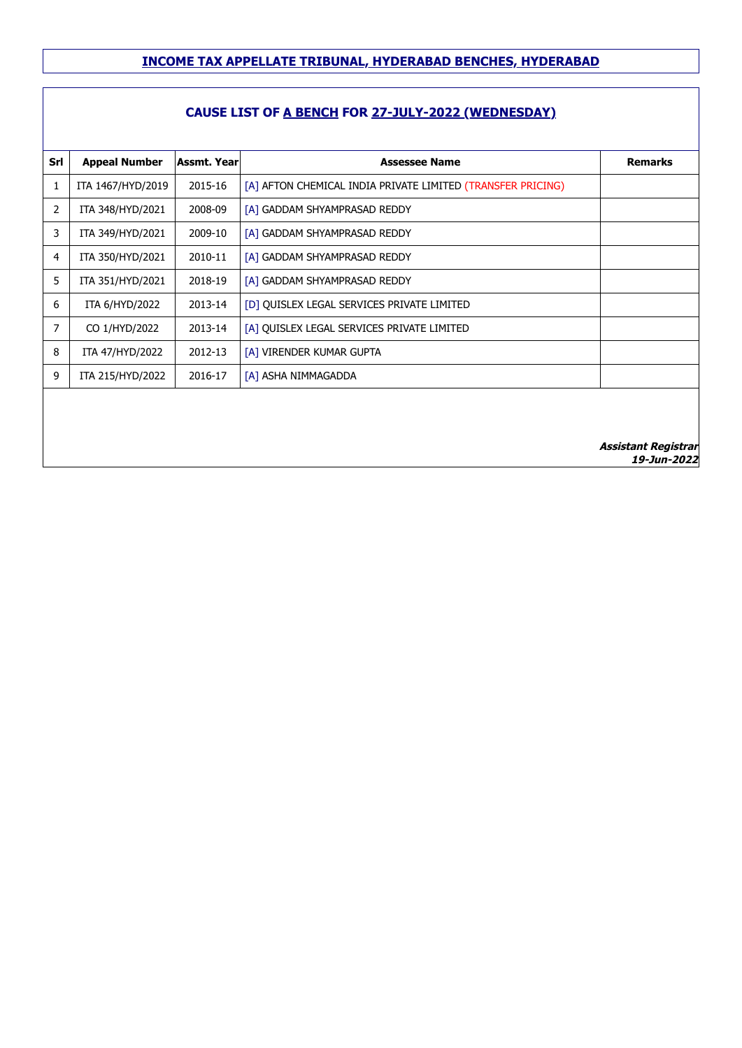## **CAUSE LIST OF A BENCH FOR 27-JULY-2022 (WEDNESDAY)**

| Srl            | <b>Appeal Number</b> | <b>Assmt. Year</b> | <b>Assessee Name</b>                                        | <b>Remarks</b>             |
|----------------|----------------------|--------------------|-------------------------------------------------------------|----------------------------|
| 1              | ITA 1467/HYD/2019    | 2015-16            | [A] AFTON CHEMICAL INDIA PRIVATE LIMITED (TRANSFER PRICING) |                            |
| $\overline{2}$ | ITA 348/HYD/2021     | 2008-09            | [A] GADDAM SHYAMPRASAD REDDY                                |                            |
| 3              | ITA 349/HYD/2021     | 2009-10            | [A] GADDAM SHYAMPRASAD REDDY                                |                            |
| 4              | ITA 350/HYD/2021     | 2010-11            | [A] GADDAM SHYAMPRASAD REDDY                                |                            |
| 5              | ITA 351/HYD/2021     | 2018-19            | [A] GADDAM SHYAMPRASAD REDDY                                |                            |
| 6              | ITA 6/HYD/2022       | 2013-14            | [D] QUISLEX LEGAL SERVICES PRIVATE LIMITED                  |                            |
| $\overline{7}$ | CO 1/HYD/2022        | 2013-14            | [A] QUISLEX LEGAL SERVICES PRIVATE LIMITED                  |                            |
| 8              | ITA 47/HYD/2022      | 2012-13            | [A] VIRENDER KUMAR GUPTA                                    |                            |
| 9              | ITA 215/HYD/2022     | 2016-17            | [A] ASHA NIMMAGADDA                                         |                            |
|                |                      |                    |                                                             |                            |
|                |                      |                    |                                                             |                            |
|                |                      |                    |                                                             | <b>Assistant Registrar</b> |

**19-Jun-2022**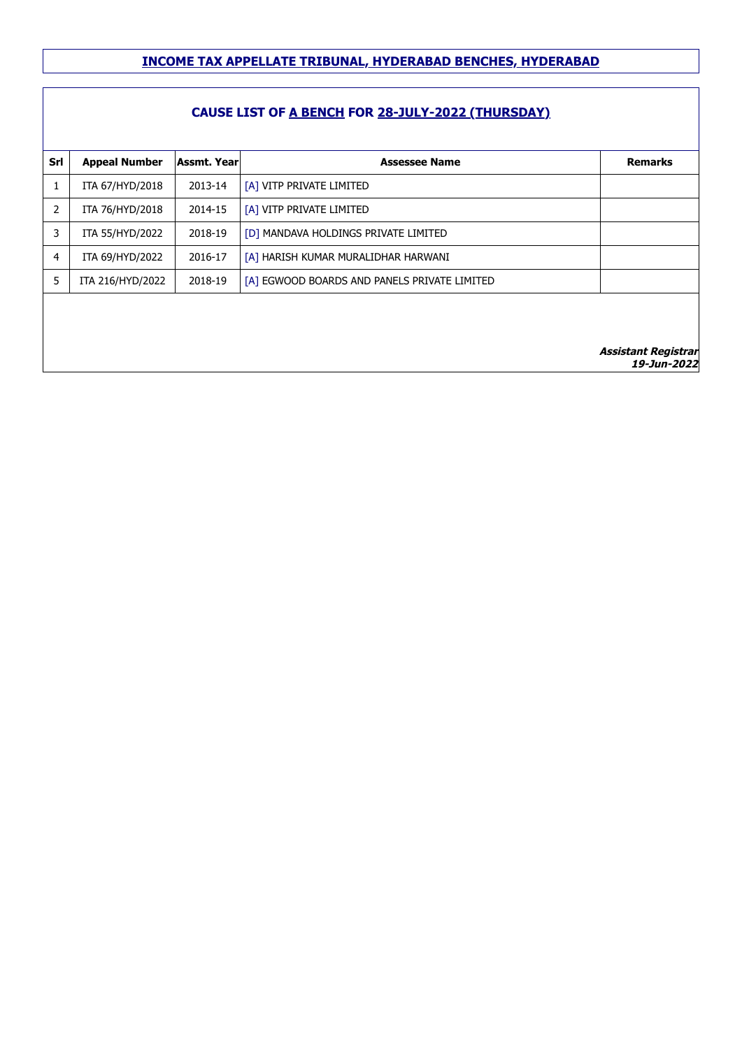#### **CAUSE LIST OF A BENCH FOR 28-JULY-2022 (THURSDAY)**

| Srl            | <b>Appeal Number</b> | <b>Assmt. Year</b> | <b>Assessee Name</b>                         | <b>Remarks</b>      |
|----------------|----------------------|--------------------|----------------------------------------------|---------------------|
|                | ITA 67/HYD/2018      | 2013-14            | [A] VITP PRIVATE LIMITED                     |                     |
| $\overline{2}$ | ITA 76/HYD/2018      | 2014-15            | [A] VITP PRIVATE LIMITED                     |                     |
| 3              | ITA 55/HYD/2022      | 2018-19            | [D] MANDAVA HOLDINGS PRIVATE LIMITED         |                     |
| 4              | ITA 69/HYD/2022      | 2016-17            | [A] HARISH KUMAR MURALIDHAR HARWANI          |                     |
| 5              | ITA 216/HYD/2022     | 2018-19            | [A] EGWOOD BOARDS AND PANELS PRIVATE LIMITED |                     |
|                |                      |                    |                                              |                     |
|                |                      |                    |                                              |                     |
|                |                      |                    |                                              | Accictant Registrar |

Assistant Reg **19-Jun-2022**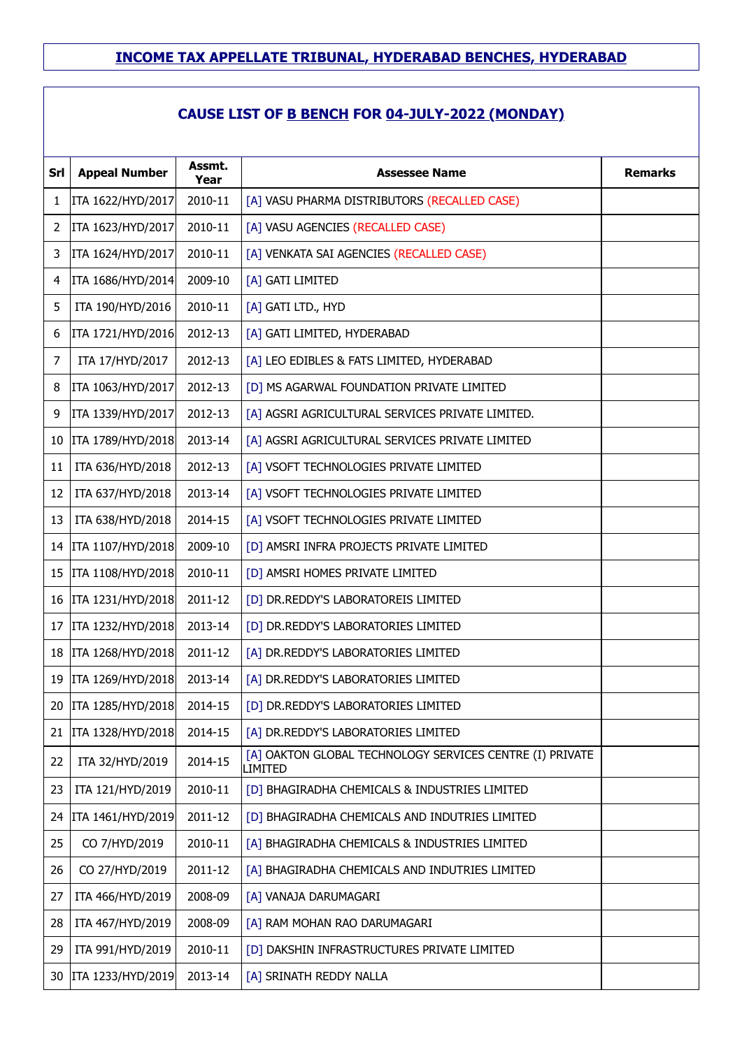## **CAUSE LIST OF B BENCH FOR 04-JULY-2022 (MONDAY)**

| Srl             | <b>Appeal Number</b>   | Assmt.<br>Year | <b>Assessee Name</b>                                                | <b>Remarks</b> |
|-----------------|------------------------|----------------|---------------------------------------------------------------------|----------------|
| 1               | ITA 1622/HYD/2017      | 2010-11        | [A] VASU PHARMA DISTRIBUTORS (RECALLED CASE)                        |                |
| $\overline{2}$  | ITA 1623/HYD/2017      | 2010-11        | [A] VASU AGENCIES (RECALLED CASE)                                   |                |
| 3               | ITA 1624/HYD/2017      | 2010-11        | [A] VENKATA SAI AGENCIES (RECALLED CASE)                            |                |
| 4               | ITA 1686/HYD/2014      | 2009-10        | [A] GATI LIMITED                                                    |                |
| 5               | ITA 190/HYD/2016       | 2010-11        | [A] GATI LTD., HYD                                                  |                |
| 6               | ITA 1721/HYD/2016      | 2012-13        | [A] GATI LIMITED, HYDERABAD                                         |                |
| 7               | ITA 17/HYD/2017        | 2012-13        | [A] LEO EDIBLES & FATS LIMITED, HYDERABAD                           |                |
| 8               | ITA 1063/HYD/2017      | 2012-13        | [D] MS AGARWAL FOUNDATION PRIVATE LIMITED                           |                |
| 9               | ITA 1339/HYD/2017      | 2012-13        | [A] AGSRI AGRICULTURAL SERVICES PRIVATE LIMITED.                    |                |
| 10              | ITA 1789/HYD/2018      | 2013-14        | [A] AGSRI AGRICULTURAL SERVICES PRIVATE LIMITED                     |                |
| 11              | ITA 636/HYD/2018       | 2012-13        | [A] VSOFT TECHNOLOGIES PRIVATE LIMITED                              |                |
| 12              | ITA 637/HYD/2018       | 2013-14        | [A] VSOFT TECHNOLOGIES PRIVATE LIMITED                              |                |
| 13              | ITA 638/HYD/2018       | 2014-15        | [A] VSOFT TECHNOLOGIES PRIVATE LIMITED                              |                |
| 14              | ITA 1107/HYD/2018      | 2009-10        | [D] AMSRI INFRA PROJECTS PRIVATE LIMITED                            |                |
| 15 <sup>2</sup> | ITA 1108/HYD/2018      | 2010-11        | [D] AMSRI HOMES PRIVATE LIMITED                                     |                |
|                 | 16   ITA 1231/HYD/2018 | 2011-12        | [D] DR.REDDY'S LABORATOREIS LIMITED                                 |                |
| 17              | ITA 1232/HYD/2018      | 2013-14        | [D] DR.REDDY'S LABORATORIES LIMITED                                 |                |
| 18              | ITA 1268/HYD/2018      | 2011-12        | [A] DR.REDDY'S LABORATORIES LIMITED                                 |                |
|                 | 19   ITA 1269/HYD/2018 | 2013-14        | [A] DR.REDDY'S LABORATORIES LIMITED                                 |                |
| 20              | ITA 1285/HYD/2018      | 2014-15        | [D] DR.REDDY'S LABORATORIES LIMITED                                 |                |
| 21              | ITA 1328/HYD/2018      | 2014-15        | [A] DR. REDDY'S LABORATORIES LIMITED                                |                |
| 22              | ITA 32/HYD/2019        | 2014-15        | [A] OAKTON GLOBAL TECHNOLOGY SERVICES CENTRE (I) PRIVATE<br>LIMITED |                |
| 23              | ITA 121/HYD/2019       | 2010-11        | [D] BHAGIRADHA CHEMICALS & INDUSTRIES LIMITED                       |                |
| 24              | ITA 1461/HYD/2019      | 2011-12        | [D] BHAGIRADHA CHEMICALS AND INDUTRIES LIMITED                      |                |
| 25              | CO 7/HYD/2019          | 2010-11        | [A] BHAGIRADHA CHEMICALS & INDUSTRIES LIMITED                       |                |
| 26              | CO 27/HYD/2019         | 2011-12        | [A] BHAGIRADHA CHEMICALS AND INDUTRIES LIMITED                      |                |
| 27              | ITA 466/HYD/2019       | 2008-09        | [A] VANAJA DARUMAGARI                                               |                |
| 28              | ITA 467/HYD/2019       | 2008-09        | [A] RAM MOHAN RAO DARUMAGARI                                        |                |
| 29              | ITA 991/HYD/2019       | 2010-11        | [D] DAKSHIN INFRASTRUCTURES PRIVATE LIMITED                         |                |
| 30              | ITA 1233/HYD/2019      | 2013-14        | [A] SRINATH REDDY NALLA                                             |                |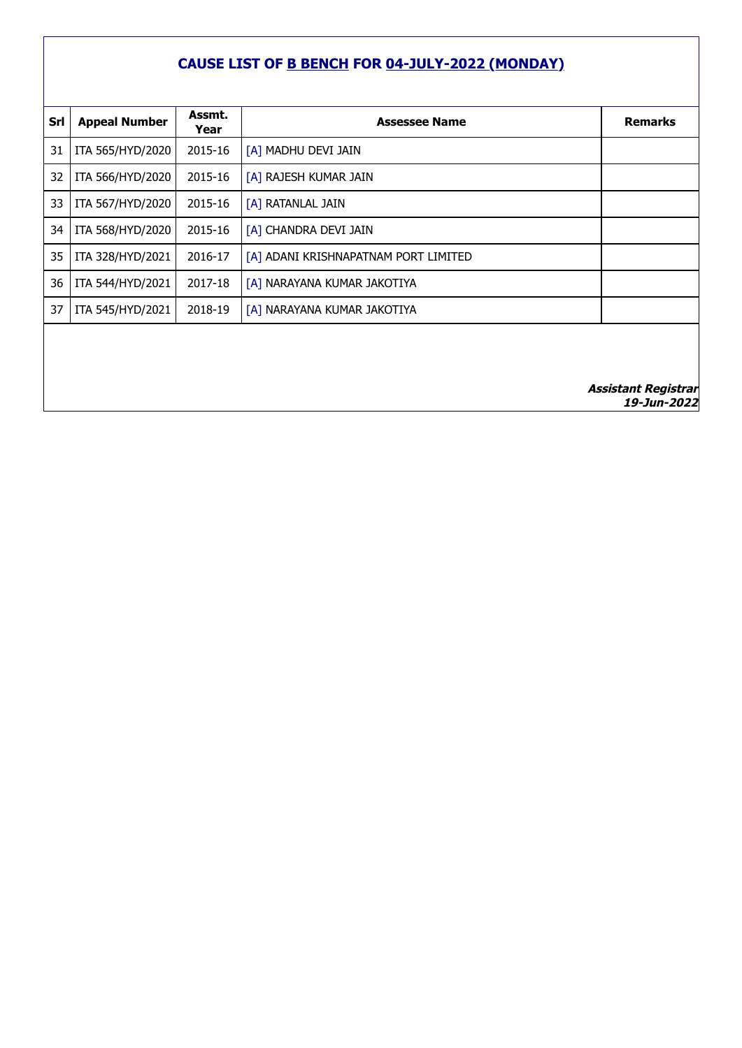## **CAUSE LIST OF B BENCH FOR 04-JULY-2022 (MONDAY)**

| Srl | <b>Appeal Number</b> | Assmt.<br>Year | <b>Assessee Name</b>                 | <b>Remarks</b> |
|-----|----------------------|----------------|--------------------------------------|----------------|
| 31  | ITA 565/HYD/2020     | 2015-16        | [A] MADHU DEVI JAIN                  |                |
| 32  | ITA 566/HYD/2020     | 2015-16        | [A] RAJESH KUMAR JAIN                |                |
| 33  | ITA 567/HYD/2020     | 2015-16        | [A] RATANLAL JAIN                    |                |
| 34  | ITA 568/HYD/2020     | 2015-16        | [A] CHANDRA DEVI JAIN                |                |
| 35  | ITA 328/HYD/2021     | 2016-17        | [A] ADANI KRISHNAPATNAM PORT LIMITED |                |
| 36  | ITA 544/HYD/2021     | 2017-18        | [A] NARAYANA KUMAR JAKOTIYA          |                |
| 37  | ITA 545/HYD/2021     | 2018-19        | [A] NARAYANA KUMAR JAKOTIYA          |                |
|     |                      |                |                                      |                |
|     |                      |                |                                      |                |
|     |                      |                |                                      |                |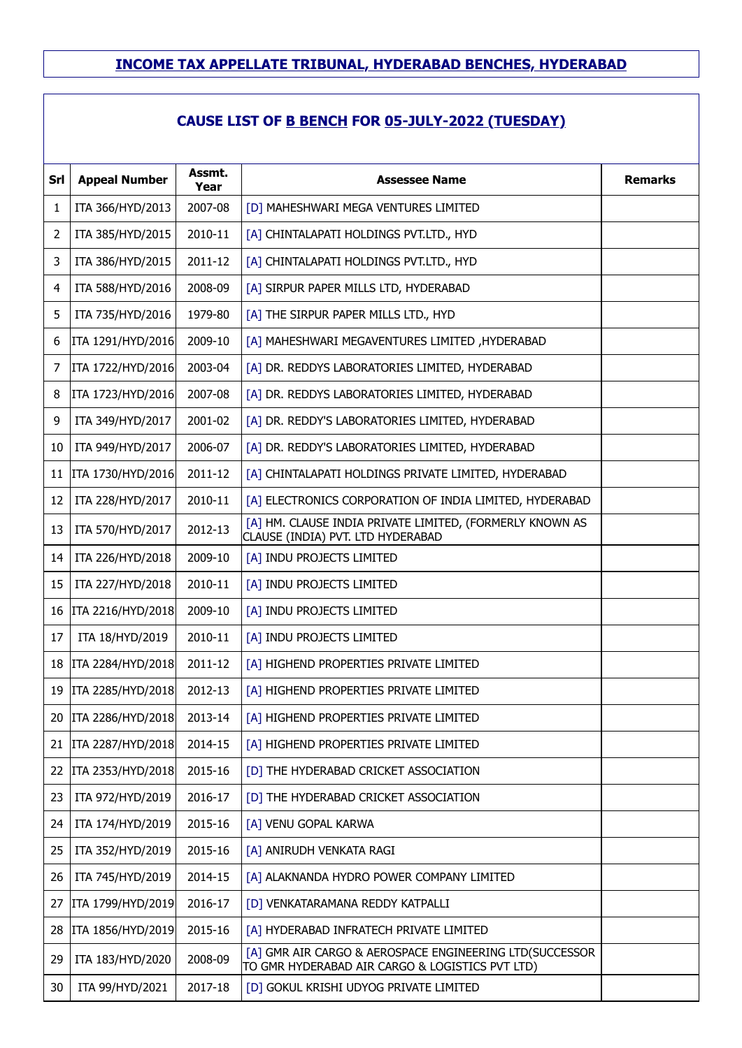| Srl | <b>Appeal Number</b> | Assmt.<br>Year | <b>Assessee Name</b>                                                                                       | <b>Remarks</b> |
|-----|----------------------|----------------|------------------------------------------------------------------------------------------------------------|----------------|
| 1   | ITA 366/HYD/2013     | 2007-08        | [D] MAHESHWARI MEGA VENTURES LIMITED                                                                       |                |
| 2   | ITA 385/HYD/2015     | 2010-11        | [A] CHINTALAPATI HOLDINGS PVT.LTD., HYD                                                                    |                |
| 3   | ITA 386/HYD/2015     | 2011-12        | [A] CHINTALAPATI HOLDINGS PVT.LTD., HYD                                                                    |                |
| 4   | ITA 588/HYD/2016     | 2008-09        | [A] SIRPUR PAPER MILLS LTD, HYDERABAD                                                                      |                |
| 5   | ITA 735/HYD/2016     | 1979-80        | [A] THE SIRPUR PAPER MILLS LTD., HYD                                                                       |                |
| 6   | ITA 1291/HYD/2016    | 2009-10        | [A] MAHESHWARI MEGAVENTURES LIMITED, HYDERABAD                                                             |                |
| 7   | ITA 1722/HYD/2016    | 2003-04        | [A] DR. REDDYS LABORATORIES LIMITED, HYDERABAD                                                             |                |
| 8   | ITA 1723/HYD/2016    | 2007-08        | [A] DR. REDDYS LABORATORIES LIMITED, HYDERABAD                                                             |                |
| 9   | ITA 349/HYD/2017     | 2001-02        | [A] DR. REDDY'S LABORATORIES LIMITED, HYDERABAD                                                            |                |
| 10  | ITA 949/HYD/2017     | 2006-07        | [A] DR. REDDY'S LABORATORIES LIMITED, HYDERABAD                                                            |                |
| 11  | ITA 1730/HYD/2016    | 2011-12        | [A] CHINTALAPATI HOLDINGS PRIVATE LIMITED, HYDERABAD                                                       |                |
| 12  | ITA 228/HYD/2017     | 2010-11        | [A] ELECTRONICS CORPORATION OF INDIA LIMITED, HYDERABAD                                                    |                |
| 13  | ITA 570/HYD/2017     | 2012-13        | [A] HM. CLAUSE INDIA PRIVATE LIMITED, (FORMERLY KNOWN AS<br>CLAUSE (INDIA) PVT. LTD HYDERABAD              |                |
| 14  | ITA 226/HYD/2018     | 2009-10        | [A] INDU PROJECTS LIMITED                                                                                  |                |
| 15  | ITA 227/HYD/2018     | 2010-11        | [A] INDU PROJECTS LIMITED                                                                                  |                |
| 16  | ITA 2216/HYD/2018    | 2009-10        | [A] INDU PROJECTS LIMITED                                                                                  |                |
| 17  | ITA 18/HYD/2019      | 2010-11        | [A] INDU PROJECTS LIMITED                                                                                  |                |
| 18  | ITA 2284/HYD/2018    | 2011-12        | [A] HIGHEND PROPERTIES PRIVATE LIMITED                                                                     |                |
| 19  | ITA 2285/HYD/2018    | 2012-13        | [A] HIGHEND PROPERTIES PRIVATE LIMITED                                                                     |                |
| 20  | ITA 2286/HYD/2018    | 2013-14        | [A] HIGHEND PROPERTIES PRIVATE LIMITED                                                                     |                |
| 21  | ITA 2287/HYD/2018    | 2014-15        | [A] HIGHEND PROPERTIES PRIVATE LIMITED                                                                     |                |
| 22  | ITA 2353/HYD/2018    | 2015-16        | [D] THE HYDERABAD CRICKET ASSOCIATION                                                                      |                |
| 23  | ITA 972/HYD/2019     | 2016-17        | [D] THE HYDERABAD CRICKET ASSOCIATION                                                                      |                |
| 24  | ITA 174/HYD/2019     | 2015-16        | [A] VENU GOPAL KARWA                                                                                       |                |
| 25  | ITA 352/HYD/2019     | 2015-16        | [A] ANIRUDH VENKATA RAGI                                                                                   |                |
| 26  | ITA 745/HYD/2019     | 2014-15        | [A] ALAKNANDA HYDRO POWER COMPANY LIMITED                                                                  |                |
| 27  | ITA 1799/HYD/2019    | 2016-17        | [D] VENKATARAMANA REDDY KATPALLI                                                                           |                |
| 28  | ITA 1856/HYD/2019    | 2015-16        | [A] HYDERABAD INFRATECH PRIVATE LIMITED                                                                    |                |
| 29  | ITA 183/HYD/2020     | 2008-09        | [A] GMR AIR CARGO & AEROSPACE ENGINEERING LTD(SUCCESSOR<br>TO GMR HYDERABAD AIR CARGO & LOGISTICS PVT LTD) |                |
| 30  | ITA 99/HYD/2021      | 2017-18        | [D] GOKUL KRISHI UDYOG PRIVATE LIMITED                                                                     |                |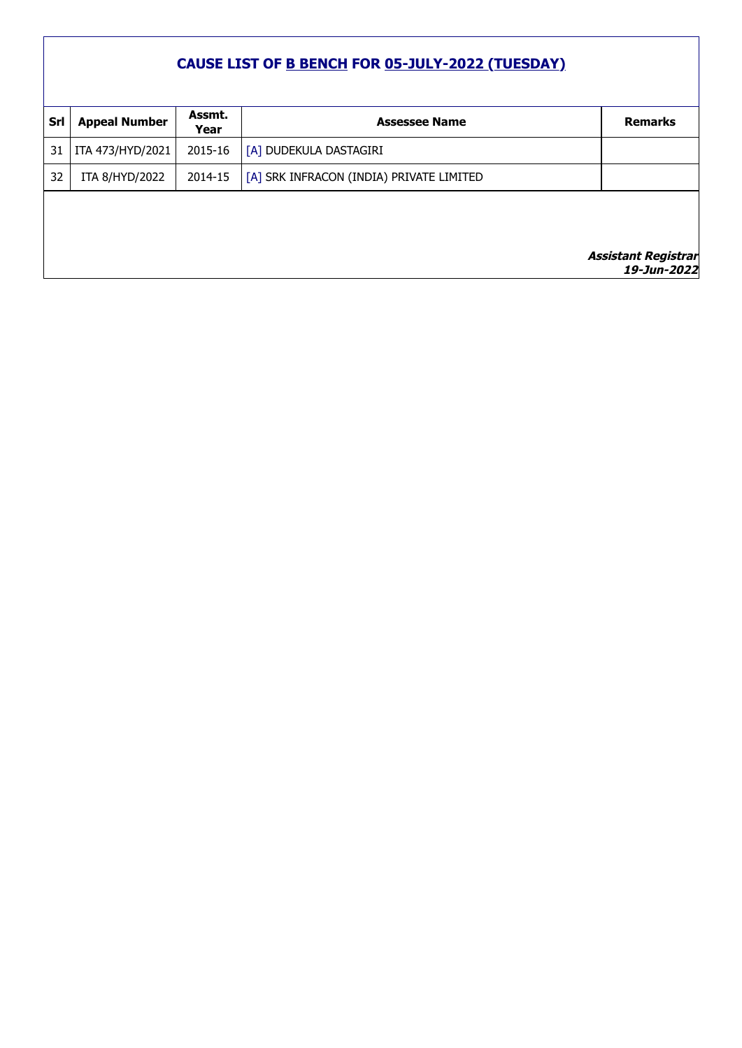| Srl | <b>Appeal Number</b> | Assmt.<br>Year | <b>Assessee Name</b>                     | <b>Remarks</b>                             |
|-----|----------------------|----------------|------------------------------------------|--------------------------------------------|
| 31  | ITA 473/HYD/2021     | 2015-16        | [A] DUDEKULA DASTAGIRI                   |                                            |
| 32  | ITA 8/HYD/2022       | 2014-15        | [A] SRK INFRACON (INDIA) PRIVATE LIMITED |                                            |
|     |                      |                |                                          |                                            |
|     |                      |                |                                          | <i>Assistant Registrar<br/>19-Jun-2022</i> |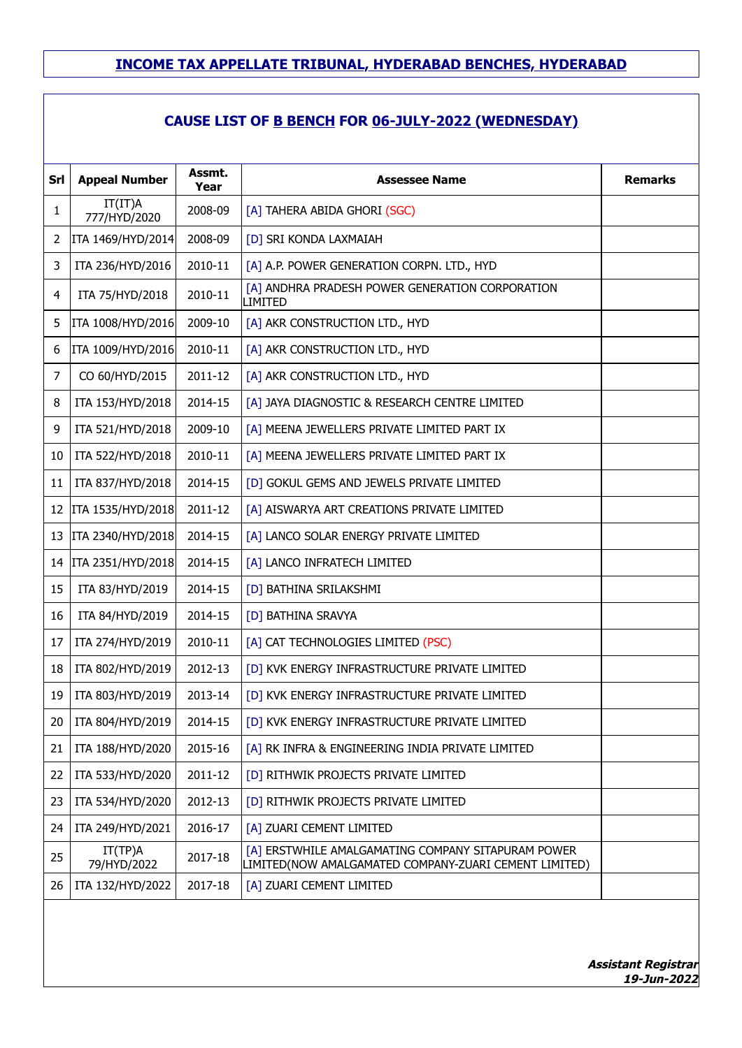## **CAUSE LIST OF B BENCH FOR 06-JULY-2022 (WEDNESDAY)**

| Srl            | <b>Appeal Number</b>    | Assmt.<br>Year | Assessee Name                                                                                               | <b>Remarks</b> |
|----------------|-------------------------|----------------|-------------------------------------------------------------------------------------------------------------|----------------|
| 1              | IT(IT)A<br>777/HYD/2020 | 2008-09        | [A] TAHERA ABIDA GHORI (SGC)                                                                                |                |
| 2              | ITA 1469/HYD/2014       | 2008-09        | [D] SRI KONDA LAXMAIAH                                                                                      |                |
| 3              | ITA 236/HYD/2016        | 2010-11        | [A] A.P. POWER GENERATION CORPN. LTD., HYD                                                                  |                |
| 4              | ITA 75/HYD/2018         | 2010-11        | [A] ANDHRA PRADESH POWER GENERATION CORPORATION<br>LIMITED                                                  |                |
| 5              | ITA 1008/HYD/2016       | 2009-10        | [A] AKR CONSTRUCTION LTD., HYD                                                                              |                |
| 6              | ITA 1009/HYD/2016       | 2010-11        | [A] AKR CONSTRUCTION LTD., HYD                                                                              |                |
| $\overline{7}$ | CO 60/HYD/2015          | 2011-12        | [A] AKR CONSTRUCTION LTD., HYD                                                                              |                |
| 8              | ITA 153/HYD/2018        | 2014-15        | [A] JAYA DIAGNOSTIC & RESEARCH CENTRE LIMITED                                                               |                |
| 9              | ITA 521/HYD/2018        | 2009-10        | [A] MEENA JEWELLERS PRIVATE LIMITED PART IX                                                                 |                |
| 10             | ITA 522/HYD/2018        | 2010-11        | [A] MEENA JEWELLERS PRIVATE LIMITED PART IX                                                                 |                |
| 11             | ITA 837/HYD/2018        | 2014-15        | [D] GOKUL GEMS AND JEWELS PRIVATE LIMITED                                                                   |                |
| 12             | ITA 1535/HYD/2018       | 2011-12        | [A] AISWARYA ART CREATIONS PRIVATE LIMITED                                                                  |                |
|                | 13   ITA 2340/HYD/2018  | 2014-15        | [A] LANCO SOLAR ENERGY PRIVATE LIMITED                                                                      |                |
|                | 14   ITA 2351/HYD/2018  | 2014-15        | [A] LANCO INFRATECH LIMITED                                                                                 |                |
| 15             | ITA 83/HYD/2019         | 2014-15        | [D] BATHINA SRILAKSHMI                                                                                      |                |
| 16             | ITA 84/HYD/2019         | 2014-15        | [D] BATHINA SRAVYA                                                                                          |                |
| 17             | ITA 274/HYD/2019        | 2010-11        | [A] CAT TECHNOLOGIES LIMITED (PSC)                                                                          |                |
| 18             | ITA 802/HYD/2019        | 2012-13        | [D] KVK ENERGY INFRASTRUCTURE PRIVATE LIMITED                                                               |                |
| 19             | ITA 803/HYD/2019        | 2013-14        | [D] KVK ENERGY INFRASTRUCTURE PRIVATE LIMITED                                                               |                |
| 20             | ITA 804/HYD/2019        | 2014-15        | [D] KVK ENERGY INFRASTRUCTURE PRIVATE LIMITED                                                               |                |
| 21             | ITA 188/HYD/2020        | 2015-16        | [A] RK INFRA & ENGINEERING INDIA PRIVATE LIMITED                                                            |                |
| 22             | ITA 533/HYD/2020        | 2011-12        | [D] RITHWIK PROJECTS PRIVATE LIMITED                                                                        |                |
| 23             | ITA 534/HYD/2020        | 2012-13        | [D] RITHWIK PROJECTS PRIVATE LIMITED                                                                        |                |
| 24             | ITA 249/HYD/2021        | 2016-17        | [A] ZUARI CEMENT LIMITED                                                                                    |                |
| 25             | IT(TP)A<br>79/HYD/2022  | 2017-18        | [A] ERSTWHILE AMALGAMATING COMPANY SITAPURAM POWER<br>LIMITED(NOW AMALGAMATED COMPANY-ZUARI CEMENT LIMITED) |                |
| 26             | ITA 132/HYD/2022        | 2017-18        | [A] ZUARI CEMENT LIMITED                                                                                    |                |
|                |                         |                |                                                                                                             |                |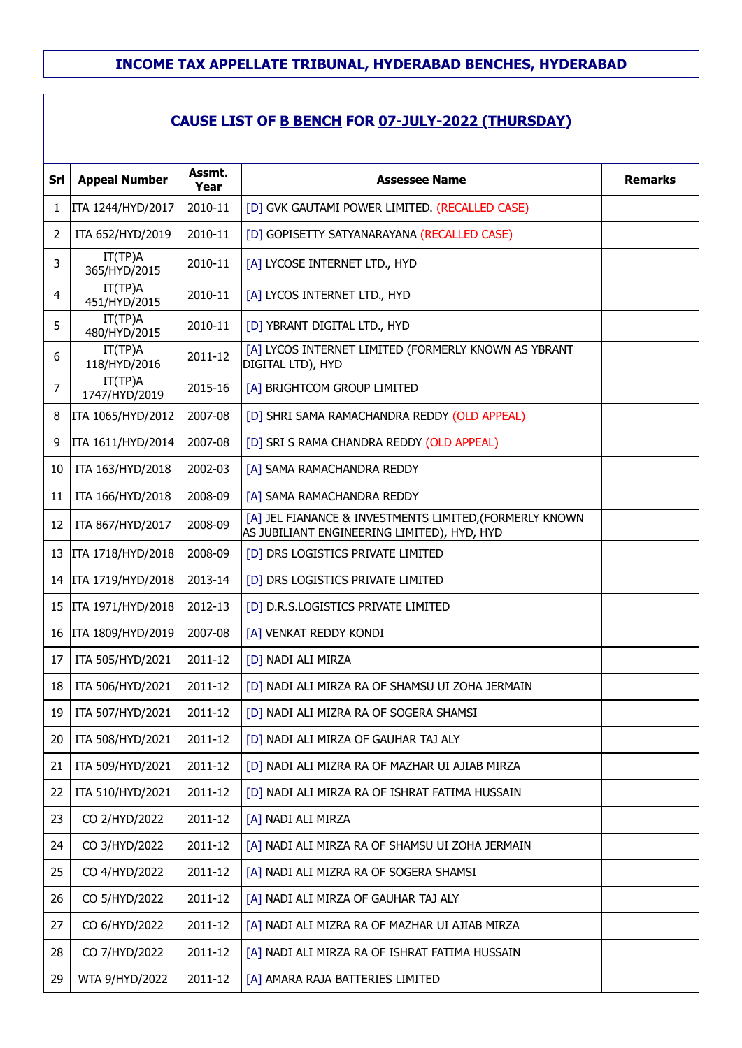| Srl | <b>Appeal Number</b>     | Assmt.<br>Year | <b>Assessee Name</b>                                                                                   | <b>Remarks</b> |  |  |
|-----|--------------------------|----------------|--------------------------------------------------------------------------------------------------------|----------------|--|--|
| 1   | ITA 1244/HYD/2017        | 2010-11        | [D] GVK GAUTAMI POWER LIMITED. (RECALLED CASE)                                                         |                |  |  |
| 2   | ITA 652/HYD/2019         | 2010-11        | [D] GOPISETTY SATYANARAYANA (RECALLED CASE)                                                            |                |  |  |
| 3   | IT(TP)A<br>365/HYD/2015  | 2010-11        | [A] LYCOSE INTERNET LTD., HYD                                                                          |                |  |  |
| 4   | IT(TP)A<br>451/HYD/2015  | 2010-11        | [A] LYCOS INTERNET LTD., HYD                                                                           |                |  |  |
| 5   | IT(TP)A<br>480/HYD/2015  | 2010-11        | [D] YBRANT DIGITAL LTD., HYD                                                                           |                |  |  |
| 6   | IT(TP)A<br>118/HYD/2016  | 2011-12        | [A] LYCOS INTERNET LIMITED (FORMERLY KNOWN AS YBRANT<br>DIGITAL LTD), HYD                              |                |  |  |
| 7   | IT(TP)A<br>1747/HYD/2019 | 2015-16        | [A] BRIGHTCOM GROUP LIMITED                                                                            |                |  |  |
| 8   | ITA 1065/HYD/2012        | 2007-08        | [D] SHRI SAMA RAMACHANDRA REDDY (OLD APPEAL)                                                           |                |  |  |
| 9   | ITA 1611/HYD/2014        | 2007-08        | [D] SRI S RAMA CHANDRA REDDY (OLD APPEAL)                                                              |                |  |  |
| 10  | ITA 163/HYD/2018         | 2002-03        | [A] SAMA RAMACHANDRA REDDY                                                                             |                |  |  |
| 11  | ITA 166/HYD/2018         | 2008-09        | [A] SAMA RAMACHANDRA REDDY                                                                             |                |  |  |
| 12  | ITA 867/HYD/2017         | 2008-09        | [A] JEL FIANANCE & INVESTMENTS LIMITED, (FORMERLY KNOWN<br>AS JUBILIANT ENGINEERING LIMITED), HYD, HYD |                |  |  |
| 13  | ITA 1718/HYD/2018        | 2008-09        | [D] DRS LOGISTICS PRIVATE LIMITED                                                                      |                |  |  |
|     | 14   ITA 1719/HYD/2018   | 2013-14        | [D] DRS LOGISTICS PRIVATE LIMITED                                                                      |                |  |  |
| 15  | ITA 1971/HYD/2018        | 2012-13        | [D] D.R.S.LOGISTICS PRIVATE LIMITED                                                                    |                |  |  |
| 16  | ITA 1809/HYD/2019        | 2007-08        | [A] VENKAT REDDY KONDI                                                                                 |                |  |  |
| 17  | ITA 505/HYD/2021         | 2011-12        | [D] NADI ALI MIRZA                                                                                     |                |  |  |
| 18  | ITA 506/HYD/2021         | 2011-12        | [D] NADI ALI MIRZA RA OF SHAMSU UI ZOHA JERMAIN                                                        |                |  |  |
| 19  | ITA 507/HYD/2021         | 2011-12        | [D] NADI ALI MIZRA RA OF SOGERA SHAMSI                                                                 |                |  |  |
| 20  | ITA 508/HYD/2021         | 2011-12        | [D] NADI ALI MIRZA OF GAUHAR TAJ ALY                                                                   |                |  |  |
| 21  | ITA 509/HYD/2021         | 2011-12        | [D] NADI ALI MIZRA RA OF MAZHAR UI AJIAB MIRZA                                                         |                |  |  |
| 22  | ITA 510/HYD/2021         | 2011-12        | [D] NADI ALI MIRZA RA OF ISHRAT FATIMA HUSSAIN                                                         |                |  |  |
| 23  | CO 2/HYD/2022            | 2011-12        | [A] NADI ALI MIRZA                                                                                     |                |  |  |
| 24  | CO 3/HYD/2022            | 2011-12        | [A] NADI ALI MIRZA RA OF SHAMSU UI ZOHA JERMAIN                                                        |                |  |  |
| 25  | CO 4/HYD/2022            | 2011-12        | [A] NADI ALI MIZRA RA OF SOGERA SHAMSI                                                                 |                |  |  |
| 26  | CO 5/HYD/2022            | 2011-12        | [A] NADI ALI MIRZA OF GAUHAR TAJ ALY                                                                   |                |  |  |
| 27  | CO 6/HYD/2022            | 2011-12        | [A] NADI ALI MIZRA RA OF MAZHAR UI AJIAB MIRZA                                                         |                |  |  |
| 28  | CO 7/HYD/2022            | 2011-12        | [A] NADI ALI MIRZA RA OF ISHRAT FATIMA HUSSAIN                                                         |                |  |  |
| 29  | WTA 9/HYD/2022           | 2011-12        | [A] AMARA RAJA BATTERIES LIMITED                                                                       |                |  |  |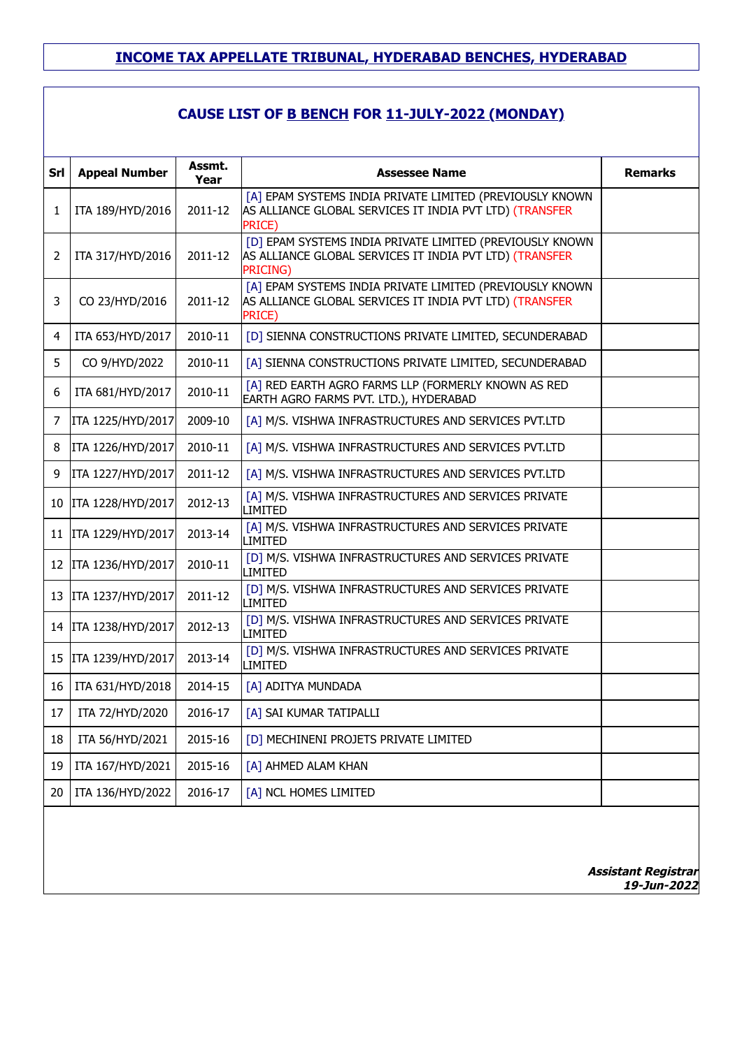## **CAUSE LIST OF B BENCH FOR 11-JULY-2022 (MONDAY)**

|     |                        | Assmt.  |                                                                                                                                      |                |
|-----|------------------------|---------|--------------------------------------------------------------------------------------------------------------------------------------|----------------|
| Srl | <b>Appeal Number</b>   | Year    | <b>Assessee Name</b>                                                                                                                 | <b>Remarks</b> |
| 1   | ITA 189/HYD/2016       | 2011-12 | [A] EPAM SYSTEMS INDIA PRIVATE LIMITED (PREVIOUSLY KNOWN<br>AS ALLIANCE GLOBAL SERVICES IT INDIA PVT LTD) (TRANSFER<br><b>PRICE)</b> |                |
| 2   | ITA 317/HYD/2016       | 2011-12 | [D] EPAM SYSTEMS INDIA PRIVATE LIMITED (PREVIOUSLY KNOWN<br>AS ALLIANCE GLOBAL SERVICES IT INDIA PVT LTD) (TRANSFER<br>PRICING)      |                |
| 3   | CO 23/HYD/2016         | 2011-12 | [A] EPAM SYSTEMS INDIA PRIVATE LIMITED (PREVIOUSLY KNOWN<br>AS ALLIANCE GLOBAL SERVICES IT INDIA PVT LTD) (TRANSFER<br>PRICE)        |                |
| 4   | ITA 653/HYD/2017       | 2010-11 | [D] SIENNA CONSTRUCTIONS PRIVATE LIMITED, SECUNDERABAD                                                                               |                |
| 5   | CO 9/HYD/2022          | 2010-11 | [A] SIENNA CONSTRUCTIONS PRIVATE LIMITED, SECUNDERABAD                                                                               |                |
| 6   | ITA 681/HYD/2017       | 2010-11 | [A] RED EARTH AGRO FARMS LLP (FORMERLY KNOWN AS RED<br>EARTH AGRO FARMS PVT. LTD.), HYDERABAD                                        |                |
| 7   | ITA 1225/HYD/2017      | 2009-10 | [A] M/S. VISHWA INFRASTRUCTURES AND SERVICES PVT.LTD                                                                                 |                |
| 8   | ITA 1226/HYD/2017      | 2010-11 | [A] M/S. VISHWA INFRASTRUCTURES AND SERVICES PVT.LTD                                                                                 |                |
| 9   | ITA 1227/HYD/2017      | 2011-12 | [A] M/S. VISHWA INFRASTRUCTURES AND SERVICES PVT.LTD                                                                                 |                |
|     | 10   ITA 1228/HYD/2017 | 2012-13 | [A] M/S. VISHWA INFRASTRUCTURES AND SERVICES PRIVATE<br>LIMITED                                                                      |                |
|     | 11   ITA 1229/HYD/2017 | 2013-14 | [A] M/S. VISHWA INFRASTRUCTURES AND SERVICES PRIVATE<br>LIMITED                                                                      |                |
|     | 12   ITA 1236/HYD/2017 | 2010-11 | [D] M/S. VISHWA INFRASTRUCTURES AND SERVICES PRIVATE<br>LIMITED                                                                      |                |
|     | 13   ITA 1237/HYD/2017 | 2011-12 | [D] M/S. VISHWA INFRASTRUCTURES AND SERVICES PRIVATE<br>LIMITED                                                                      |                |
|     | 14   ITA 1238/HYD/2017 | 2012-13 | [D] M/S. VISHWA INFRASTRUCTURES AND SERVICES PRIVATE<br><b>LIMITED</b>                                                               |                |
| 15  | ITA 1239/HYD/2017      | 2013-14 | [D] M/S. VISHWA INFRASTRUCTURES AND SERVICES PRIVATE<br><b>LIMITED</b>                                                               |                |
| 16  | ITA 631/HYD/2018       | 2014-15 | [A] ADITYA MUNDADA                                                                                                                   |                |
| 17  | ITA 72/HYD/2020        | 2016-17 | [A] SAI KUMAR TATIPALLI                                                                                                              |                |
| 18  | ITA 56/HYD/2021        | 2015-16 | [D] MECHINENI PROJETS PRIVATE LIMITED                                                                                                |                |
| 19  | ITA 167/HYD/2021       | 2015-16 | [A] AHMED ALAM KHAN                                                                                                                  |                |
| 20  | ITA 136/HYD/2022       | 2016-17 | [A] NCL HOMES LIMITED                                                                                                                |                |
|     |                        |         |                                                                                                                                      |                |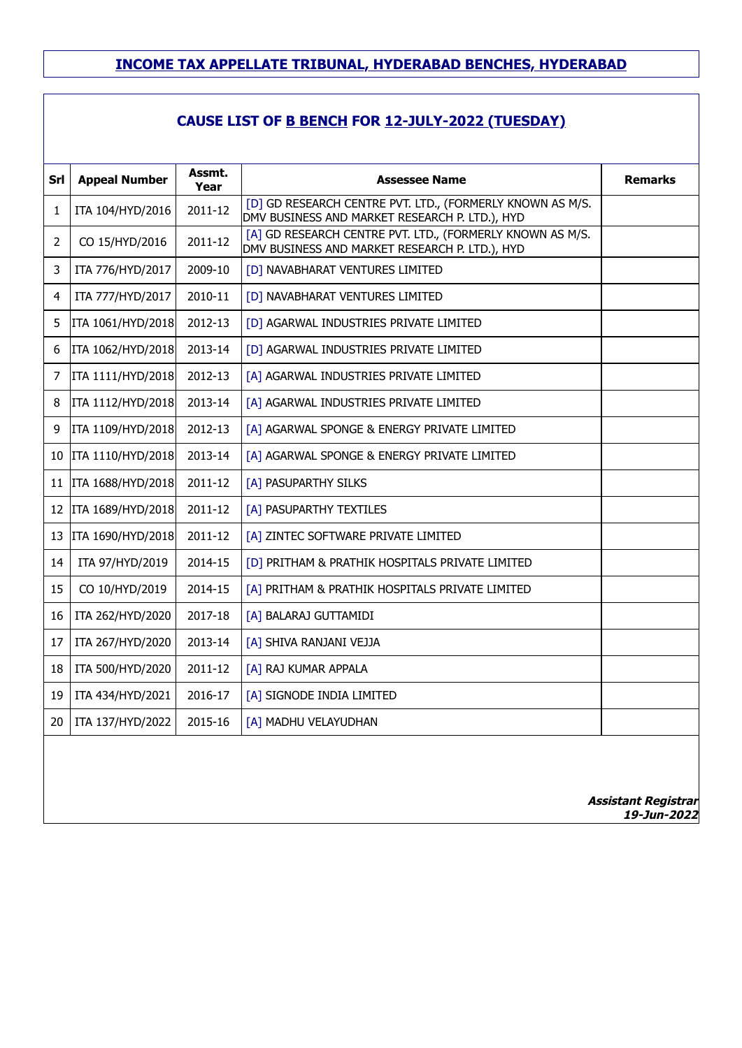## **CAUSE LIST OF B BENCH FOR 12-JULY-2022 (TUESDAY)**

| Srl            | <b>Appeal Number</b> | Assmt.<br>Year | <b>Assessee Name</b>                                                                                        | <b>Remarks</b>             |
|----------------|----------------------|----------------|-------------------------------------------------------------------------------------------------------------|----------------------------|
| 1              | ITA 104/HYD/2016     | 2011-12        | [D] GD RESEARCH CENTRE PVT. LTD., (FORMERLY KNOWN AS M/S.<br>DMV BUSINESS AND MARKET RESEARCH P. LTD.), HYD |                            |
| $\overline{2}$ | CO 15/HYD/2016       | 2011-12        | [A] GD RESEARCH CENTRE PVT. LTD., (FORMERLY KNOWN AS M/S.<br>DMV BUSINESS AND MARKET RESEARCH P. LTD.), HYD |                            |
| 3              | ITA 776/HYD/2017     | 2009-10        | [D] NAVABHARAT VENTURES LIMITED                                                                             |                            |
| 4              | ITA 777/HYD/2017     | 2010-11        | [D] NAVABHARAT VENTURES LIMITED                                                                             |                            |
| 5              | ITA 1061/HYD/2018    | 2012-13        | [D] AGARWAL INDUSTRIES PRIVATE LIMITED                                                                      |                            |
| 6              | ITA 1062/HYD/2018    | 2013-14        | [D] AGARWAL INDUSTRIES PRIVATE LIMITED                                                                      |                            |
| 7              | ITA 1111/HYD/2018    | 2012-13        | [A] AGARWAL INDUSTRIES PRIVATE LIMITED                                                                      |                            |
| 8              | ITA 1112/HYD/2018    | 2013-14        | [A] AGARWAL INDUSTRIES PRIVATE LIMITED                                                                      |                            |
| 9              | ITA 1109/HYD/2018    | 2012-13        | [A] AGARWAL SPONGE & ENERGY PRIVATE LIMITED                                                                 |                            |
| 10             | ITA 1110/HYD/2018    | 2013-14        | [A] AGARWAL SPONGE & ENERGY PRIVATE LIMITED                                                                 |                            |
| 11             | ITA 1688/HYD/2018    | 2011-12        | [A] PASUPARTHY SILKS                                                                                        |                            |
| 12             | ITA 1689/HYD/2018    | 2011-12        | [A] PASUPARTHY TEXTILES                                                                                     |                            |
| 13             | ITA 1690/HYD/2018    | 2011-12        | [A] ZINTEC SOFTWARE PRIVATE LIMITED                                                                         |                            |
| 14             | ITA 97/HYD/2019      | 2014-15        | [D] PRITHAM & PRATHIK HOSPITALS PRIVATE LIMITED                                                             |                            |
| 15             | CO 10/HYD/2019       | 2014-15        | [A] PRITHAM & PRATHIK HOSPITALS PRIVATE LIMITED                                                             |                            |
| 16             | ITA 262/HYD/2020     | 2017-18        | [A] BALARAJ GUTTAMIDI                                                                                       |                            |
| 17             | ITA 267/HYD/2020     | 2013-14        | [A] SHIVA RANJANI VEJJA                                                                                     |                            |
| 18             | ITA 500/HYD/2020     | 2011-12        | [A] RAJ KUMAR APPALA                                                                                        |                            |
| 19             | ITA 434/HYD/2021     | 2016-17        | [A] SIGNODE INDIA LIMITED                                                                                   |                            |
| 20             | ITA 137/HYD/2022     | 2015-16        | [A] MADHU VELAYUDHAN                                                                                        |                            |
|                |                      |                |                                                                                                             | <b>Assistant Registrar</b> |

**19-Jun-2022**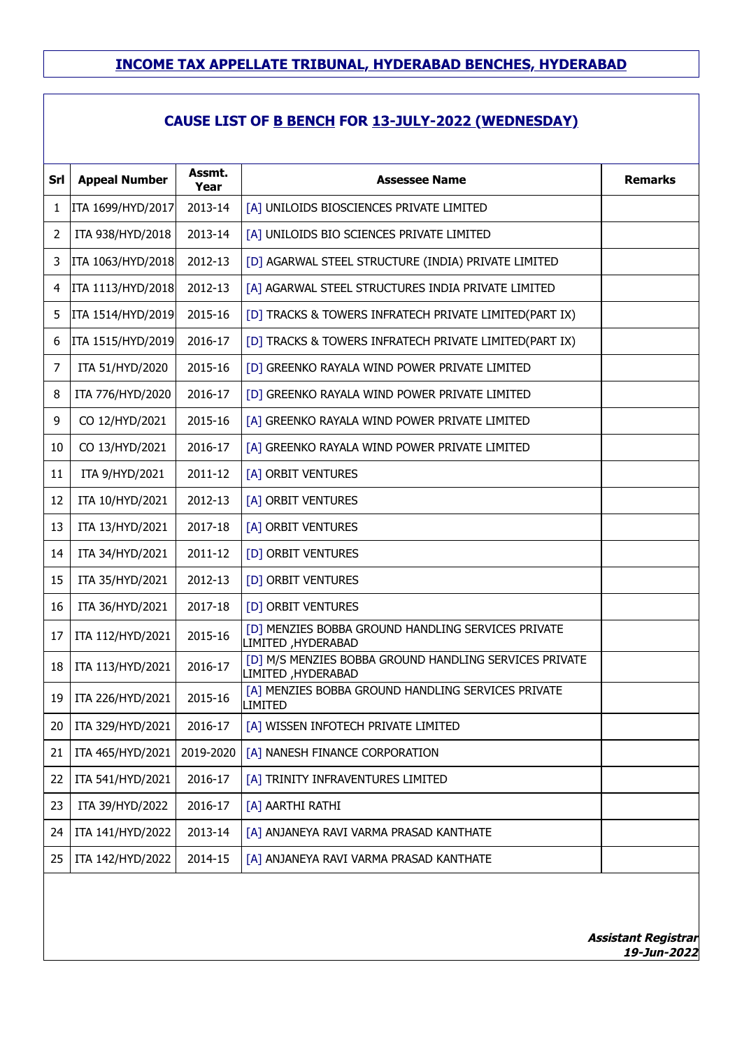## **CAUSE LIST OF B BENCH FOR 13-JULY-2022 (WEDNESDAY)**

| Srl | <b>Appeal Number</b> | Assmt.<br>Year | <b>Assessee Name</b>                                                         | <b>Remarks</b> |
|-----|----------------------|----------------|------------------------------------------------------------------------------|----------------|
| 1   | ITA 1699/HYD/2017    | 2013-14        | [A] UNILOIDS BIOSCIENCES PRIVATE LIMITED                                     |                |
| 2   | ITA 938/HYD/2018     | 2013-14        | [A] UNILOIDS BIO SCIENCES PRIVATE LIMITED                                    |                |
| 3   | ITA 1063/HYD/2018    | 2012-13        | [D] AGARWAL STEEL STRUCTURE (INDIA) PRIVATE LIMITED                          |                |
| 4   | ITA 1113/HYD/2018    | 2012-13        | [A] AGARWAL STEEL STRUCTURES INDIA PRIVATE LIMITED                           |                |
| 5   | ITA 1514/HYD/2019    | 2015-16        | [D] TRACKS & TOWERS INFRATECH PRIVATE LIMITED(PART IX)                       |                |
| 6   | ITA 1515/HYD/2019    | 2016-17        | [D] TRACKS & TOWERS INFRATECH PRIVATE LIMITED(PART IX)                       |                |
| 7   | ITA 51/HYD/2020      | 2015-16        | [D] GREENKO RAYALA WIND POWER PRIVATE LIMITED                                |                |
| 8   | ITA 776/HYD/2020     | 2016-17        | [D] GREENKO RAYALA WIND POWER PRIVATE LIMITED                                |                |
| 9   | CO 12/HYD/2021       | 2015-16        | [A] GREENKO RAYALA WIND POWER PRIVATE LIMITED                                |                |
| 10  | CO 13/HYD/2021       | 2016-17        | [A] GREENKO RAYALA WIND POWER PRIVATE LIMITED                                |                |
| 11  | ITA 9/HYD/2021       | 2011-12        | [A] ORBIT VENTURES                                                           |                |
| 12  | ITA 10/HYD/2021      | 2012-13        | [A] ORBIT VENTURES                                                           |                |
| 13  | ITA 13/HYD/2021      | 2017-18        | [A] ORBIT VENTURES                                                           |                |
| 14  | ITA 34/HYD/2021      | 2011-12        | [D] ORBIT VENTURES                                                           |                |
| 15  | ITA 35/HYD/2021      | 2012-13        | [D] ORBIT VENTURES                                                           |                |
| 16  | ITA 36/HYD/2021      | 2017-18        | [D] ORBIT VENTURES                                                           |                |
| 17  | ITA 112/HYD/2021     | 2015-16        | [D] MENZIES BOBBA GROUND HANDLING SERVICES PRIVATE<br>LIMITED, HYDERABAD     |                |
| 18  | ITA 113/HYD/2021     | 2016-17        | [D] M/S MENZIES BOBBA GROUND HANDLING SERVICES PRIVATE<br>LIMITED, HYDERABAD |                |
| 19  | ITA 226/HYD/2021     | 2015-16        | [A] MENZIES BOBBA GROUND HANDLING SERVICES PRIVATE<br>LIMITED                |                |
| 20  | ITA 329/HYD/2021     | 2016-17        | [A] WISSEN INFOTECH PRIVATE LIMITED                                          |                |
| 21  | ITA 465/HYD/2021     | 2019-2020      | [A] NANESH FINANCE CORPORATION                                               |                |
| 22  | ITA 541/HYD/2021     | 2016-17        | [A] TRINITY INFRAVENTURES LIMITED                                            |                |
| 23  | ITA 39/HYD/2022      | 2016-17        | [A] AARTHI RATHI                                                             |                |
| 24  | ITA 141/HYD/2022     | 2013-14        | [A] ANJANEYA RAVI VARMA PRASAD KANTHATE                                      |                |
| 25  | ITA 142/HYD/2022     | 2014-15        | [A] ANJANEYA RAVI VARMA PRASAD KANTHATE                                      |                |
|     |                      |                |                                                                              |                |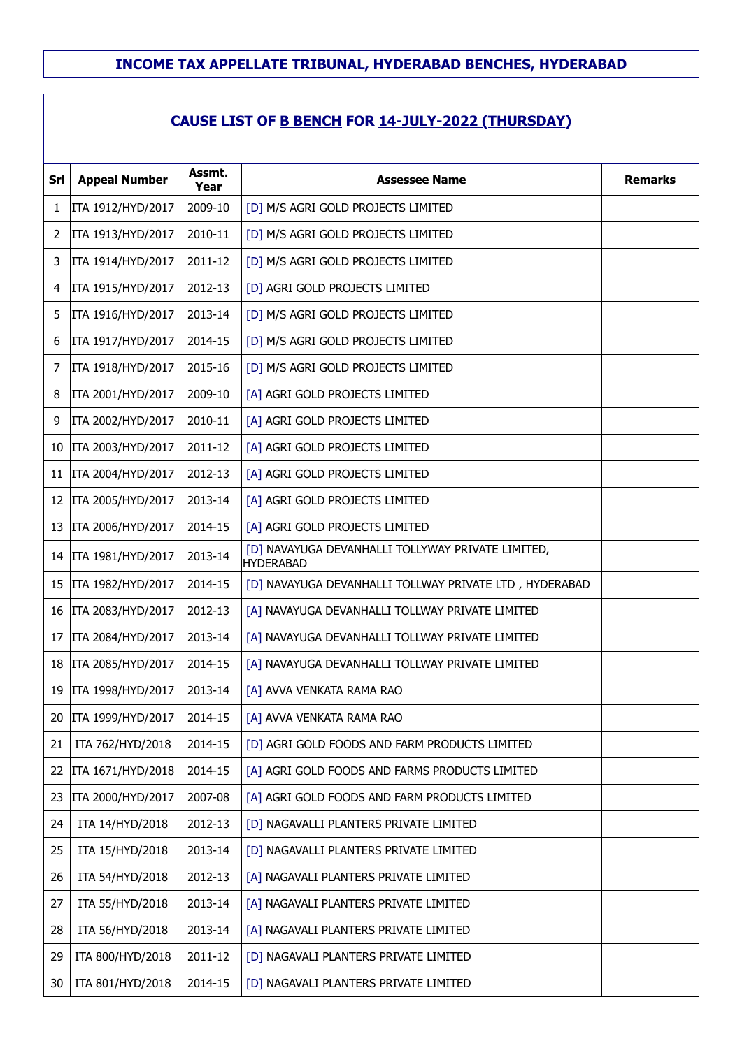| Srl | <b>Appeal Number</b>   | Assmt.<br>Year | <b>Assessee Name</b>                                                  | <b>Remarks</b> |
|-----|------------------------|----------------|-----------------------------------------------------------------------|----------------|
| 1   | ITA 1912/HYD/2017      | 2009-10        | [D] M/S AGRI GOLD PROJECTS LIMITED                                    |                |
| 2   | ITA 1913/HYD/2017      | 2010-11        | [D] M/S AGRI GOLD PROJECTS LIMITED                                    |                |
| 3   | ITA 1914/HYD/2017      | 2011-12        | [D] M/S AGRI GOLD PROJECTS LIMITED                                    |                |
| 4   | ITA 1915/HYD/2017      | 2012-13        | [D] AGRI GOLD PROJECTS LIMITED                                        |                |
| 5   | ITA 1916/HYD/2017      | 2013-14        | [D] M/S AGRI GOLD PROJECTS LIMITED                                    |                |
| 6   | ITA 1917/HYD/2017      | 2014-15        | [D] M/S AGRI GOLD PROJECTS LIMITED                                    |                |
| 7   | ITA 1918/HYD/2017      | 2015-16        | [D] M/S AGRI GOLD PROJECTS LIMITED                                    |                |
| 8   | ITA 2001/HYD/2017      | 2009-10        | [A] AGRI GOLD PROJECTS LIMITED                                        |                |
| 9   | ITA 2002/HYD/2017      | 2010-11        | [A] AGRI GOLD PROJECTS LIMITED                                        |                |
| 10  | ITA 2003/HYD/2017      | 2011-12        | [A] AGRI GOLD PROJECTS LIMITED                                        |                |
| 11  | ITA 2004/HYD/2017      | 2012-13        | [A] AGRI GOLD PROJECTS LIMITED                                        |                |
| 12  | ITA 2005/HYD/2017      | 2013-14        | [A] AGRI GOLD PROJECTS LIMITED                                        |                |
| 13  | ITA 2006/HYD/2017      | 2014-15        | [A] AGRI GOLD PROJECTS LIMITED                                        |                |
|     | 14   ITA 1981/HYD/2017 | 2013-14        | [D] NAVAYUGA DEVANHALLI TOLLYWAY PRIVATE LIMITED,<br><b>HYDERABAD</b> |                |
| 15  | ITA 1982/HYD/2017      | 2014-15        | [D] NAVAYUGA DEVANHALLI TOLLWAY PRIVATE LTD, HYDERABAD                |                |
| 16  | ITA 2083/HYD/2017      | 2012-13        | [A] NAVAYUGA DEVANHALLI TOLLWAY PRIVATE LIMITED                       |                |
| 17  | ITA 2084/HYD/2017      | 2013-14        | [A] NAVAYUGA DEVANHALLI TOLLWAY PRIVATE LIMITED                       |                |
| 18  | ITA 2085/HYD/2017      | 2014-15        | [A] NAVAYUGA DEVANHALLI TOLLWAY PRIVATE LIMITED                       |                |
| 19  | ITA 1998/HYD/2017      | 2013-14        | [A] AVVA VENKATA RAMA RAO                                             |                |
| 20  | ITA 1999/HYD/2017      | 2014-15        | [A] AVVA VENKATA RAMA RAO                                             |                |
| 21  | ITA 762/HYD/2018       | 2014-15        | [D] AGRI GOLD FOODS AND FARM PRODUCTS LIMITED                         |                |
| 22  | ITA 1671/HYD/2018      | 2014-15        | [A] AGRI GOLD FOODS AND FARMS PRODUCTS LIMITED                        |                |
| 23  | ITA 2000/HYD/2017      | 2007-08        | [A] AGRI GOLD FOODS AND FARM PRODUCTS LIMITED                         |                |
| 24  | ITA 14/HYD/2018        | 2012-13        | [D] NAGAVALLI PLANTERS PRIVATE LIMITED                                |                |
| 25  | ITA 15/HYD/2018        | 2013-14        | [D] NAGAVALLI PLANTERS PRIVATE LIMITED                                |                |
| 26  | ITA 54/HYD/2018        | 2012-13        | [A] NAGAVALI PLANTERS PRIVATE LIMITED                                 |                |
| 27  | ITA 55/HYD/2018        | 2013-14        | [A] NAGAVALI PLANTERS PRIVATE LIMITED                                 |                |
| 28  | ITA 56/HYD/2018        | 2013-14        | [A] NAGAVALI PLANTERS PRIVATE LIMITED                                 |                |
| 29  | ITA 800/HYD/2018       | 2011-12        | [D] NAGAVALI PLANTERS PRIVATE LIMITED                                 |                |
| 30  | ITA 801/HYD/2018       | 2014-15        | [D] NAGAVALI PLANTERS PRIVATE LIMITED                                 |                |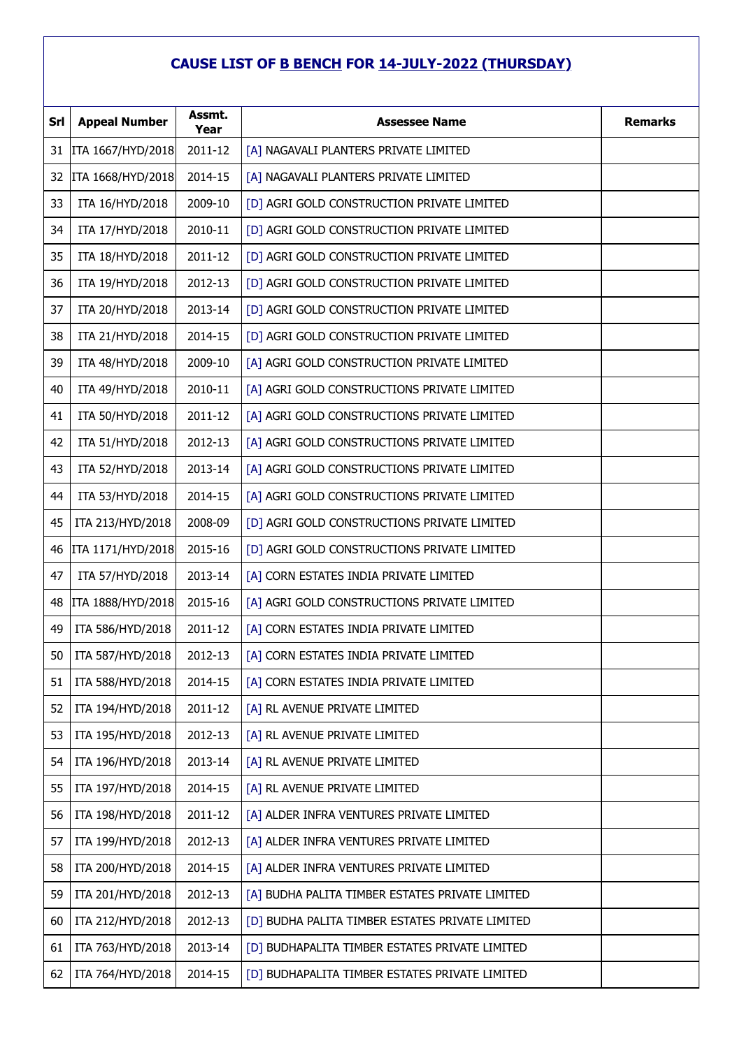| Srl | <b>Appeal Number</b> | Assmt.<br>Year | <b>Assessee Name</b>                            | <b>Remarks</b> |
|-----|----------------------|----------------|-------------------------------------------------|----------------|
| 31  | ITA 1667/HYD/2018    | 2011-12        | [A] NAGAVALI PLANTERS PRIVATE LIMITED           |                |
| 32  | ITA 1668/HYD/2018    | 2014-15        | [A] NAGAVALI PLANTERS PRIVATE LIMITED           |                |
| 33  | ITA 16/HYD/2018      | 2009-10        | [D] AGRI GOLD CONSTRUCTION PRIVATE LIMITED      |                |
| 34  | ITA 17/HYD/2018      | 2010-11        | [D] AGRI GOLD CONSTRUCTION PRIVATE LIMITED      |                |
| 35  | ITA 18/HYD/2018      | 2011-12        | [D] AGRI GOLD CONSTRUCTION PRIVATE LIMITED      |                |
| 36  | ITA 19/HYD/2018      | 2012-13        | [D] AGRI GOLD CONSTRUCTION PRIVATE LIMITED      |                |
| 37  | ITA 20/HYD/2018      | 2013-14        | [D] AGRI GOLD CONSTRUCTION PRIVATE LIMITED      |                |
| 38  | ITA 21/HYD/2018      | 2014-15        | [D] AGRI GOLD CONSTRUCTION PRIVATE LIMITED      |                |
| 39  | ITA 48/HYD/2018      | 2009-10        | [A] AGRI GOLD CONSTRUCTION PRIVATE LIMITED      |                |
| 40  | ITA 49/HYD/2018      | 2010-11        | [A] AGRI GOLD CONSTRUCTIONS PRIVATE LIMITED     |                |
| 41  | ITA 50/HYD/2018      | 2011-12        | [A] AGRI GOLD CONSTRUCTIONS PRIVATE LIMITED     |                |
| 42  | ITA 51/HYD/2018      | 2012-13        | [A] AGRI GOLD CONSTRUCTIONS PRIVATE LIMITED     |                |
| 43  | ITA 52/HYD/2018      | 2013-14        | [A] AGRI GOLD CONSTRUCTIONS PRIVATE LIMITED     |                |
| 44  | ITA 53/HYD/2018      | 2014-15        | [A] AGRI GOLD CONSTRUCTIONS PRIVATE LIMITED     |                |
| 45  | ITA 213/HYD/2018     | 2008-09        | [D] AGRI GOLD CONSTRUCTIONS PRIVATE LIMITED     |                |
| 46  | ITA 1171/HYD/2018    | 2015-16        | [D] AGRI GOLD CONSTRUCTIONS PRIVATE LIMITED     |                |
| 47  | ITA 57/HYD/2018      | 2013-14        | [A] CORN ESTATES INDIA PRIVATE LIMITED          |                |
| 48  | ITA 1888/HYD/2018    | 2015-16        | [A] AGRI GOLD CONSTRUCTIONS PRIVATE LIMITED     |                |
| 49  | ITA 586/HYD/2018     | 2011-12        | [A] CORN ESTATES INDIA PRIVATE LIMITED          |                |
| 50  | ITA 587/HYD/2018     | 2012-13        | [A] CORN ESTATES INDIA PRIVATE LIMITED          |                |
| 51  | ITA 588/HYD/2018     | 2014-15        | [A] CORN ESTATES INDIA PRIVATE LIMITED          |                |
| 52  | ITA 194/HYD/2018     | 2011-12        | [A] RL AVENUE PRIVATE LIMITED                   |                |
| 53  | ITA 195/HYD/2018     | 2012-13        | [A] RL AVENUE PRIVATE LIMITED                   |                |
| 54  | ITA 196/HYD/2018     | 2013-14        | [A] RL AVENUE PRIVATE LIMITED                   |                |
| 55  | ITA 197/HYD/2018     | 2014-15        | [A] RL AVENUE PRIVATE LIMITED                   |                |
| 56  | ITA 198/HYD/2018     | 2011-12        | [A] ALDER INFRA VENTURES PRIVATE LIMITED        |                |
| 57  | ITA 199/HYD/2018     | 2012-13        | [A] ALDER INFRA VENTURES PRIVATE LIMITED        |                |
| 58  | ITA 200/HYD/2018     | 2014-15        | [A] ALDER INFRA VENTURES PRIVATE LIMITED        |                |
| 59  | ITA 201/HYD/2018     | 2012-13        | [A] BUDHA PALITA TIMBER ESTATES PRIVATE LIMITED |                |
| 60  | ITA 212/HYD/2018     | 2012-13        | [D] BUDHA PALITA TIMBER ESTATES PRIVATE LIMITED |                |
| 61  | ITA 763/HYD/2018     | 2013-14        | [D] BUDHAPALITA TIMBER ESTATES PRIVATE LIMITED  |                |
| 62  | ITA 764/HYD/2018     | 2014-15        | [D] BUDHAPALITA TIMBER ESTATES PRIVATE LIMITED  |                |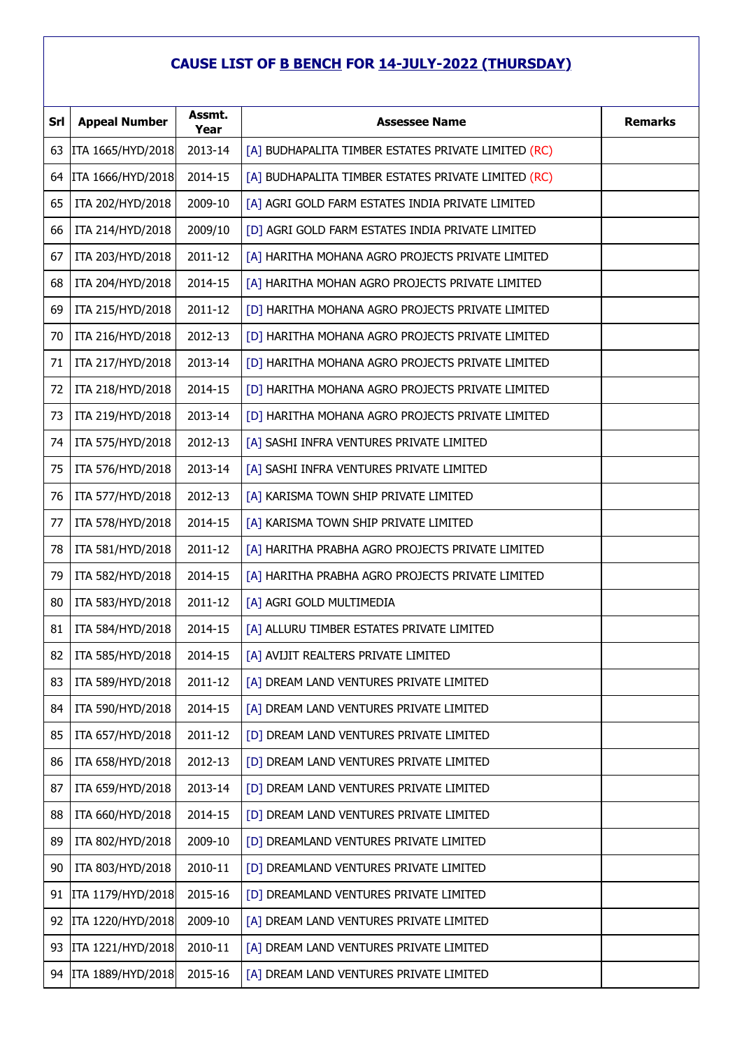| <b>Srl</b> | <b>Appeal Number</b> | Assmt.<br>Year | <b>Assessee Name</b>                                | <b>Remarks</b> |
|------------|----------------------|----------------|-----------------------------------------------------|----------------|
| 63         | ITA 1665/HYD/2018    | 2013-14        | [A] BUDHAPALITA TIMBER ESTATES PRIVATE LIMITED (RC) |                |
| 64         | ITA 1666/HYD/2018    | 2014-15        | [A] BUDHAPALITA TIMBER ESTATES PRIVATE LIMITED (RC) |                |
| 65         | ITA 202/HYD/2018     | 2009-10        | [A] AGRI GOLD FARM ESTATES INDIA PRIVATE LIMITED    |                |
| 66         | ITA 214/HYD/2018     | 2009/10        | [D] AGRI GOLD FARM ESTATES INDIA PRIVATE LIMITED    |                |
| 67         | ITA 203/HYD/2018     | 2011-12        | [A] HARITHA MOHANA AGRO PROJECTS PRIVATE LIMITED    |                |
| 68         | ITA 204/HYD/2018     | 2014-15        | [A] HARITHA MOHAN AGRO PROJECTS PRIVATE LIMITED     |                |
| 69         | ITA 215/HYD/2018     | 2011-12        | [D] HARITHA MOHANA AGRO PROJECTS PRIVATE LIMITED    |                |
| 70         | ITA 216/HYD/2018     | 2012-13        | [D] HARITHA MOHANA AGRO PROJECTS PRIVATE LIMITED    |                |
| 71         | ITA 217/HYD/2018     | 2013-14        | [D] HARITHA MOHANA AGRO PROJECTS PRIVATE LIMITED    |                |
| 72         | ITA 218/HYD/2018     | 2014-15        | [D] HARITHA MOHANA AGRO PROJECTS PRIVATE LIMITED    |                |
| 73         | ITA 219/HYD/2018     | 2013-14        | [D] HARITHA MOHANA AGRO PROJECTS PRIVATE LIMITED    |                |
| 74         | ITA 575/HYD/2018     | 2012-13        | [A] SASHI INFRA VENTURES PRIVATE LIMITED            |                |
| 75         | ITA 576/HYD/2018     | 2013-14        | [A] SASHI INFRA VENTURES PRIVATE LIMITED            |                |
| 76         | ITA 577/HYD/2018     | 2012-13        | [A] KARISMA TOWN SHIP PRIVATE LIMITED               |                |
| 77         | ITA 578/HYD/2018     | 2014-15        | [A] KARISMA TOWN SHIP PRIVATE LIMITED               |                |
| 78         | ITA 581/HYD/2018     | 2011-12        | [A] HARITHA PRABHA AGRO PROJECTS PRIVATE LIMITED    |                |
| 79         | ITA 582/HYD/2018     | 2014-15        | [A] HARITHA PRABHA AGRO PROJECTS PRIVATE LIMITED    |                |
| 80         | ITA 583/HYD/2018     | 2011-12        | [A] AGRI GOLD MULTIMEDIA                            |                |
| 81         | ITA 584/HYD/2018     | 2014-15        | [A] ALLURU TIMBER ESTATES PRIVATE LIMITED           |                |
| 82         | ITA 585/HYD/2018     | 2014-15        | [A] AVIJIT REALTERS PRIVATE LIMITED                 |                |
| 83         | ITA 589/HYD/2018     | 2011-12        | [A] DREAM LAND VENTURES PRIVATE LIMITED             |                |
| 84         | ITA 590/HYD/2018     | 2014-15        | [A] DREAM LAND VENTURES PRIVATE LIMITED             |                |
| 85         | ITA 657/HYD/2018     | 2011-12        | [D] DREAM LAND VENTURES PRIVATE LIMITED             |                |
| 86         | ITA 658/HYD/2018     | 2012-13        | [D] DREAM LAND VENTURES PRIVATE LIMITED             |                |
| 87         | ITA 659/HYD/2018     | 2013-14        | [D] DREAM LAND VENTURES PRIVATE LIMITED             |                |
| 88         | ITA 660/HYD/2018     | 2014-15        | [D] DREAM LAND VENTURES PRIVATE LIMITED             |                |
| 89         | ITA 802/HYD/2018     | 2009-10        | [D] DREAMLAND VENTURES PRIVATE LIMITED              |                |
| 90         | ITA 803/HYD/2018     | 2010-11        | [D] DREAMLAND VENTURES PRIVATE LIMITED              |                |
| 91         | ITA 1179/HYD/2018    | 2015-16        | [D] DREAMLAND VENTURES PRIVATE LIMITED              |                |
| 92         | ITA 1220/HYD/2018    | 2009-10        | [A] DREAM LAND VENTURES PRIVATE LIMITED             |                |
| 93         | ITA 1221/HYD/2018    | 2010-11        | [A] DREAM LAND VENTURES PRIVATE LIMITED             |                |
| 94         | ITA 1889/HYD/2018    | 2015-16        | [A] DREAM LAND VENTURES PRIVATE LIMITED             |                |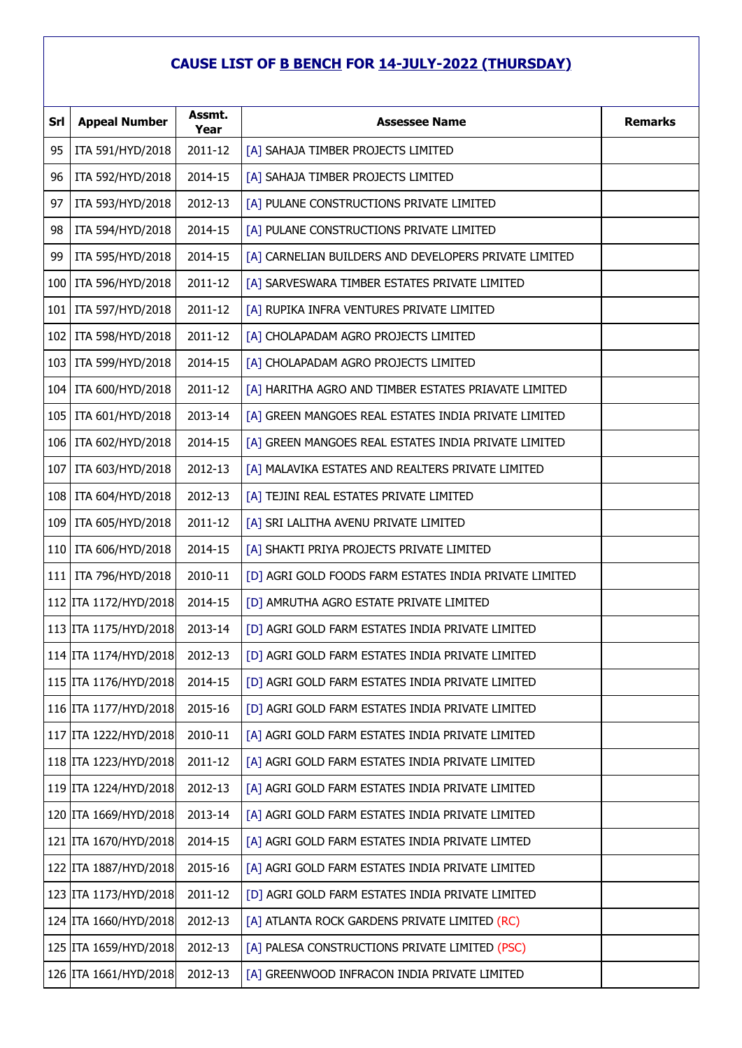| <b>Srl</b> | <b>Appeal Number</b>    | Assmt.<br>Year | <b>Assessee Name</b>                                   | <b>Remarks</b> |
|------------|-------------------------|----------------|--------------------------------------------------------|----------------|
| 95         | ITA 591/HYD/2018        | 2011-12        | [A] SAHAJA TIMBER PROJECTS LIMITED                     |                |
| 96         | ITA 592/HYD/2018        | 2014-15        | [A] SAHAJA TIMBER PROJECTS LIMITED                     |                |
| 97         | ITA 593/HYD/2018        | 2012-13        | [A] PULANE CONSTRUCTIONS PRIVATE LIMITED               |                |
| 98         | ITA 594/HYD/2018        | 2014-15        | [A] PULANE CONSTRUCTIONS PRIVATE LIMITED               |                |
| 99         | ITA 595/HYD/2018        | 2014-15        | [A] CARNELIAN BUILDERS AND DEVELOPERS PRIVATE LIMITED  |                |
| 100        | ITA 596/HYD/2018        | 2011-12        | [A] SARVESWARA TIMBER ESTATES PRIVATE LIMITED          |                |
| 101        | ITA 597/HYD/2018        | 2011-12        | [A] RUPIKA INFRA VENTURES PRIVATE LIMITED              |                |
| 102        | ITA 598/HYD/2018        | 2011-12        | [A] CHOLAPADAM AGRO PROJECTS LIMITED                   |                |
| 103        | ITA 599/HYD/2018        | 2014-15        | [A] CHOLAPADAM AGRO PROJECTS LIMITED                   |                |
| 104        | ITA 600/HYD/2018        | 2011-12        | [A] HARITHA AGRO AND TIMBER ESTATES PRIAVATE LIMITED   |                |
| 105        | ITA 601/HYD/2018        | 2013-14        | [A] GREEN MANGOES REAL ESTATES INDIA PRIVATE LIMITED   |                |
| 106        | ITA 602/HYD/2018        | 2014-15        | [A] GREEN MANGOES REAL ESTATES INDIA PRIVATE LIMITED   |                |
| 107        | ITA 603/HYD/2018        | 2012-13        | [A] MALAVIKA ESTATES AND REALTERS PRIVATE LIMITED      |                |
| 108        | ITA 604/HYD/2018        | 2012-13        | [A] TEJINI REAL ESTATES PRIVATE LIMITED                |                |
| 109        | ITA 605/HYD/2018        | 2011-12        | [A] SRI LALITHA AVENU PRIVATE LIMITED                  |                |
| 110        | ITA 606/HYD/2018        | 2014-15        | [A] SHAKTI PRIYA PROJECTS PRIVATE LIMITED              |                |
| 111        | ITA 796/HYD/2018        | 2010-11        | [D] AGRI GOLD FOODS FARM ESTATES INDIA PRIVATE LIMITED |                |
|            | 112 ITA 1172/HYD/2018   | 2014-15        | [D] AMRUTHA AGRO ESTATE PRIVATE LIMITED                |                |
|            | 113   ITA 1175/HYD/2018 | 2013-14        | [D] AGRI GOLD FARM ESTATES INDIA PRIVATE LIMITED       |                |
|            | 114 ITA 1174/HYD/2018   | 2012-13        | [D] AGRI GOLD FARM ESTATES INDIA PRIVATE LIMITED       |                |
|            | 115 ITA 1176/HYD/2018   | 2014-15        | [D] AGRI GOLD FARM ESTATES INDIA PRIVATE LIMITED       |                |
|            | 116 ITA 1177/HYD/2018   | 2015-16        | [D] AGRI GOLD FARM ESTATES INDIA PRIVATE LIMITED       |                |
|            | 117 ITA 1222/HYD/2018   | 2010-11        | [A] AGRI GOLD FARM ESTATES INDIA PRIVATE LIMITED       |                |
|            | 118 ITA 1223/HYD/2018   | 2011-12        | [A] AGRI GOLD FARM ESTATES INDIA PRIVATE LIMITED       |                |
|            | 119 ITA 1224/HYD/2018   | 2012-13        | [A] AGRI GOLD FARM ESTATES INDIA PRIVATE LIMITED       |                |
|            | 120 ITA 1669/HYD/2018   | 2013-14        | [A] AGRI GOLD FARM ESTATES INDIA PRIVATE LIMITED       |                |
|            | 121   ITA 1670/HYD/2018 | 2014-15        | [A] AGRI GOLD FARM ESTATES INDIA PRIVATE LIMTED        |                |
|            | 122 ITA 1887/HYD/2018   | 2015-16        | [A] AGRI GOLD FARM ESTATES INDIA PRIVATE LIMITED       |                |
|            | 123 ITA 1173/HYD/2018   | 2011-12        | [D] AGRI GOLD FARM ESTATES INDIA PRIVATE LIMITED       |                |
|            | 124 ITA 1660/HYD/2018   | 2012-13        | [A] ATLANTA ROCK GARDENS PRIVATE LIMITED (RC)          |                |
|            | 125   ITA 1659/HYD/2018 | 2012-13        | [A] PALESA CONSTRUCTIONS PRIVATE LIMITED (PSC)         |                |
|            | 126 ITA 1661/HYD/2018   | 2012-13        | [A] GREENWOOD INFRACON INDIA PRIVATE LIMITED           |                |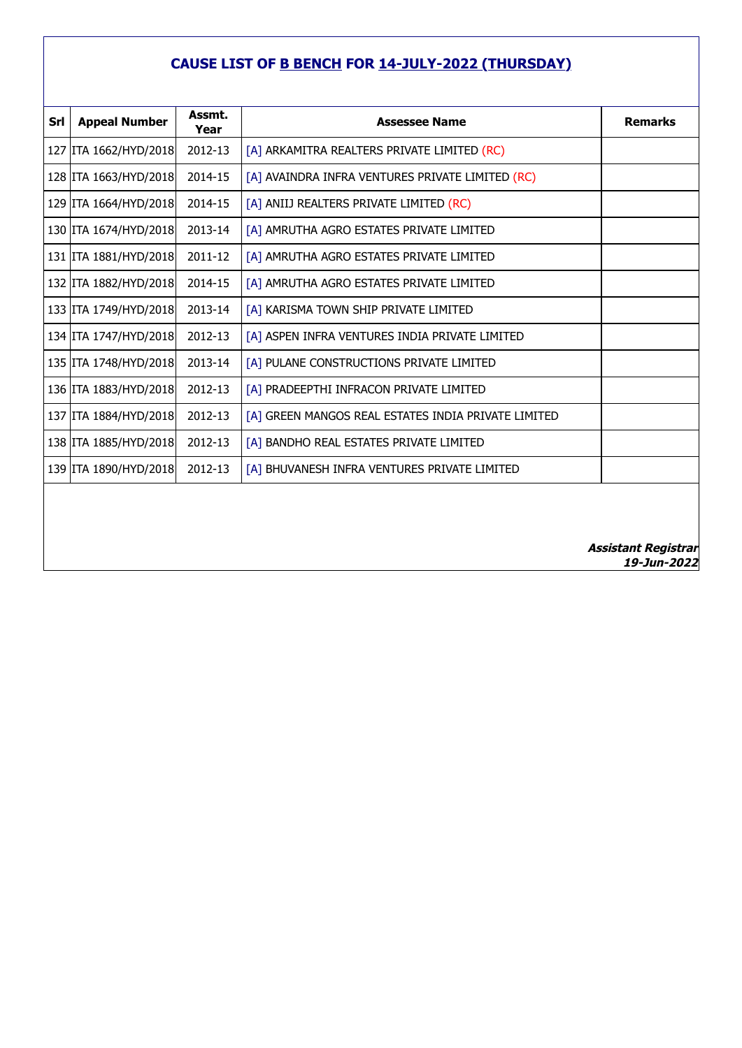| Srl | <b>Appeal Number</b>    | Assmt.<br>Year | <b>Assessee Name</b>                                | <b>Remarks</b> |
|-----|-------------------------|----------------|-----------------------------------------------------|----------------|
|     | 127 ITA 1662/HYD/2018   | 2012-13        | [A] ARKAMITRA REALTERS PRIVATE LIMITED (RC)         |                |
|     | 128 ITA 1663/HYD/2018   | 2014-15        | [A] AVAINDRA INFRA VENTURES PRIVATE LIMITED (RC)    |                |
|     | 129 ITA 1664/HYD/2018   | 2014-15        | [A] ANIIJ REALTERS PRIVATE LIMITED (RC)             |                |
|     | 130 ITA 1674/HYD/2018   | 2013-14        | [A] AMRUTHA AGRO ESTATES PRIVATE LIMITED            |                |
|     | 131   ITA 1881/HYD/2018 | 2011-12        | [A] AMRUTHA AGRO ESTATES PRIVATE LIMITED            |                |
|     | 132 ITA 1882/HYD/2018   | 2014-15        | [A] AMRUTHA AGRO ESTATES PRIVATE LIMITED            |                |
|     | 133 ITA 1749/HYD/2018   | 2013-14        | [A] KARISMA TOWN SHIP PRIVATE LIMITED               |                |
|     | 134 ITA 1747/HYD/2018   | 2012-13        | [A] ASPEN INFRA VENTURES INDIA PRIVATE LIMITED      |                |
|     | 135 ITA 1748/HYD/2018   | 2013-14        | [A] PULANE CONSTRUCTIONS PRIVATE LIMITED            |                |
|     | 136 ITA 1883/HYD/2018   | 2012-13        | [A] PRADEEPTHI INFRACON PRIVATE LIMITED             |                |
|     | 137 ITA 1884/HYD/2018   | 2012-13        | [A] GREEN MANGOS REAL ESTATES INDIA PRIVATE LIMITED |                |
|     | 138 ITA 1885/HYD/2018   | 2012-13        | [A] BANDHO REAL ESTATES PRIVATE LIMITED             |                |
|     | 139 ITA 1890/HYD/2018   | 2012-13        | [A] BHUVANESH INFRA VENTURES PRIVATE LIMITED        |                |
|     |                         |                |                                                     |                |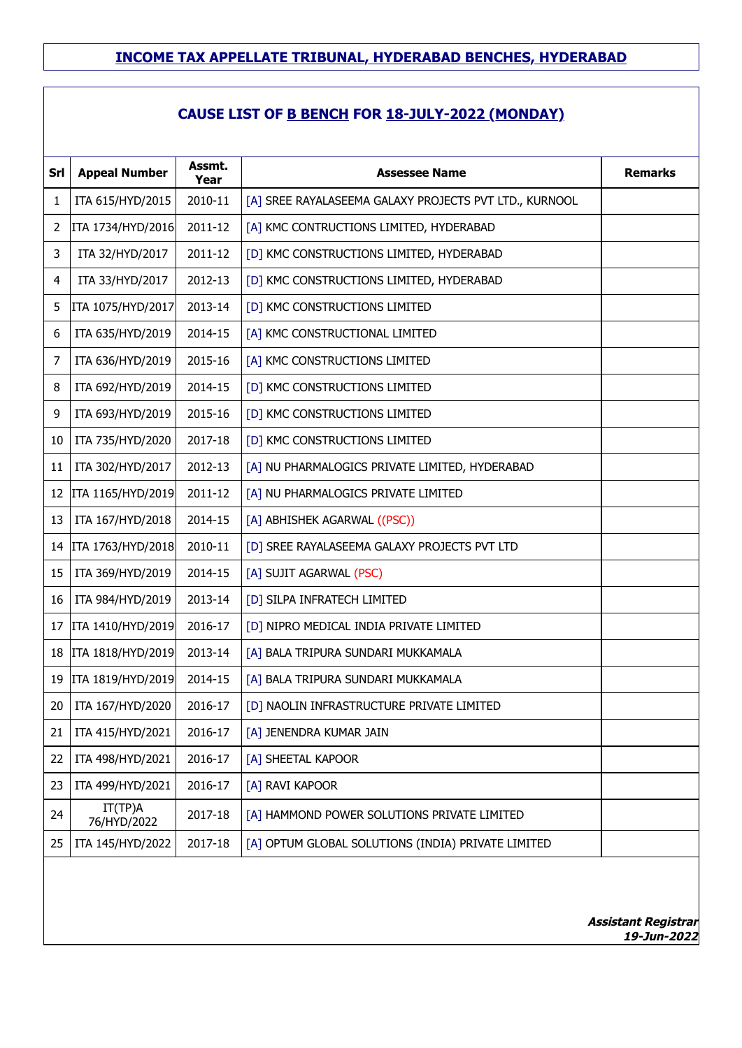## **CAUSE LIST OF B BENCH FOR 18-JULY-2022 (MONDAY)**

| Srl            | <b>Appeal Number</b>   | Assmt.<br>Year | <b>Assessee Name</b>                                   | Remarks |
|----------------|------------------------|----------------|--------------------------------------------------------|---------|
| 1              | ITA 615/HYD/2015       | 2010-11        | [A] SREE RAYALASEEMA GALAXY PROJECTS PVT LTD., KURNOOL |         |
| $\overline{2}$ | ITA 1734/HYD/2016      | 2011-12        | [A] KMC CONTRUCTIONS LIMITED, HYDERABAD                |         |
| 3              | ITA 32/HYD/2017        | 2011-12        | [D] KMC CONSTRUCTIONS LIMITED, HYDERABAD               |         |
| 4              | ITA 33/HYD/2017        | 2012-13        | [D] KMC CONSTRUCTIONS LIMITED, HYDERABAD               |         |
| 5              | ITA 1075/HYD/2017      | 2013-14        | [D] KMC CONSTRUCTIONS LIMITED                          |         |
| 6              | ITA 635/HYD/2019       | 2014-15        | [A] KMC CONSTRUCTIONAL LIMITED                         |         |
| $\overline{7}$ | ITA 636/HYD/2019       | 2015-16        | [A] KMC CONSTRUCTIONS LIMITED                          |         |
| 8              | ITA 692/HYD/2019       | 2014-15        | [D] KMC CONSTRUCTIONS LIMITED                          |         |
| 9              | ITA 693/HYD/2019       | 2015-16        | [D] KMC CONSTRUCTIONS LIMITED                          |         |
| 10             | ITA 735/HYD/2020       | 2017-18        | [D] KMC CONSTRUCTIONS LIMITED                          |         |
| 11             | ITA 302/HYD/2017       | 2012-13        | [A] NU PHARMALOGICS PRIVATE LIMITED, HYDERABAD         |         |
| 12             | ITA 1165/HYD/2019      | 2011-12        | [A] NU PHARMALOGICS PRIVATE LIMITED                    |         |
| 13             | ITA 167/HYD/2018       | 2014-15        | [A] ABHISHEK AGARWAL ((PSC))                           |         |
| 14             | ITA 1763/HYD/2018      | 2010-11        | [D] SREE RAYALASEEMA GALAXY PROJECTS PVT LTD           |         |
| 15             | ITA 369/HYD/2019       | 2014-15        | [A] SUJIT AGARWAL (PSC)                                |         |
| 16             | ITA 984/HYD/2019       | 2013-14        | [D] SILPA INFRATECH LIMITED                            |         |
| 17             | ITA 1410/HYD/2019      | 2016-17        | [D] NIPRO MEDICAL INDIA PRIVATE LIMITED                |         |
| 18             | ITA 1818/HYD/2019      | 2013-14        | [A] BALA TRIPURA SUNDARI MUKKAMALA                     |         |
| 19             | ITA 1819/HYD/2019      | 2014-15        | [A] BALA TRIPURA SUNDARI MUKKAMALA                     |         |
| 20             | ITA 167/HYD/2020       | 2016-17        | [D] NAOLIN INFRASTRUCTURE PRIVATE LIMITED              |         |
| 21             | ITA 415/HYD/2021       | 2016-17        | [A] JENENDRA KUMAR JAIN                                |         |
| 22             | ITA 498/HYD/2021       | 2016-17        | [A] SHEETAL KAPOOR                                     |         |
| 23             | ITA 499/HYD/2021       | 2016-17        | [A] RAVI KAPOOR                                        |         |
| 24             | IT(TP)A<br>76/HYD/2022 | 2017-18        | [A] HAMMOND POWER SOLUTIONS PRIVATE LIMITED            |         |
| 25             | ITA 145/HYD/2022       | 2017-18        | [A] OPTUM GLOBAL SOLUTIONS (INDIA) PRIVATE LIMITED     |         |
|                |                        |                |                                                        |         |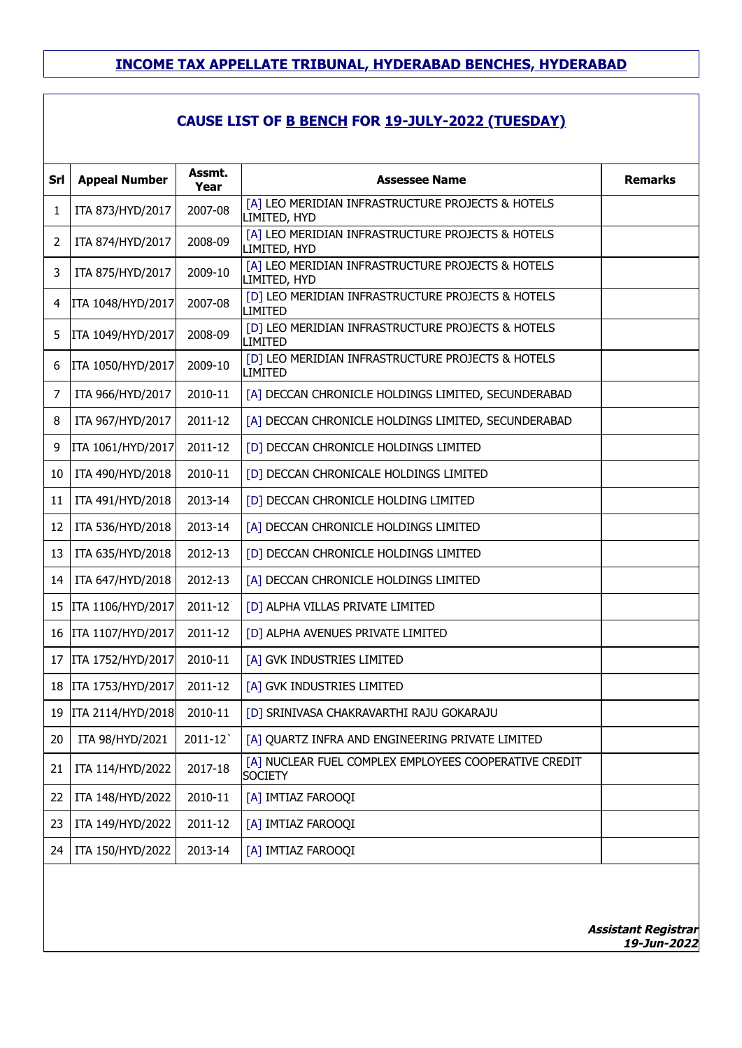| Srl | <b>Appeal Number</b> | Assmt.<br>Year | <b>Assessee Name</b>                                                    | <b>Remarks</b> |
|-----|----------------------|----------------|-------------------------------------------------------------------------|----------------|
| 1   | ITA 873/HYD/2017     | 2007-08        | [A] LEO MERIDIAN INFRASTRUCTURE PROJECTS & HOTELS<br>LIMITED, HYD       |                |
| 2   | ITA 874/HYD/2017     | 2008-09        | [A] LEO MERIDIAN INFRASTRUCTURE PROJECTS & HOTELS<br>LIMITED, HYD       |                |
| 3   | ITA 875/HYD/2017     | 2009-10        | [A] LEO MERIDIAN INFRASTRUCTURE PROJECTS & HOTELS<br>LIMITED, HYD       |                |
| 4   | ITA 1048/HYD/2017    | 2007-08        | [D] LEO MERIDIAN INFRASTRUCTURE PROJECTS & HOTELS<br>LIMITED            |                |
| 5   | ITA 1049/HYD/2017    | 2008-09        | [D] LEO MERIDIAN INFRASTRUCTURE PROJECTS & HOTELS<br>LIMITED            |                |
| 6   | ITA 1050/HYD/2017    | 2009-10        | [D] LEO MERIDIAN INFRASTRUCTURE PROJECTS & HOTELS<br><b>LIMITED</b>     |                |
| 7   | ITA 966/HYD/2017     | 2010-11        | [A] DECCAN CHRONICLE HOLDINGS LIMITED, SECUNDERABAD                     |                |
| 8   | ITA 967/HYD/2017     | 2011-12        | [A] DECCAN CHRONICLE HOLDINGS LIMITED, SECUNDERABAD                     |                |
| 9   | ITA 1061/HYD/2017    | 2011-12        | [D] DECCAN CHRONICLE HOLDINGS LIMITED                                   |                |
| 10  | ITA 490/HYD/2018     | 2010-11        | [D] DECCAN CHRONICALE HOLDINGS LIMITED                                  |                |
| 11  | ITA 491/HYD/2018     | 2013-14        | [D] DECCAN CHRONICLE HOLDING LIMITED                                    |                |
| 12  | ITA 536/HYD/2018     | 2013-14        | [A] DECCAN CHRONICLE HOLDINGS LIMITED                                   |                |
| 13  | ITA 635/HYD/2018     | 2012-13        | [D] DECCAN CHRONICLE HOLDINGS LIMITED                                   |                |
| 14  | ITA 647/HYD/2018     | 2012-13        | [A] DECCAN CHRONICLE HOLDINGS LIMITED                                   |                |
| 15  | ITA 1106/HYD/2017    | 2011-12        | [D] ALPHA VILLAS PRIVATE LIMITED                                        |                |
| 16  | ITA 1107/HYD/2017    | 2011-12        | [D] ALPHA AVENUES PRIVATE LIMITED                                       |                |
| 17  | ITA 1752/HYD/2017    | 2010-11        | [A] GVK INDUSTRIES LIMITED                                              |                |
| 18  | ITA 1753/HYD/2017    | 2011-12        | [A] GVK INDUSTRIES LIMITED                                              |                |
| 19  | ITA 2114/HYD/2018    | 2010-11        | [D] SRINIVASA CHAKRAVARTHI RAJU GOKARAJU                                |                |
| 20  | ITA 98/HYD/2021      | 2011-12        | [A] QUARTZ INFRA AND ENGINEERING PRIVATE LIMITED                        |                |
| 21  | ITA 114/HYD/2022     | 2017-18        | [A] NUCLEAR FUEL COMPLEX EMPLOYEES COOPERATIVE CREDIT<br><b>SOCIETY</b> |                |
| 22  | ITA 148/HYD/2022     | 2010-11        | [A] IMTIAZ FAROOQI                                                      |                |
| 23  | ITA 149/HYD/2022     | 2011-12        | [A] IMTIAZ FAROOQI                                                      |                |
| 24  | ITA 150/HYD/2022     | 2013-14        | [A] IMTIAZ FAROOQI                                                      |                |
|     |                      |                |                                                                         |                |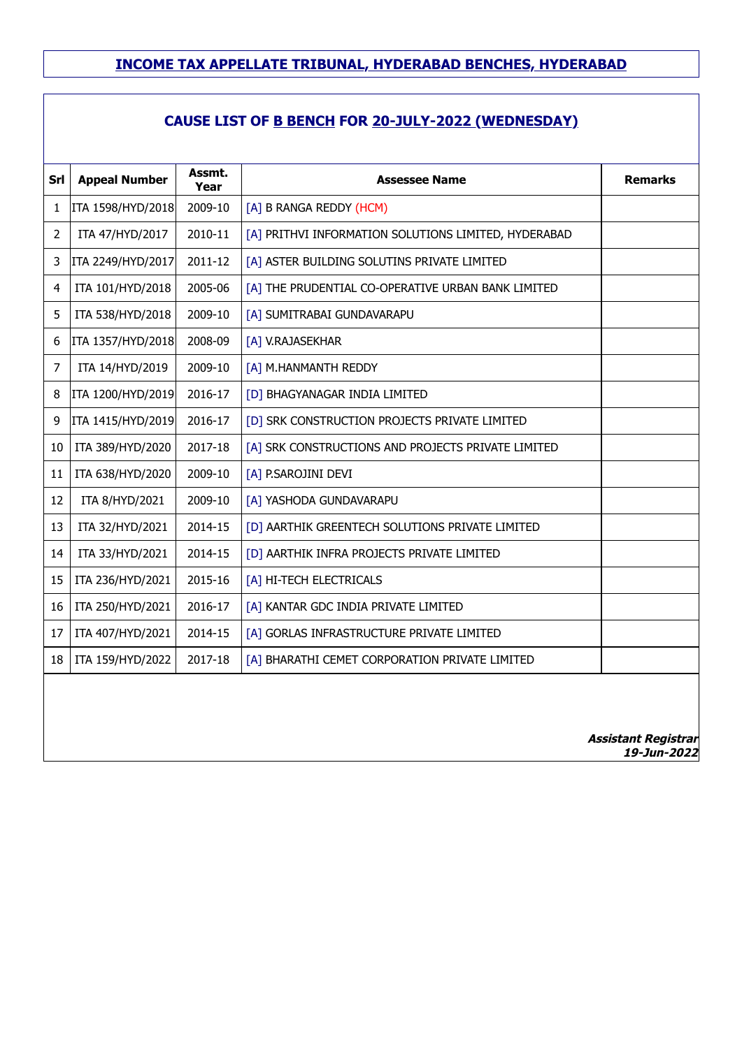## **CAUSE LIST OF B BENCH FOR 20-JULY-2022 (WEDNESDAY)**

| Srl            | <b>Appeal Number</b> | Assmt.<br>Year | <b>Assessee Name</b>                                 | <b>Remarks</b>                            |
|----------------|----------------------|----------------|------------------------------------------------------|-------------------------------------------|
| 1              | ITA 1598/HYD/2018    | 2009-10        | [A] B RANGA REDDY (HCM)                              |                                           |
| $\overline{2}$ | ITA 47/HYD/2017      | 2010-11        | [A] PRITHVI INFORMATION SOLUTIONS LIMITED, HYDERABAD |                                           |
| 3              | ITA 2249/HYD/2017    | 2011-12        | [A] ASTER BUILDING SOLUTINS PRIVATE LIMITED          |                                           |
| 4              | ITA 101/HYD/2018     | 2005-06        | [A] THE PRUDENTIAL CO-OPERATIVE URBAN BANK LIMITED   |                                           |
| 5              | ITA 538/HYD/2018     | 2009-10        | [A] SUMITRABAI GUNDAVARAPU                           |                                           |
| 6              | ITA 1357/HYD/2018    | 2008-09        | [A] V.RAJASEKHAR                                     |                                           |
| 7              | ITA 14/HYD/2019      | 2009-10        | [A] M.HANMANTH REDDY                                 |                                           |
| 8              | ITA 1200/HYD/2019    | 2016-17        | [D] BHAGYANAGAR INDIA LIMITED                        |                                           |
| 9              | ITA 1415/HYD/2019    | 2016-17        | [D] SRK CONSTRUCTION PROJECTS PRIVATE LIMITED        |                                           |
| 10             | ITA 389/HYD/2020     | 2017-18        | [A] SRK CONSTRUCTIONS AND PROJECTS PRIVATE LIMITED   |                                           |
| 11             | ITA 638/HYD/2020     | 2009-10        | [A] P.SAROJINI DEVI                                  |                                           |
| 12             | ITA 8/HYD/2021       | 2009-10        | [A] YASHODA GUNDAVARAPU                              |                                           |
| 13             | ITA 32/HYD/2021      | 2014-15        | [D] AARTHIK GREENTECH SOLUTIONS PRIVATE LIMITED      |                                           |
| 14             | ITA 33/HYD/2021      | 2014-15        | [D] AARTHIK INFRA PROJECTS PRIVATE LIMITED           |                                           |
| 15             | ITA 236/HYD/2021     | 2015-16        | [A] HI-TECH ELECTRICALS                              |                                           |
| 16             | ITA 250/HYD/2021     | 2016-17        | [A] KANTAR GDC INDIA PRIVATE LIMITED                 |                                           |
| 17             | ITA 407/HYD/2021     | 2014-15        | [A] GORLAS INFRASTRUCTURE PRIVATE LIMITED            |                                           |
| 18             | ITA 159/HYD/2022     | 2017-18        | [A] BHARATHI CEMET CORPORATION PRIVATE LIMITED       |                                           |
|                |                      |                |                                                      |                                           |
|                |                      |                |                                                      | <b>Assistant Registrar</b><br>19-Jun-2022 |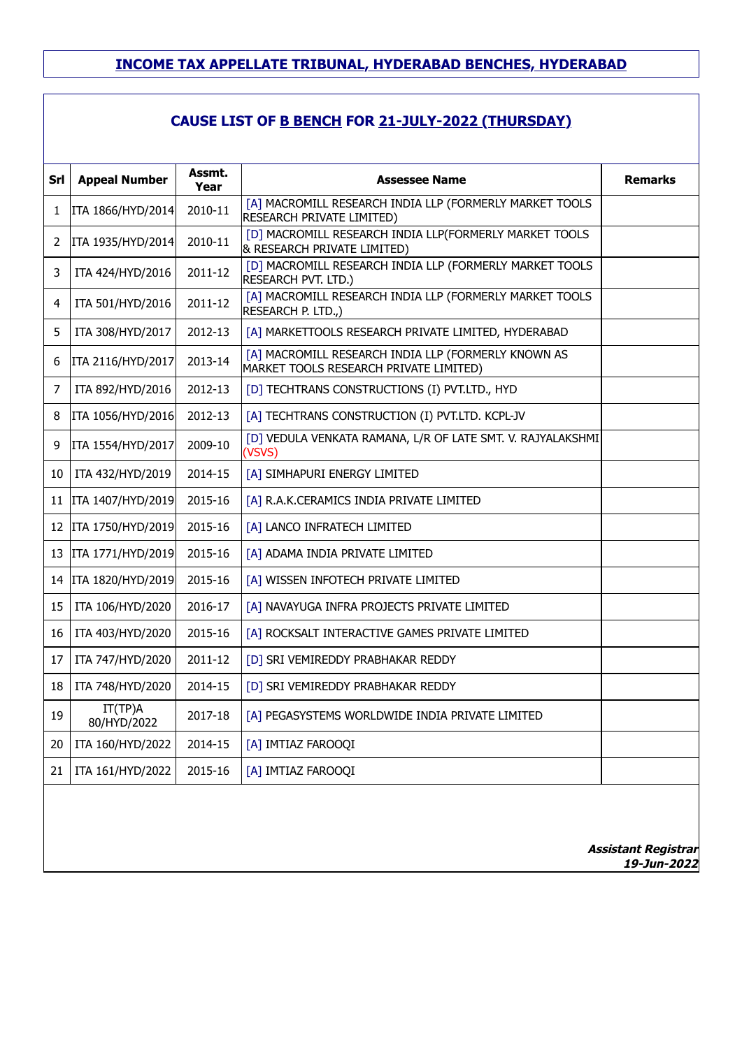| Srl | <b>Appeal Number</b>   | Assmt.<br>Year | <b>Assessee Name</b>                                                                          | <b>Remarks</b>                            |
|-----|------------------------|----------------|-----------------------------------------------------------------------------------------------|-------------------------------------------|
| 1   | ITA 1866/HYD/2014      | 2010-11        | [A] MACROMILL RESEARCH INDIA LLP (FORMERLY MARKET TOOLS<br>RESEARCH PRIVATE LIMITED)          |                                           |
| 2   | ITA 1935/HYD/2014      | 2010-11        | [D] MACROMILL RESEARCH INDIA LLP(FORMERLY MARKET TOOLS<br>& RESEARCH PRIVATE LIMITED)         |                                           |
| 3   | ITA 424/HYD/2016       | 2011-12        | [D] MACROMILL RESEARCH INDIA LLP (FORMERLY MARKET TOOLS<br>RESEARCH PVT. LTD.)                |                                           |
| 4   | ITA 501/HYD/2016       | 2011-12        | [A] MACROMILL RESEARCH INDIA LLP (FORMERLY MARKET TOOLS<br>RESEARCH P. LTD.,)                 |                                           |
| 5   | ITA 308/HYD/2017       | 2012-13        | [A] MARKETTOOLS RESEARCH PRIVATE LIMITED, HYDERABAD                                           |                                           |
| 6   | ITA 2116/HYD/2017      | 2013-14        | [A] MACROMILL RESEARCH INDIA LLP (FORMERLY KNOWN AS<br>MARKET TOOLS RESEARCH PRIVATE LIMITED) |                                           |
| 7   | ITA 892/HYD/2016       | 2012-13        | [D] TECHTRANS CONSTRUCTIONS (I) PVT.LTD., HYD                                                 |                                           |
| 8   | ITA 1056/HYD/2016      | 2012-13        | [A] TECHTRANS CONSTRUCTION (I) PVT.LTD. KCPL-JV                                               |                                           |
| 9   | ITA 1554/HYD/2017      | 2009-10        | [D] VEDULA VENKATA RAMANA, L/R OF LATE SMT. V. RAJYALAKSHMI<br>(VSVS)                         |                                           |
| 10  | ITA 432/HYD/2019       | 2014-15        | [A] SIMHAPURI ENERGY LIMITED                                                                  |                                           |
| 11  | ITA 1407/HYD/2019      | 2015-16        | [A] R.A.K.CERAMICS INDIA PRIVATE LIMITED                                                      |                                           |
| 12  | ITA 1750/HYD/2019      | 2015-16        | [A] LANCO INFRATECH LIMITED                                                                   |                                           |
| 13  | ITA 1771/HYD/2019      | 2015-16        | [A] ADAMA INDIA PRIVATE LIMITED                                                               |                                           |
| 14  | ITA 1820/HYD/2019      | 2015-16        | [A] WISSEN INFOTECH PRIVATE LIMITED                                                           |                                           |
| 15  | ITA 106/HYD/2020       | 2016-17        | [A] NAVAYUGA INFRA PROJECTS PRIVATE LIMITED                                                   |                                           |
| 16  | ITA 403/HYD/2020       | 2015-16        | [A] ROCKSALT INTERACTIVE GAMES PRIVATE LIMITED                                                |                                           |
| 17  | ITA 747/HYD/2020       | 2011-12        | [D] SRI VEMIREDDY PRABHAKAR REDDY                                                             |                                           |
| 18  | ITA 748/HYD/2020       | 2014-15        | [D] SRI VEMIREDDY PRABHAKAR REDDY                                                             |                                           |
| 19  | IT(TP)A<br>80/HYD/2022 | 2017-18        | [A] PEGASYSTEMS WORLDWIDE INDIA PRIVATE LIMITED                                               |                                           |
| 20  | ITA 160/HYD/2022       | 2014-15        | [A] IMTIAZ FAROOQI                                                                            |                                           |
| 21  | ITA 161/HYD/2022       | 2015-16        | [A] IMTIAZ FAROOQI                                                                            |                                           |
|     |                        |                |                                                                                               | <b>Assistant Registrar</b><br>19-Jun-2022 |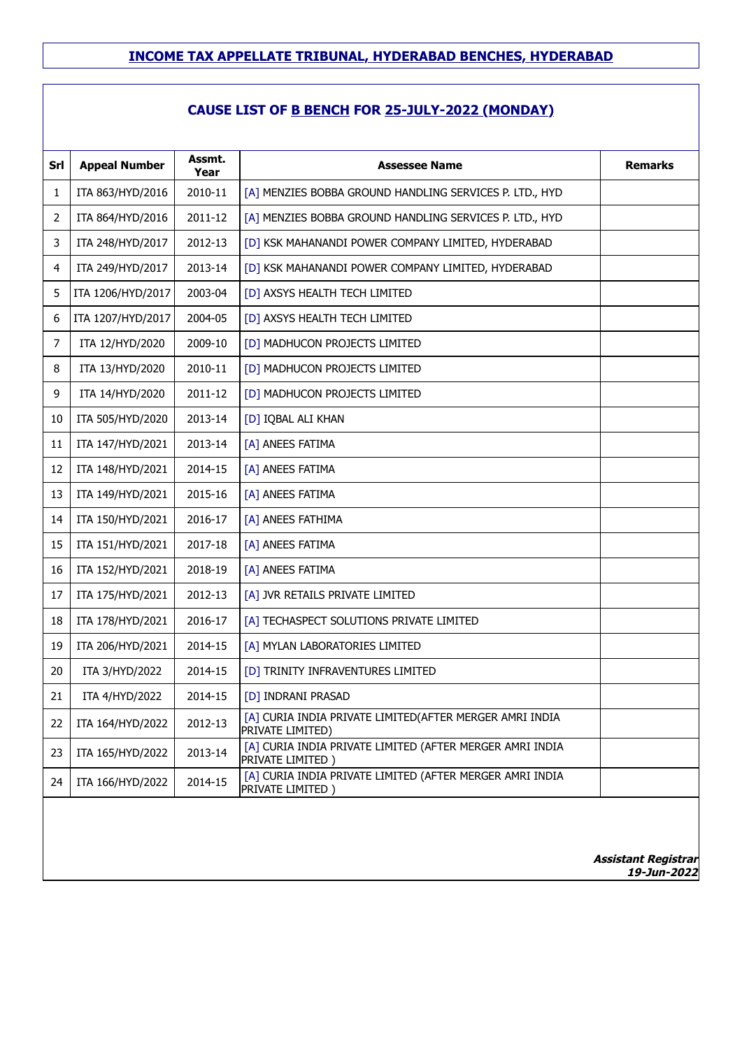## **CAUSE LIST OF B BENCH FOR 25-JULY-2022 (MONDAY)**

| Srl            | <b>Appeal Number</b> | Assmt.          | <b>Assessee Name</b>                                                         | <b>Remarks</b> |
|----------------|----------------------|-----------------|------------------------------------------------------------------------------|----------------|
| 1              | ITA 863/HYD/2016     | Year<br>2010-11 | [A] MENZIES BOBBA GROUND HANDLING SERVICES P. LTD., HYD                      |                |
| 2              | ITA 864/HYD/2016     | 2011-12         | [A] MENZIES BOBBA GROUND HANDLING SERVICES P. LTD., HYD                      |                |
| 3              | ITA 248/HYD/2017     | 2012-13         | [D] KSK MAHANANDI POWER COMPANY LIMITED, HYDERABAD                           |                |
| 4              | ITA 249/HYD/2017     | 2013-14         | [D] KSK MAHANANDI POWER COMPANY LIMITED, HYDERABAD                           |                |
| 5              | ITA 1206/HYD/2017    | 2003-04         | [D] AXSYS HEALTH TECH LIMITED                                                |                |
| 6              | ITA 1207/HYD/2017    | 2004-05         | [D] AXSYS HEALTH TECH LIMITED                                                |                |
| $\overline{7}$ | ITA 12/HYD/2020      | 2009-10         | [D] MADHUCON PROJECTS LIMITED                                                |                |
| 8              | ITA 13/HYD/2020      | 2010-11         | [D] MADHUCON PROJECTS LIMITED                                                |                |
| 9              | ITA 14/HYD/2020      | 2011-12         | [D] MADHUCON PROJECTS LIMITED                                                |                |
| 10             | ITA 505/HYD/2020     | 2013-14         | [D] IQBAL ALI KHAN                                                           |                |
| 11             | ITA 147/HYD/2021     | 2013-14         | [A] ANEES FATIMA                                                             |                |
| 12             | ITA 148/HYD/2021     | 2014-15         | [A] ANEES FATIMA                                                             |                |
| 13             | ITA 149/HYD/2021     | 2015-16         | [A] ANEES FATIMA                                                             |                |
| 14             | ITA 150/HYD/2021     | 2016-17         | [A] ANEES FATHIMA                                                            |                |
| 15             | ITA 151/HYD/2021     | 2017-18         | [A] ANEES FATIMA                                                             |                |
| 16             | ITA 152/HYD/2021     | 2018-19         | [A] ANEES FATIMA                                                             |                |
| 17             | ITA 175/HYD/2021     | 2012-13         | [A] JVR RETAILS PRIVATE LIMITED                                              |                |
| 18             | ITA 178/HYD/2021     | 2016-17         | [A] TECHASPECT SOLUTIONS PRIVATE LIMITED                                     |                |
| 19             | ITA 206/HYD/2021     | 2014-15         | [A] MYLAN LABORATORIES LIMITED                                               |                |
| 20             | ITA 3/HYD/2022       | 2014-15         | [D] TRINITY INFRAVENTURES LIMITED                                            |                |
| 21             | ITA 4/HYD/2022       | 2014-15         | [D] INDRANI PRASAD                                                           |                |
| 22             | ITA 164/HYD/2022     | 2012-13         | [A] CURIA INDIA PRIVATE LIMITED(AFTER MERGER AMRI INDIA<br>PRIVATE LIMITED)  |                |
| 23             | ITA 165/HYD/2022     | 2013-14         | [A] CURIA INDIA PRIVATE LIMITED (AFTER MERGER AMRI INDIA<br>PRIVATE LIMITED) |                |
| 24             | ITA 166/HYD/2022     | 2014-15         | [A] CURIA INDIA PRIVATE LIMITED (AFTER MERGER AMRI INDIA<br>PRIVATE LIMITED) |                |
|                |                      |                 |                                                                              |                |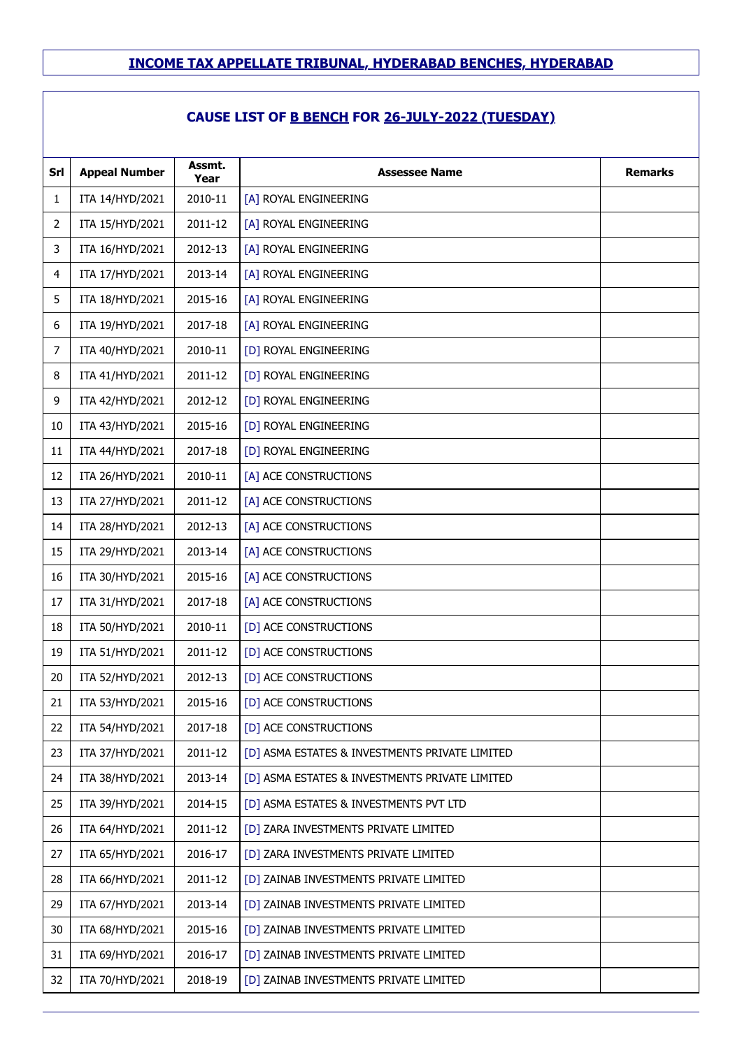| Srl | <b>Appeal Number</b> | Assmt.<br>Year | <b>Assessee Name</b>                           | <b>Remarks</b> |
|-----|----------------------|----------------|------------------------------------------------|----------------|
| 1   | ITA 14/HYD/2021      | 2010-11        | [A] ROYAL ENGINEERING                          |                |
| 2   | ITA 15/HYD/2021      | 2011-12        | [A] ROYAL ENGINEERING                          |                |
| 3   | ITA 16/HYD/2021      | 2012-13        | [A] ROYAL ENGINEERING                          |                |
| 4   | ITA 17/HYD/2021      | 2013-14        | [A] ROYAL ENGINEERING                          |                |
| 5   | ITA 18/HYD/2021      | 2015-16        | [A] ROYAL ENGINEERING                          |                |
| 6   | ITA 19/HYD/2021      | 2017-18        | [A] ROYAL ENGINEERING                          |                |
| 7   | ITA 40/HYD/2021      | 2010-11        | [D] ROYAL ENGINEERING                          |                |
| 8   | ITA 41/HYD/2021      | 2011-12        | [D] ROYAL ENGINEERING                          |                |
| 9   | ITA 42/HYD/2021      | 2012-12        | [D] ROYAL ENGINEERING                          |                |
| 10  | ITA 43/HYD/2021      | 2015-16        | [D] ROYAL ENGINEERING                          |                |
| 11  | ITA 44/HYD/2021      | 2017-18        | [D] ROYAL ENGINEERING                          |                |
| 12  | ITA 26/HYD/2021      | 2010-11        | [A] ACE CONSTRUCTIONS                          |                |
| 13  | ITA 27/HYD/2021      | 2011-12        | [A] ACE CONSTRUCTIONS                          |                |
| 14  | ITA 28/HYD/2021      | 2012-13        | [A] ACE CONSTRUCTIONS                          |                |
| 15  | ITA 29/HYD/2021      | 2013-14        | [A] ACE CONSTRUCTIONS                          |                |
| 16  | ITA 30/HYD/2021      | 2015-16        | [A] ACE CONSTRUCTIONS                          |                |
| 17  | ITA 31/HYD/2021      | 2017-18        | [A] ACE CONSTRUCTIONS                          |                |
| 18  | ITA 50/HYD/2021      | 2010-11        | [D] ACE CONSTRUCTIONS                          |                |
| 19  | ITA 51/HYD/2021      | 2011-12        | [D] ACE CONSTRUCTIONS                          |                |
| 20  | ITA 52/HYD/2021      | 2012-13        | [D] ACE CONSTRUCTIONS                          |                |
| 21  | ITA 53/HYD/2021      | 2015-16        | [D] ACE CONSTRUCTIONS                          |                |
| 22  | ITA 54/HYD/2021      | 2017-18        | [D] ACE CONSTRUCTIONS                          |                |
| 23  | ITA 37/HYD/2021      | 2011-12        | [D] ASMA ESTATES & INVESTMENTS PRIVATE LIMITED |                |
| 24  | ITA 38/HYD/2021      | 2013-14        | [D] ASMA ESTATES & INVESTMENTS PRIVATE LIMITED |                |
| 25  | ITA 39/HYD/2021      | 2014-15        | [D] ASMA ESTATES & INVESTMENTS PVT LTD         |                |
| 26  | ITA 64/HYD/2021      | 2011-12        | [D] ZARA INVESTMENTS PRIVATE LIMITED           |                |
| 27  | ITA 65/HYD/2021      | 2016-17        | [D] ZARA INVESTMENTS PRIVATE LIMITED           |                |
| 28  | ITA 66/HYD/2021      | 2011-12        | [D] ZAINAB INVESTMENTS PRIVATE LIMITED         |                |
| 29  | ITA 67/HYD/2021      | 2013-14        | [D] ZAINAB INVESTMENTS PRIVATE LIMITED         |                |
| 30  | ITA 68/HYD/2021      | 2015-16        | [D] ZAINAB INVESTMENTS PRIVATE LIMITED         |                |
| 31  | ITA 69/HYD/2021      | 2016-17        | [D] ZAINAB INVESTMENTS PRIVATE LIMITED         |                |
| 32  | ITA 70/HYD/2021      | 2018-19        | [D] ZAINAB INVESTMENTS PRIVATE LIMITED         |                |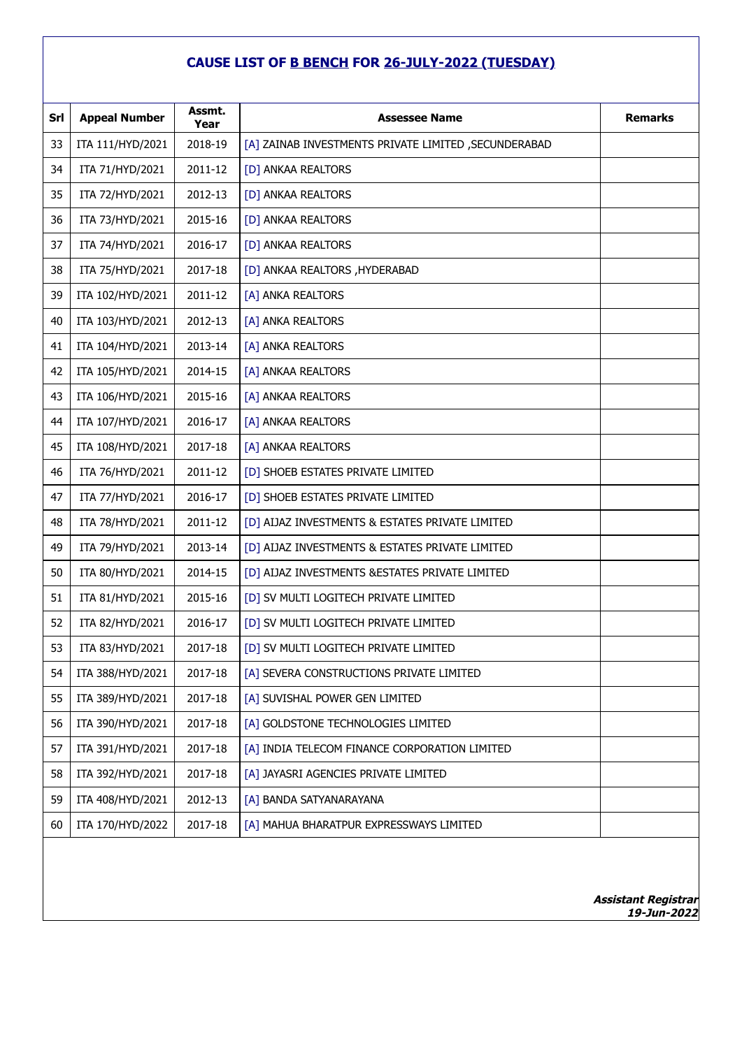| Srl | <b>Appeal Number</b> | Assmt.<br>Year | <b>Assessee Name</b>                                  | <b>Remarks</b> |
|-----|----------------------|----------------|-------------------------------------------------------|----------------|
| 33  | ITA 111/HYD/2021     | 2018-19        | [A] ZAINAB INVESTMENTS PRIVATE LIMITED , SECUNDERABAD |                |
| 34  | ITA 71/HYD/2021      | 2011-12        | [D] ANKAA REALTORS                                    |                |
| 35  | ITA 72/HYD/2021      | 2012-13        | [D] ANKAA REALTORS                                    |                |
| 36  | ITA 73/HYD/2021      | 2015-16        | [D] ANKAA REALTORS                                    |                |
| 37  | ITA 74/HYD/2021      | 2016-17        | [D] ANKAA REALTORS                                    |                |
| 38  | ITA 75/HYD/2021      | 2017-18        | [D] ANKAA REALTORS , HYDERABAD                        |                |
| 39  | ITA 102/HYD/2021     | 2011-12        | [A] ANKA REALTORS                                     |                |
| 40  | ITA 103/HYD/2021     | 2012-13        | [A] ANKA REALTORS                                     |                |
| 41  | ITA 104/HYD/2021     | 2013-14        | [A] ANKA REALTORS                                     |                |
| 42  | ITA 105/HYD/2021     | 2014-15        | [A] ANKAA REALTORS                                    |                |
| 43  | ITA 106/HYD/2021     | 2015-16        | [A] ANKAA REALTORS                                    |                |
| 44  | ITA 107/HYD/2021     | 2016-17        | [A] ANKAA REALTORS                                    |                |
| 45  | ITA 108/HYD/2021     | 2017-18        | [A] ANKAA REALTORS                                    |                |
| 46  | ITA 76/HYD/2021      | 2011-12        | [D] SHOEB ESTATES PRIVATE LIMITED                     |                |
| 47  | ITA 77/HYD/2021      | 2016-17        | [D] SHOEB ESTATES PRIVATE LIMITED                     |                |
| 48  | ITA 78/HYD/2021      | 2011-12        | [D] AIJAZ INVESTMENTS & ESTATES PRIVATE LIMITED       |                |
| 49  | ITA 79/HYD/2021      | 2013-14        | [D] AIJAZ INVESTMENTS & ESTATES PRIVATE LIMITED       |                |
| 50  | ITA 80/HYD/2021      | 2014-15        | [D] AIJAZ INVESTMENTS & ESTATES PRIVATE LIMITED       |                |
| 51  | ITA 81/HYD/2021      | 2015-16        | [D] SV MULTI LOGITECH PRIVATE LIMITED                 |                |
| 52  | ITA 82/HYD/2021      | 2016-17        | [D] SV MULTI LOGITECH PRIVATE LIMITED                 |                |
| 53  | ITA 83/HYD/2021      | 2017-18        | [D] SV MULTI LOGITECH PRIVATE LIMITED                 |                |
| 54  | ITA 388/HYD/2021     | 2017-18        | [A] SEVERA CONSTRUCTIONS PRIVATE LIMITED              |                |
| 55  | ITA 389/HYD/2021     | 2017-18        | [A] SUVISHAL POWER GEN LIMITED                        |                |
| 56  | ITA 390/HYD/2021     | 2017-18        | [A] GOLDSTONE TECHNOLOGIES LIMITED                    |                |
| 57  | ITA 391/HYD/2021     | 2017-18        | [A] INDIA TELECOM FINANCE CORPORATION LIMITED         |                |
| 58  | ITA 392/HYD/2021     | 2017-18        | [A] JAYASRI AGENCIES PRIVATE LIMITED                  |                |
| 59  | ITA 408/HYD/2021     | 2012-13        | [A] BANDA SATYANARAYANA                               |                |
| 60  | ITA 170/HYD/2022     | 2017-18        | [A] MAHUA BHARATPUR EXPRESSWAYS LIMITED               |                |
|     |                      |                |                                                       |                |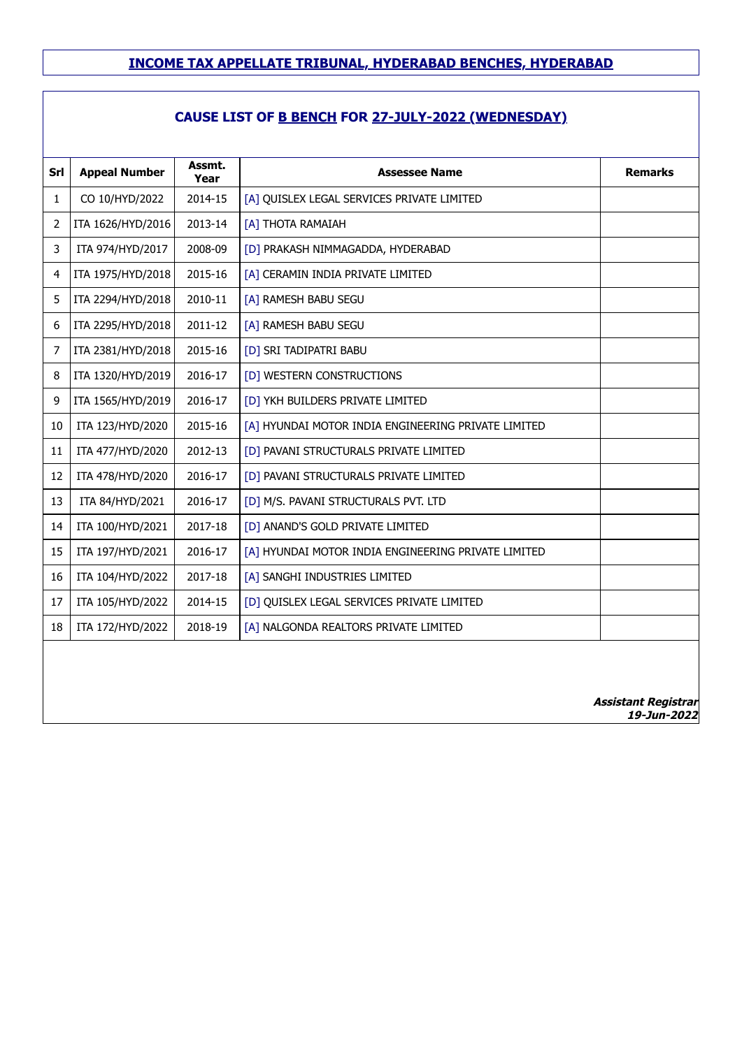## **CAUSE LIST OF B BENCH FOR 27-JULY-2022 (WEDNESDAY)**

| Srl | <b>Appeal Number</b> | Assmt.<br>Year | <b>Assessee Name</b>                                | <b>Remarks</b>                            |
|-----|----------------------|----------------|-----------------------------------------------------|-------------------------------------------|
| 1   | CO 10/HYD/2022       | 2014-15        | [A] QUISLEX LEGAL SERVICES PRIVATE LIMITED          |                                           |
| 2   | ITA 1626/HYD/2016    | 2013-14        | [A] THOTA RAMAIAH                                   |                                           |
| 3   | ITA 974/HYD/2017     | 2008-09        | [D] PRAKASH NIMMAGADDA, HYDERABAD                   |                                           |
| 4   | ITA 1975/HYD/2018    | 2015-16        | [A] CERAMIN INDIA PRIVATE LIMITED                   |                                           |
| 5   | ITA 2294/HYD/2018    | 2010-11        | [A] RAMESH BABU SEGU                                |                                           |
| 6   | ITA 2295/HYD/2018    | 2011-12        | [A] RAMESH BABU SEGU                                |                                           |
| 7   | ITA 2381/HYD/2018    | 2015-16        | [D] SRI TADIPATRI BABU                              |                                           |
| 8   | ITA 1320/HYD/2019    | 2016-17        | [D] WESTERN CONSTRUCTIONS                           |                                           |
| 9   | ITA 1565/HYD/2019    | 2016-17        | [D] YKH BUILDERS PRIVATE LIMITED                    |                                           |
| 10  | ITA 123/HYD/2020     | 2015-16        | [A] HYUNDAI MOTOR INDIA ENGINEERING PRIVATE LIMITED |                                           |
| 11  | ITA 477/HYD/2020     | 2012-13        | [D] PAVANI STRUCTURALS PRIVATE LIMITED              |                                           |
| 12  | ITA 478/HYD/2020     | 2016-17        | [D] PAVANI STRUCTURALS PRIVATE LIMITED              |                                           |
| 13  | ITA 84/HYD/2021      | 2016-17        | [D] M/S. PAVANI STRUCTURALS PVT. LTD                |                                           |
| 14  | ITA 100/HYD/2021     | 2017-18        | [D] ANAND'S GOLD PRIVATE LIMITED                    |                                           |
| 15  | ITA 197/HYD/2021     | 2016-17        | [A] HYUNDAI MOTOR INDIA ENGINEERING PRIVATE LIMITED |                                           |
| 16  | ITA 104/HYD/2022     | 2017-18        | [A] SANGHI INDUSTRIES LIMITED                       |                                           |
| 17  | ITA 105/HYD/2022     | 2014-15        | [D] QUISLEX LEGAL SERVICES PRIVATE LIMITED          |                                           |
| 18  | ITA 172/HYD/2022     | 2018-19        | [A] NALGONDA REALTORS PRIVATE LIMITED               |                                           |
|     |                      |                |                                                     |                                           |
|     |                      |                |                                                     | <b>Assistant Registrar</b><br>19-Jun-2022 |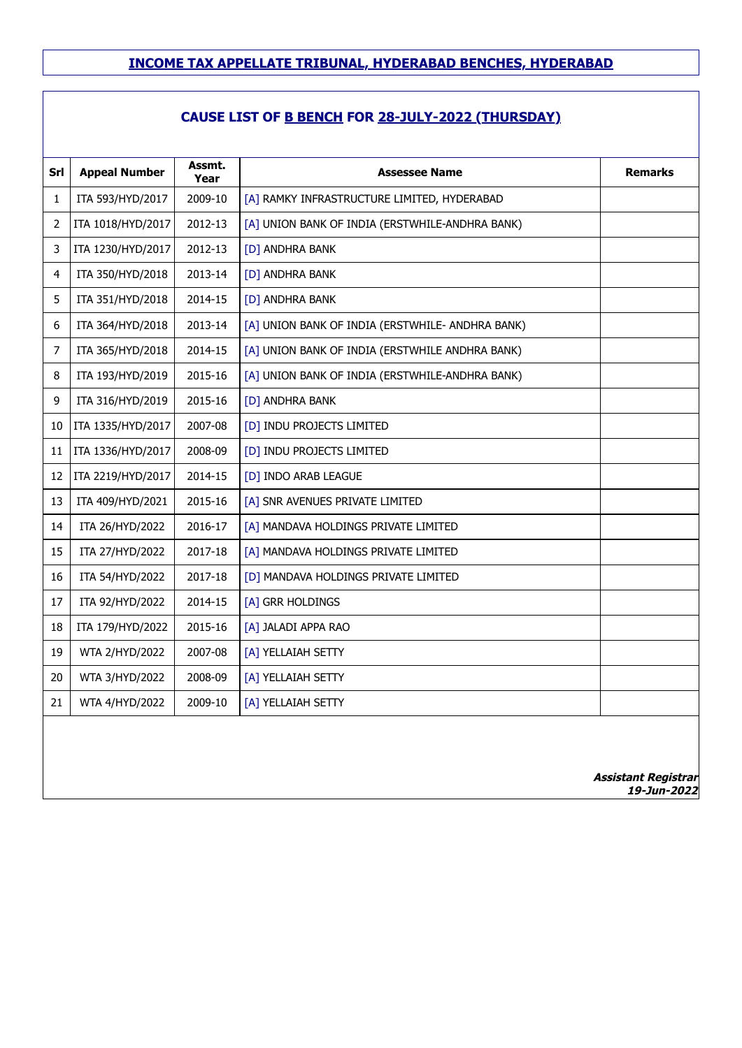| Srl | <b>Appeal Number</b> | Assmt.<br>Year | <b>Assessee Name</b>                             | <b>Remarks</b> |
|-----|----------------------|----------------|--------------------------------------------------|----------------|
| 1   | ITA 593/HYD/2017     | 2009-10        | [A] RAMKY INFRASTRUCTURE LIMITED, HYDERABAD      |                |
| 2   | ITA 1018/HYD/2017    | 2012-13        | [A] UNION BANK OF INDIA (ERSTWHILE-ANDHRA BANK)  |                |
| 3   | ITA 1230/HYD/2017    | 2012-13        | [D] ANDHRA BANK                                  |                |
| 4   | ITA 350/HYD/2018     | 2013-14        | [D] ANDHRA BANK                                  |                |
| 5   | ITA 351/HYD/2018     | 2014-15        | [D] ANDHRA BANK                                  |                |
| 6   | ITA 364/HYD/2018     | 2013-14        | [A] UNION BANK OF INDIA (ERSTWHILE- ANDHRA BANK) |                |
| 7   | ITA 365/HYD/2018     | 2014-15        | [A] UNION BANK OF INDIA (ERSTWHILE ANDHRA BANK)  |                |
| 8   | ITA 193/HYD/2019     | 2015-16        | [A] UNION BANK OF INDIA (ERSTWHILE-ANDHRA BANK)  |                |
| 9   | ITA 316/HYD/2019     | 2015-16        | [D] ANDHRA BANK                                  |                |
| 10  | ITA 1335/HYD/2017    | 2007-08        | [D] INDU PROJECTS LIMITED                        |                |
| 11  | ITA 1336/HYD/2017    | 2008-09        | [D] INDU PROJECTS LIMITED                        |                |
| 12  | ITA 2219/HYD/2017    | 2014-15        | [D] INDO ARAB LEAGUE                             |                |
| 13  | ITA 409/HYD/2021     | 2015-16        | [A] SNR AVENUES PRIVATE LIMITED                  |                |
| 14  | ITA 26/HYD/2022      | 2016-17        | [A] MANDAVA HOLDINGS PRIVATE LIMITED             |                |
| 15  | ITA 27/HYD/2022      | 2017-18        | [A] MANDAVA HOLDINGS PRIVATE LIMITED             |                |
| 16  | ITA 54/HYD/2022      | 2017-18        | [D] MANDAVA HOLDINGS PRIVATE LIMITED             |                |
| 17  | ITA 92/HYD/2022      | 2014-15        | [A] GRR HOLDINGS                                 |                |
| 18  | ITA 179/HYD/2022     | 2015-16        | [A] JALADI APPA RAO                              |                |
| 19  | WTA 2/HYD/2022       | 2007-08        | [A] YELLAIAH SETTY                               |                |
| 20  | WTA 3/HYD/2022       | 2008-09        | [A] YELLAIAH SETTY                               |                |
| 21  | WTA 4/HYD/2022       | 2009-10        | [A] YELLAIAH SETTY                               |                |
|     |                      |                |                                                  |                |
|     |                      |                |                                                  |                |
|     |                      |                |                                                  |                |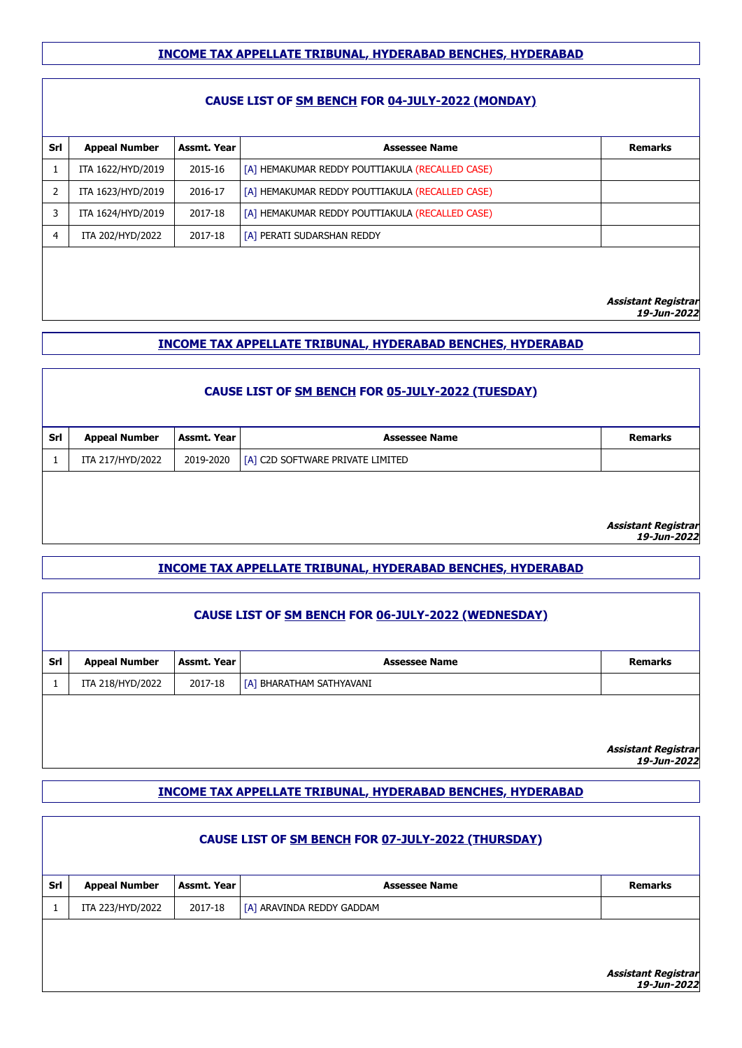#### **CAUSE LIST OF SM BENCH FOR 04-JULY-2022 (MONDAY)**

| <b>Appeal Number</b> | Assmt. Year | <b>Assessee Name</b>                            | <b>Remarks</b> |
|----------------------|-------------|-------------------------------------------------|----------------|
| ITA 1622/HYD/2019    | 2015-16     | [A] HEMAKUMAR REDDY POUTTIAKULA (RECALLED CASE) |                |
| ITA 1623/HYD/2019    | 2016-17     | [A] HEMAKUMAR REDDY POUTTIAKULA (RECALLED CASE) |                |
| ITA 1624/HYD/2019    | 2017-18     | [A] HEMAKUMAR REDDY POUTTIAKULA (RECALLED CASE) |                |
| ITA 202/HYD/2022     | 2017-18     | [A] PERATI SUDARSHAN REDDY                      |                |
|                      |             |                                                 |                |
|                      |             |                                                 |                |

**Assistant Registrar**

**19-Jun-2022**

#### **INCOME TAX APPELLATE TRIBUNAL, HYDERABAD BENCHES, HYDERABAD**

|     | <b>CAUSE LIST OF SM BENCH FOR 05-JULY-2022 (TUESDAY)</b> |             |                                  |                            |  |
|-----|----------------------------------------------------------|-------------|----------------------------------|----------------------------|--|
| Srl | <b>Appeal Number</b>                                     | Assmt. Year | <b>Assessee Name</b>             | <b>Remarks</b>             |  |
|     | ITA 217/HYD/2022                                         | 2019-2020   | [A] C2D SOFTWARE PRIVATE LIMITED |                            |  |
|     |                                                          |             |                                  | <b>Assistant Registrar</b> |  |
|     |                                                          |             |                                  | 19-Jun-2022                |  |

#### **INCOME TAX APPELLATE TRIBUNAL, HYDERABAD BENCHES, HYDERABAD**

|     | CAUSE LIST OF SM BENCH FOR 06-JULY-2022 (WEDNESDAY) |             |                          |                            |  |
|-----|-----------------------------------------------------|-------------|--------------------------|----------------------------|--|
| Srl | <b>Appeal Number</b>                                | Assmt. Year | <b>Assessee Name</b>     | <b>Remarks</b>             |  |
|     | ITA 218/HYD/2022                                    | 2017-18     | [A] BHARATHAM SATHYAVANI |                            |  |
|     |                                                     |             |                          | <b>Assistant Registrar</b> |  |

**19-Jun-2022**

#### **INCOME TAX APPELLATE TRIBUNAL, HYDERABAD BENCHES, HYDERABAD**

|     | CAUSE LIST OF SM BENCH FOR 07-JULY-2022 (THURSDAY) |             |                           |                                                   |  |
|-----|----------------------------------------------------|-------------|---------------------------|---------------------------------------------------|--|
| Srl | <b>Appeal Number</b>                               | Assmt. Year | <b>Assessee Name</b>      | <b>Remarks</b>                                    |  |
|     | ITA 223/HYD/2022                                   | 2017-18     | [A] ARAVINDA REDDY GADDAM |                                                   |  |
|     |                                                    |             |                           | <i><b>Assistant Registrar<br/>19-Jun-2022</b></i> |  |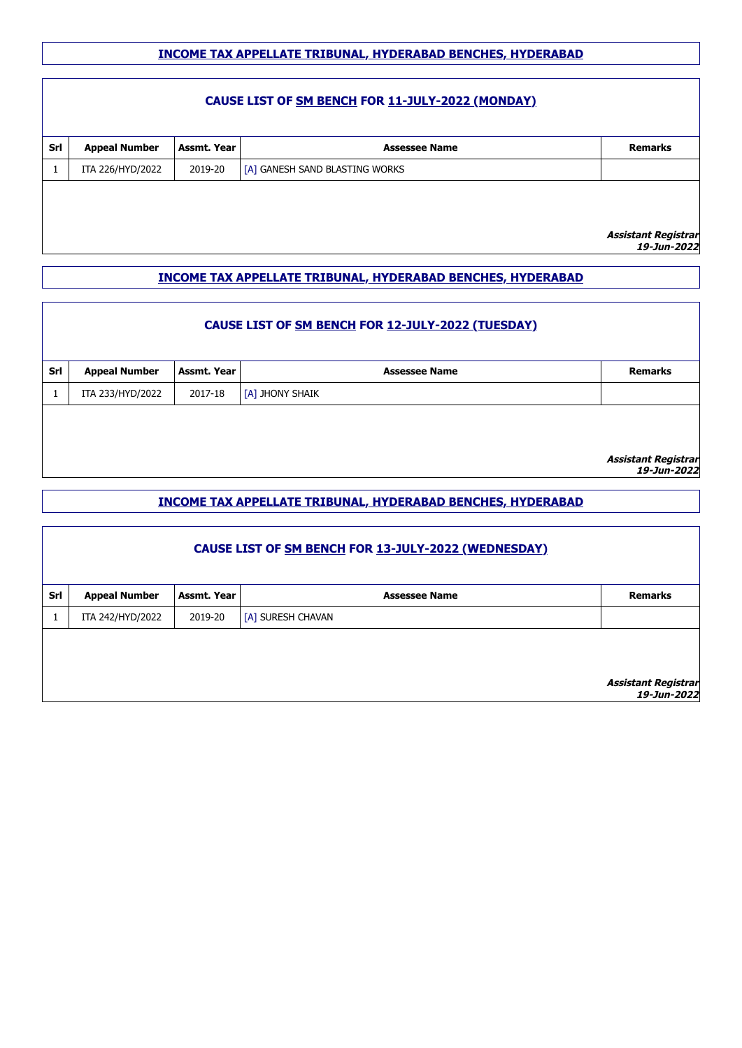#### **CAUSE LIST OF SM BENCH FOR 11-JULY-2022 (MONDAY)**

| Srl | <b>Appeal Number</b> | Assmt. Year | <b>Assessee Name</b>           | <b>Remarks</b> |
|-----|----------------------|-------------|--------------------------------|----------------|
|     | ITA 226/HYD/2022     | 2019-20     | [A] GANESH SAND BLASTING WORKS |                |
|     |                      |             |                                |                |
|     |                      |             |                                |                |
|     |                      |             |                                | _____          |

**Assistant Registrar 19-Jun-2022**

#### **INCOME TAX APPELLATE TRIBUNAL, HYDERABAD BENCHES, HYDERABAD**

|     | CAUSE LIST OF SM BENCH FOR 12-JULY-2022 (TUESDAY) |             |                      |                                    |  |
|-----|---------------------------------------------------|-------------|----------------------|------------------------------------|--|
| Srl | <b>Appeal Number</b>                              | Assmt. Year | <b>Assessee Name</b> | <b>Remarks</b>                     |  |
|     | ITA 233/HYD/2022                                  | 2017-18     | [A] JHONY SHAIK      |                                    |  |
|     |                                                   |             |                      | Assistant Registrar<br>19-Jun-2022 |  |

#### **INCOME TAX APPELLATE TRIBUNAL, HYDERABAD BENCHES, HYDERABAD**

|     | CAUSE LIST OF SM BENCH FOR 13-JULY-2022 (WEDNESDAY) |             |                      |                                           |  |
|-----|-----------------------------------------------------|-------------|----------------------|-------------------------------------------|--|
| Srl | <b>Appeal Number</b>                                | Assmt. Year | <b>Assessee Name</b> | <b>Remarks</b>                            |  |
|     | ITA 242/HYD/2022                                    | 2019-20     | [A] SURESH CHAVAN    |                                           |  |
|     |                                                     |             |                      | <b>Assistant Registrar</b><br>19-Jun-2022 |  |